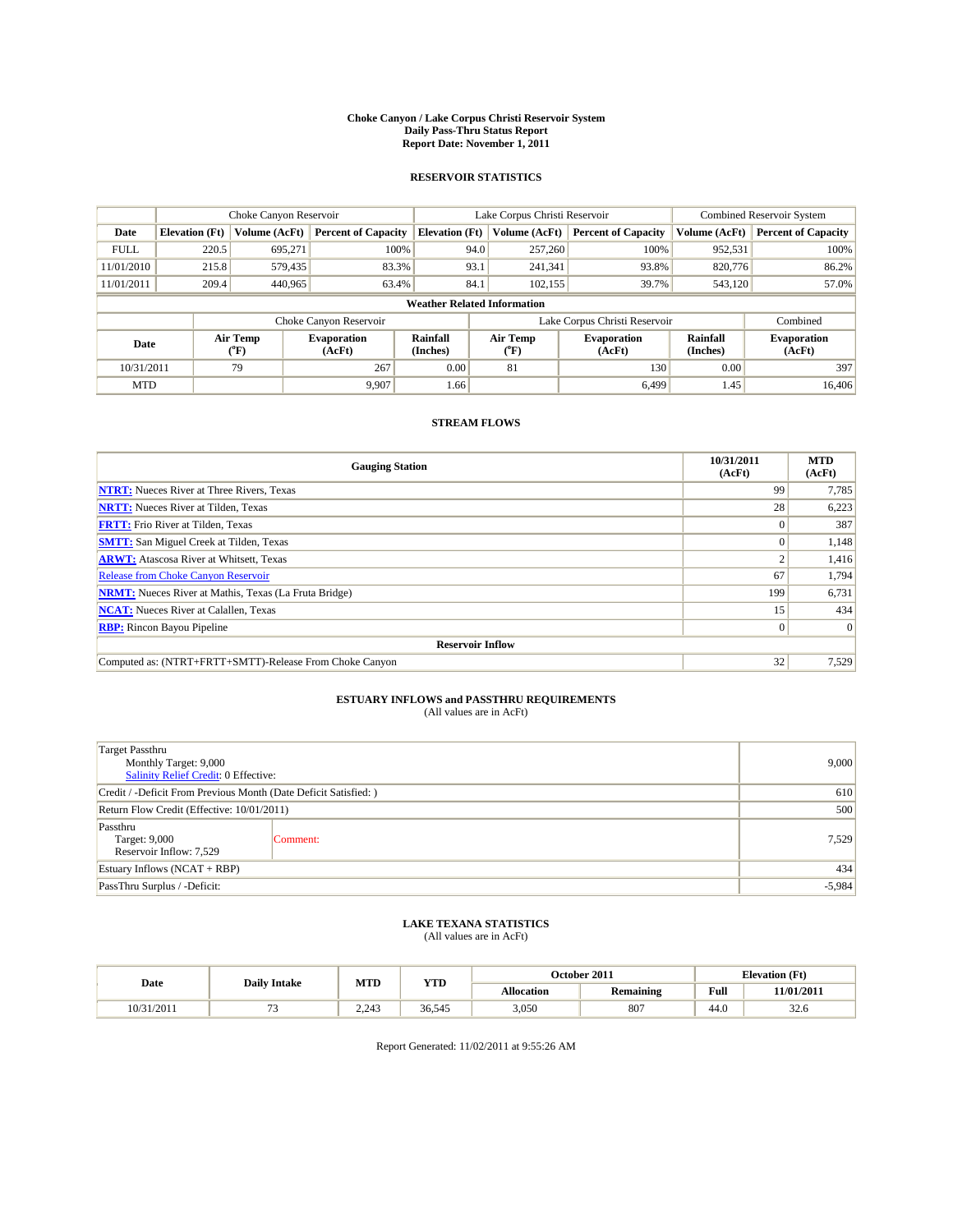#### **Choke Canyon / Lake Corpus Christi Reservoir System Daily Pass-Thru Status Report Report Date: November 1, 2011**

### **RESERVOIR STATISTICS**

|             | Choke Canyon Reservoir             |                  |                              |                       | Lake Corpus Christi Reservoir | <b>Combined Reservoir System</b> |                      |                              |  |  |
|-------------|------------------------------------|------------------|------------------------------|-----------------------|-------------------------------|----------------------------------|----------------------|------------------------------|--|--|
| Date        | <b>Elevation</b> (Ft)              | Volume (AcFt)    | <b>Percent of Capacity</b>   | <b>Elevation (Ft)</b> | Volume (AcFt)                 | <b>Percent of Capacity</b>       | Volume (AcFt)        | <b>Percent of Capacity</b>   |  |  |
| <b>FULL</b> | 220.5                              | 695,271          | 100%                         | 94.0                  | 257,260                       | 100%                             | 952,531              | 100%                         |  |  |
| 11/01/2010  | 215.8                              | 579,435          | 83.3%                        | 93.1                  | 241,341                       | 93.8%                            | 820,776              | 86.2%                        |  |  |
| 11/01/2011  | 209.4                              | 440,965          | 63.4%                        | 84.1                  | 102.155                       | 39.7%                            | 543,120              | 57.0%                        |  |  |
|             | <b>Weather Related Information</b> |                  |                              |                       |                               |                                  |                      |                              |  |  |
|             |                                    |                  | Choke Canyon Reservoir       |                       |                               | Lake Corpus Christi Reservoir    |                      | Combined                     |  |  |
| Date        |                                    | Air Temp<br>(°F) | <b>Evaporation</b><br>(AcFt) | Rainfall<br>(Inches)  | Air Temp<br>("F)              | <b>Evaporation</b><br>(AcFt)     | Rainfall<br>(Inches) | <b>Evaporation</b><br>(AcFt) |  |  |
| 10/31/2011  |                                    | 79               | 267                          | 0.00                  | 81                            | 130                              | 0.00                 | 397                          |  |  |
| <b>MTD</b>  |                                    |                  | 9.907                        | 1.66                  |                               | 6,499                            | 1.45                 | 16,406                       |  |  |

### **STREAM FLOWS**

| <b>Gauging Station</b>                                       | 10/31/2011<br>(AcFt) | <b>MTD</b><br>(AcFt) |
|--------------------------------------------------------------|----------------------|----------------------|
| <b>NTRT:</b> Nueces River at Three Rivers, Texas             | 99                   | 7,785                |
| <b>NRTT:</b> Nueces River at Tilden, Texas                   | 28                   | 6,223                |
| <b>FRTT:</b> Frio River at Tilden, Texas                     |                      | 387                  |
| <b>SMTT:</b> San Miguel Creek at Tilden, Texas               | $\theta$             | 1,148                |
| <b>ARWT:</b> Atascosa River at Whitsett, Texas               |                      | 1,416                |
| <b>Release from Choke Canyon Reservoir</b>                   | 67                   | 1,794                |
| <b>NRMT:</b> Nueces River at Mathis, Texas (La Fruta Bridge) | 199                  | 6,731                |
| <b>NCAT:</b> Nueces River at Calallen, Texas                 | 15                   | 434                  |
| <b>RBP:</b> Rincon Bayou Pipeline                            | $\overline{0}$       | $\Omega$             |
| <b>Reservoir Inflow</b>                                      |                      |                      |
| Computed as: (NTRT+FRTT+SMTT)-Release From Choke Canyon      | 32                   | 7,529                |

# **ESTUARY INFLOWS and PASSTHRU REQUIREMENTS**<br>(All values are in AcFt)

| <b>Target Passthru</b><br>Monthly Target: 9,000<br>Salinity Relief Credit: 0 Effective: | 9,000    |       |
|-----------------------------------------------------------------------------------------|----------|-------|
| Credit / -Deficit From Previous Month (Date Deficit Satisfied: )                        | 610      |       |
| Return Flow Credit (Effective: 10/01/2011)                                              | 500      |       |
| Passthru<br>Target: 9,000<br>Reservoir Inflow: 7,529                                    | Comment: | 7,529 |
| Estuary Inflows (NCAT + RBP)                                                            | 434      |       |
| PassThru Surplus / -Deficit:                                                            | $-5,984$ |       |

## **LAKE TEXANA STATISTICS** (All values are in AcFt)

|            | <b>Daily Intake</b> | MTD   | <b>YTD</b> |                   | October 2011     |                                             | <b>Elevation</b> (Ft) |
|------------|---------------------|-------|------------|-------------------|------------------|---------------------------------------------|-----------------------|
| Date       |                     |       |            | <b>Allocation</b> | <b>Remaining</b> | Full<br>the contract of the contract of the | 11/01/2011            |
| 10/31/2011 |                     | 2.243 | 36.545     | 3,050             | 807              | 44.0                                        | $\sim$<br>32.O        |

Report Generated: 11/02/2011 at 9:55:26 AM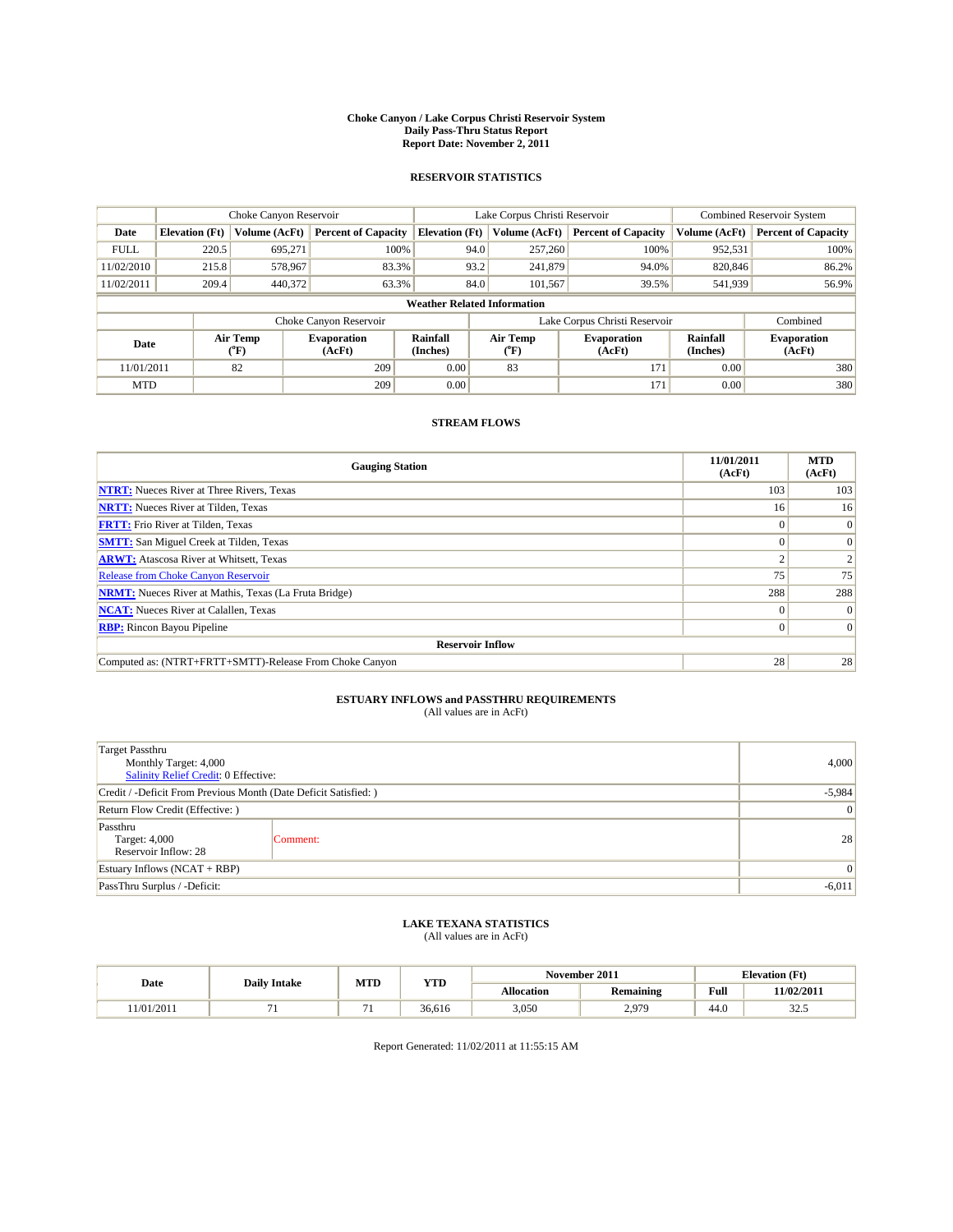#### **Choke Canyon / Lake Corpus Christi Reservoir System Daily Pass-Thru Status Report Report Date: November 2, 2011**

### **RESERVOIR STATISTICS**

|             | Choke Canyon Reservoir             |                  |                            |                       | Lake Corpus Christi Reservoir | Combined Reservoir System     |                      |                              |  |
|-------------|------------------------------------|------------------|----------------------------|-----------------------|-------------------------------|-------------------------------|----------------------|------------------------------|--|
| Date        | <b>Elevation</b> (Ft)              | Volume (AcFt)    | <b>Percent of Capacity</b> | <b>Elevation</b> (Ft) | Volume (AcFt)                 | <b>Percent of Capacity</b>    | Volume (AcFt)        | <b>Percent of Capacity</b>   |  |
| <b>FULL</b> | 220.5                              | 695,271          | 100%                       | 94.0                  | 257,260                       | 100%                          | 952,531              | 100%                         |  |
| 11/02/2010  | 215.8                              | 578,967          | 83.3%                      | 93.2                  | 241,879                       | 94.0%                         | 820,846              | 86.2%                        |  |
| 11/02/2011  | 209.4                              | 440,372          | 63.3%                      | 84.0                  | 101.567                       | 39.5%                         | 541,939              | 56.9%                        |  |
|             | <b>Weather Related Information</b> |                  |                            |                       |                               |                               |                      |                              |  |
|             |                                    |                  | Choke Canyon Reservoir     |                       |                               | Lake Corpus Christi Reservoir |                      | Combined                     |  |
| Date        |                                    | Air Temp<br>(°F) | Evaporation<br>(AcFt)      | Rainfall<br>(Inches)  | Air Temp<br>("F)              | <b>Evaporation</b><br>(AcFt)  | Rainfall<br>(Inches) | <b>Evaporation</b><br>(AcFt) |  |
| 11/01/2011  |                                    | 82               | 209                        | 0.00                  | 83                            | 171                           | 0.00                 | 380                          |  |
| <b>MTD</b>  |                                    |                  | 209                        | 0.00                  |                               | 171                           | 0.00                 | 380                          |  |

### **STREAM FLOWS**

| <b>Gauging Station</b>                                       | 11/01/2011<br>(AcFt) | <b>MTD</b><br>(AcFt) |
|--------------------------------------------------------------|----------------------|----------------------|
| <b>NTRT:</b> Nueces River at Three Rivers, Texas             | 103                  | 103                  |
| <b>NRTT:</b> Nueces River at Tilden, Texas                   | 16                   | 16                   |
| <b>FRTT:</b> Frio River at Tilden, Texas                     |                      | $\Omega$             |
| <b>SMTT:</b> San Miguel Creek at Tilden, Texas               |                      | $\Omega$             |
| <b>ARWT:</b> Atascosa River at Whitsett, Texas               |                      |                      |
| <b>Release from Choke Canyon Reservoir</b>                   | 75                   | 75                   |
| <b>NRMT:</b> Nueces River at Mathis, Texas (La Fruta Bridge) | 288                  | 288                  |
| <b>NCAT:</b> Nueces River at Calallen, Texas                 | $^{\circ}$           | $\Omega$             |
| <b>RBP:</b> Rincon Bayou Pipeline                            | $\overline{0}$       | $\Omega$             |
| <b>Reservoir Inflow</b>                                      |                      |                      |
| Computed as: (NTRT+FRTT+SMTT)-Release From Choke Canyon      | 28                   | 28                   |

# **ESTUARY INFLOWS and PASSTHRU REQUIREMENTS**<br>(All values are in AcFt)

| <b>Target Passthru</b><br>Monthly Target: 4,000<br><b>Salinity Relief Credit: 0 Effective:</b> | 4,000           |    |
|------------------------------------------------------------------------------------------------|-----------------|----|
| Credit / -Deficit From Previous Month (Date Deficit Satisfied: )                               | $-5,984$        |    |
| Return Flow Credit (Effective: )                                                               | 0               |    |
| Passthru<br>Target: 4,000<br>Reservoir Inflow: 28                                              | Comment:        | 28 |
| Estuary Inflows $(NCAT + RBP)$                                                                 | $\vert 0 \vert$ |    |
| PassThru Surplus / -Deficit:                                                                   | $-6,011$        |    |

## **LAKE TEXANA STATISTICS** (All values are in AcFt)

|           | <b>Daily Intake</b> | MTD                      | <b>YTD</b> |                   | November 2011    | <b>Elevation</b> (Ft)                       |            |
|-----------|---------------------|--------------------------|------------|-------------------|------------------|---------------------------------------------|------------|
| Date      |                     |                          |            | <b>Allocation</b> | <b>Remaining</b> | Full<br>the contract of the contract of the | 11/02/2011 |
| 1/01/2011 |                     | $\overline{\phantom{0}}$ | 36.616     | 3,050             | 0.070<br>ا رہے   | 44.0                                        | ن. ے ر     |

Report Generated: 11/02/2011 at 11:55:15 AM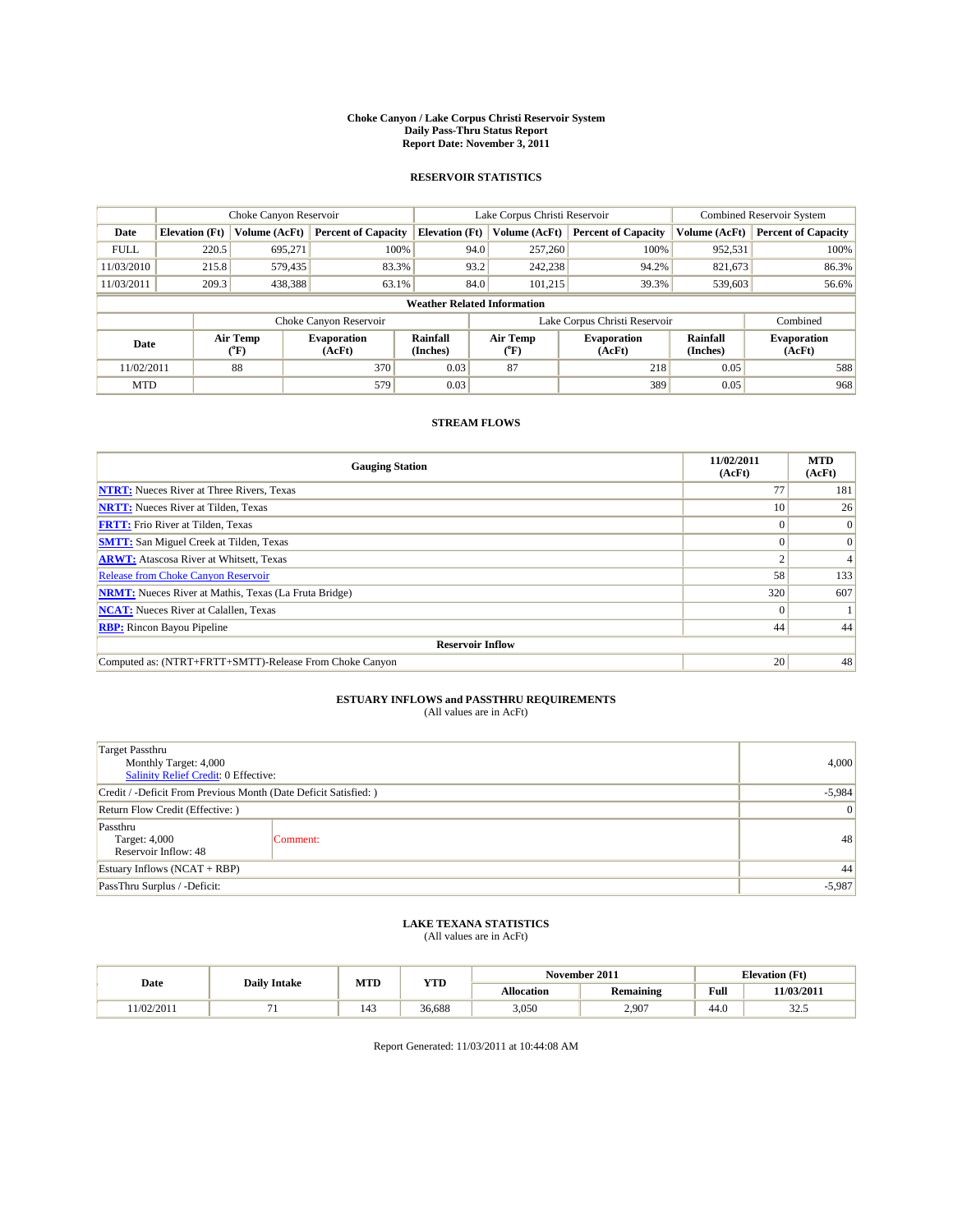#### **Choke Canyon / Lake Corpus Christi Reservoir System Daily Pass-Thru Status Report Report Date: November 3, 2011**

### **RESERVOIR STATISTICS**

|             | Choke Canyon Reservoir             |                  |                              |                       | Lake Corpus Christi Reservoir |                               |                      | Combined Reservoir System    |  |  |
|-------------|------------------------------------|------------------|------------------------------|-----------------------|-------------------------------|-------------------------------|----------------------|------------------------------|--|--|
| Date        | <b>Elevation</b> (Ft)              | Volume (AcFt)    | <b>Percent of Capacity</b>   | <b>Elevation (Ft)</b> | Volume (AcFt)                 | <b>Percent of Capacity</b>    | Volume (AcFt)        | <b>Percent of Capacity</b>   |  |  |
| <b>FULL</b> | 220.5                              | 695,271          | 100%                         | 94.0                  | 257,260                       | 100%                          | 952,531              | 100%                         |  |  |
| 11/03/2010  | 215.8                              | 579,435          | 83.3%                        | 93.2                  | 242,238                       | 94.2%                         | 821,673              | 86.3%                        |  |  |
| 11/03/2011  | 209.3                              | 438,388          | 63.1%                        | 84.0                  | 101.215                       | 39.3%                         | 539,603              | 56.6%                        |  |  |
|             | <b>Weather Related Information</b> |                  |                              |                       |                               |                               |                      |                              |  |  |
|             |                                    |                  | Choke Canyon Reservoir       |                       |                               | Lake Corpus Christi Reservoir |                      | Combined                     |  |  |
| Date        |                                    | Air Temp<br>(°F) | <b>Evaporation</b><br>(AcFt) | Rainfall<br>(Inches)  | Air Temp<br>("F)              | <b>Evaporation</b><br>(AcFt)  | Rainfall<br>(Inches) | <b>Evaporation</b><br>(AcFt) |  |  |
| 11/02/2011  |                                    | 88               | 370                          | 0.03                  | 87                            | 218                           | 0.05                 | 588                          |  |  |
| <b>MTD</b>  |                                    |                  | 579                          | 0.03                  |                               | 389                           | 0.05                 | 968                          |  |  |

### **STREAM FLOWS**

| <b>Gauging Station</b>                                       | 11/02/2011<br>(AcFt) | <b>MTD</b><br>(AcFt) |
|--------------------------------------------------------------|----------------------|----------------------|
| <b>NTRT:</b> Nueces River at Three Rivers, Texas             | 77                   | 181                  |
| <b>NRTT:</b> Nueces River at Tilden, Texas                   | 10                   | 26                   |
| <b>FRTT:</b> Frio River at Tilden, Texas                     |                      | $\theta$             |
| <b>SMTT:</b> San Miguel Creek at Tilden, Texas               |                      | $\Omega$             |
| <b>ARWT:</b> Atascosa River at Whitsett, Texas               |                      | 4                    |
| <b>Release from Choke Canyon Reservoir</b>                   | 58                   | 133                  |
| <b>NRMT:</b> Nueces River at Mathis, Texas (La Fruta Bridge) | 320                  | 607                  |
| <b>NCAT:</b> Nueces River at Calallen, Texas                 | $\theta$             |                      |
| <b>RBP:</b> Rincon Bayou Pipeline                            | 44                   | 44                   |
| <b>Reservoir Inflow</b>                                      |                      |                      |
| Computed as: (NTRT+FRTT+SMTT)-Release From Choke Canyon      | 20                   | 48                   |

# **ESTUARY INFLOWS and PASSTHRU REQUIREMENTS**<br>(All values are in AcFt)

| <b>Target Passthru</b><br>Monthly Target: 4,000<br><b>Salinity Relief Credit: 0 Effective:</b> | 4,000           |    |
|------------------------------------------------------------------------------------------------|-----------------|----|
| Credit / -Deficit From Previous Month (Date Deficit Satisfied: )                               | $-5,984$        |    |
| Return Flow Credit (Effective: )                                                               | $\vert 0 \vert$ |    |
| Passthru<br>Target: 4,000<br>Reservoir Inflow: 48                                              | Comment:        | 48 |
| Estuary Inflows (NCAT + RBP)                                                                   | 44              |    |
| PassThru Surplus / -Deficit:                                                                   | $-5,987$        |    |

## **LAKE TEXANA STATISTICS** (All values are in AcFt)

|           | <b>Daily Intake</b> | MTD                   | <b>YTD</b> |            | November 2011    | <b>Elevation</b> (Ft) |            |
|-----------|---------------------|-----------------------|------------|------------|------------------|-----------------------|------------|
| Date      |                     |                       |            | Allocation | <b>Remaining</b> | Full                  | 11/03/2011 |
| 1/02/2011 |                     | $\overline{A}$<br>143 | 36.688     | 3,050      | 2,907            | 44.0                  | າາ<br>32.J |

Report Generated: 11/03/2011 at 10:44:08 AM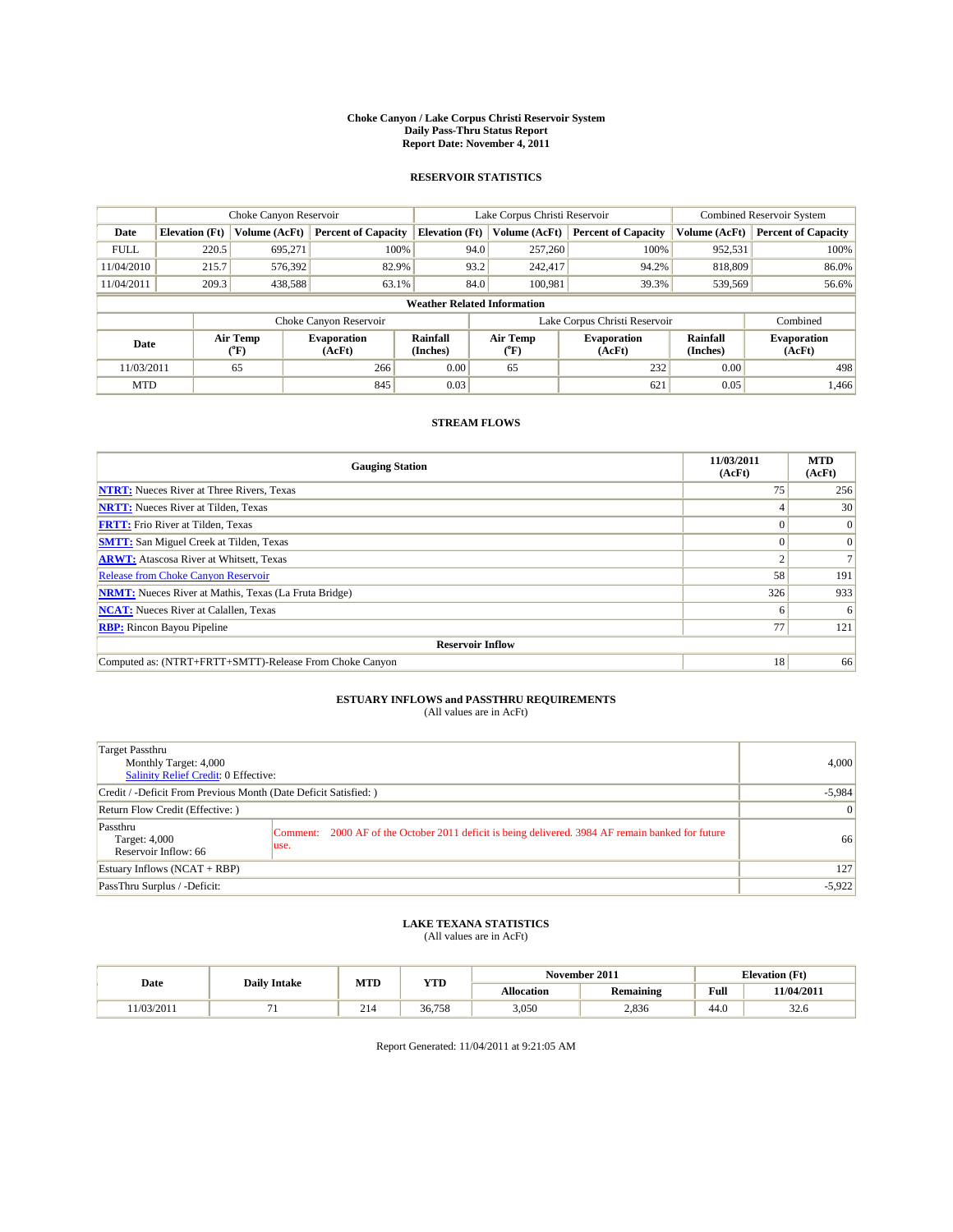#### **Choke Canyon / Lake Corpus Christi Reservoir System Daily Pass-Thru Status Report Report Date: November 4, 2011**

### **RESERVOIR STATISTICS**

|             | Choke Canyon Reservoir             |                  |                              |                       | Lake Corpus Christi Reservoir |                               |                      | Combined Reservoir System    |  |  |
|-------------|------------------------------------|------------------|------------------------------|-----------------------|-------------------------------|-------------------------------|----------------------|------------------------------|--|--|
| Date        | <b>Elevation</b> (Ft)              | Volume (AcFt)    | <b>Percent of Capacity</b>   | <b>Elevation (Ft)</b> | Volume (AcFt)                 | <b>Percent of Capacity</b>    | Volume (AcFt)        | <b>Percent of Capacity</b>   |  |  |
| <b>FULL</b> | 220.5                              | 695,271          | 100%                         |                       | 257,260<br>94.0               | 100%                          | 952,531              | 100%                         |  |  |
| 11/04/2010  | 215.7                              | 576,392          | 82.9%                        | 93.2                  | 242,417                       | 94.2%                         | 818,809              | 86.0%                        |  |  |
| 11/04/2011  | 209.3                              | 438,588          | 63.1%                        |                       | 84.0<br>100,981               | 39.3%                         | 539,569              | 56.6%                        |  |  |
|             | <b>Weather Related Information</b> |                  |                              |                       |                               |                               |                      |                              |  |  |
|             |                                    |                  | Choke Canyon Reservoir       |                       |                               | Lake Corpus Christi Reservoir |                      | Combined                     |  |  |
| Date        |                                    | Air Temp<br>(°F) | <b>Evaporation</b><br>(AcFt) | Rainfall<br>(Inches)  | Air Temp<br>("F)              | <b>Evaporation</b><br>(AcFt)  | Rainfall<br>(Inches) | <b>Evaporation</b><br>(AcFt) |  |  |
| 11/03/2011  |                                    | 65               | 266                          | 0.00                  | 65                            | 232                           | 0.00                 | 498                          |  |  |
| <b>MTD</b>  |                                    |                  | 845                          | 0.03                  |                               | 621                           | 0.05                 | 1.466                        |  |  |

### **STREAM FLOWS**

| <b>Gauging Station</b>                                       | 11/03/2011<br>(AcFt) | <b>MTD</b><br>(AcFt) |
|--------------------------------------------------------------|----------------------|----------------------|
| <b>NTRT:</b> Nueces River at Three Rivers, Texas             | 75                   | 256                  |
| <b>NRTT:</b> Nueces River at Tilden, Texas                   |                      | 30                   |
| <b>FRTT:</b> Frio River at Tilden, Texas                     |                      | $\Omega$             |
| <b>SMTT:</b> San Miguel Creek at Tilden, Texas               |                      | $\Omega$             |
| <b>ARWT:</b> Atascosa River at Whitsett, Texas               |                      |                      |
| <b>Release from Choke Canyon Reservoir</b>                   | 58                   | 191                  |
| <b>NRMT:</b> Nueces River at Mathis, Texas (La Fruta Bridge) | 326                  | 933                  |
| <b>NCAT:</b> Nueces River at Calallen, Texas                 | <sub>0</sub>         | 6                    |
| <b>RBP:</b> Rincon Bayou Pipeline                            | 77                   | 121                  |
| <b>Reservoir Inflow</b>                                      |                      |                      |
| Computed as: (NTRT+FRTT+SMTT)-Release From Choke Canyon      | 18                   | 66                   |

## **ESTUARY INFLOWS and PASSTHRU REQUIREMENTS**<br>(All values are in AcFt)

| Target Passthru<br>Monthly Target: 4,000<br>Salinity Relief Credit: 0 Effective: |                                                                                                            | 4,000           |
|----------------------------------------------------------------------------------|------------------------------------------------------------------------------------------------------------|-----------------|
| Credit / -Deficit From Previous Month (Date Deficit Satisfied: )                 |                                                                                                            | $-5,984$        |
| Return Flow Credit (Effective: )                                                 |                                                                                                            | $\vert 0 \vert$ |
| Passthru<br>Target: 4,000<br>Reservoir Inflow: 66                                | Comment: 2000 AF of the October 2011 deficit is being delivered. 3984 AF remain banked for future<br>luse. | 66              |
| Estuary Inflows $(NCAT + RBP)$                                                   |                                                                                                            | 127             |
| PassThru Surplus / -Deficit:                                                     |                                                                                                            | $-5,922$        |

## **LAKE TEXANA STATISTICS** (All values are in AcFt)

|           |                     | MTD | <b>YTD</b> |            | November 2011    | <b>Elevation</b> (Ft) |                        |
|-----------|---------------------|-----|------------|------------|------------------|-----------------------|------------------------|
| Date      | <b>Daily Intake</b> |     |            | Allocation | <b>Remaining</b> | Full                  | <b>11/04/2011</b>      |
| 1/03/2011 |                     | 214 | 36,758     | 3,050      | 2,836            | 44.0                  | $\overline{ }$<br>32.O |

Report Generated: 11/04/2011 at 9:21:05 AM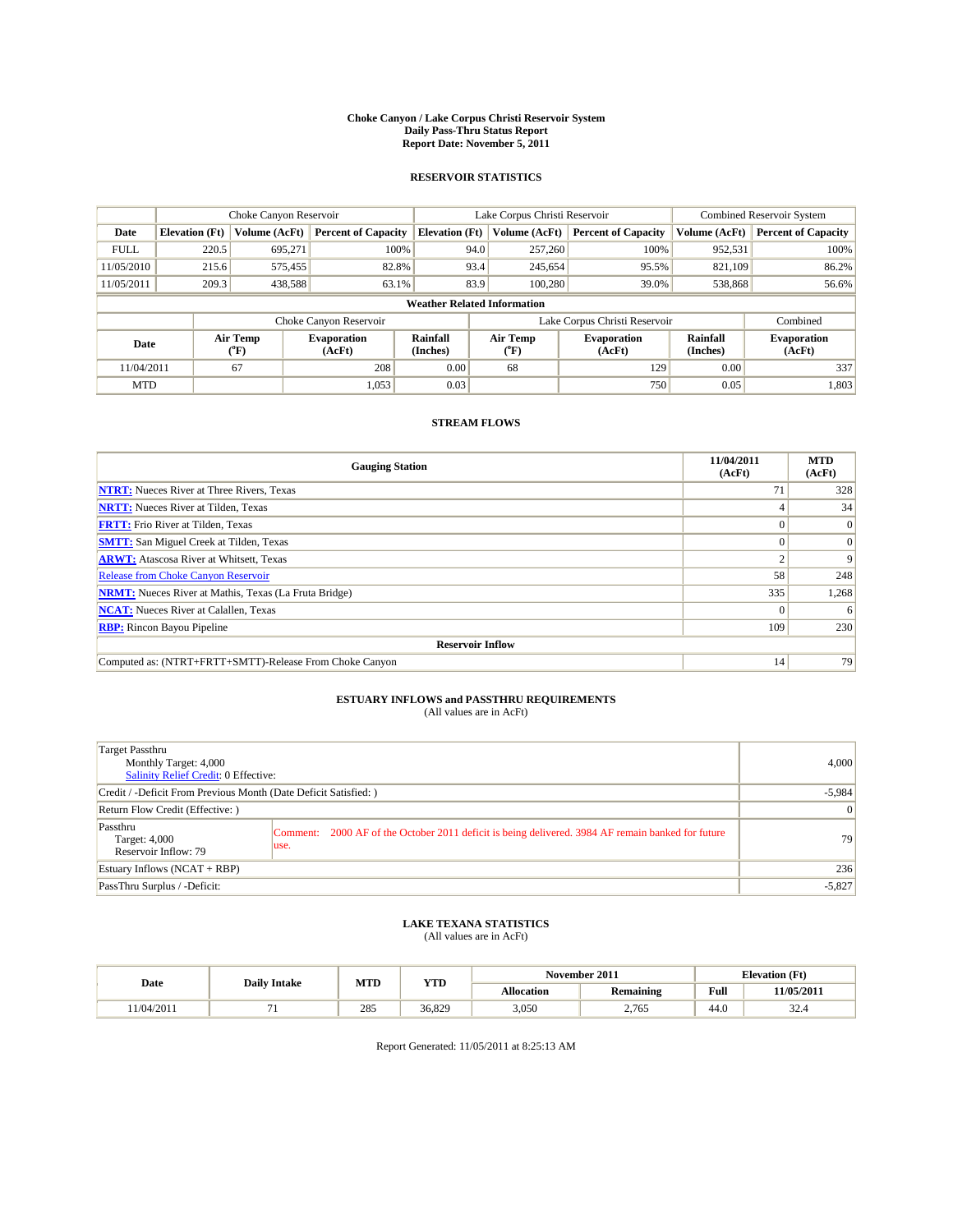#### **Choke Canyon / Lake Corpus Christi Reservoir System Daily Pass-Thru Status Report Report Date: November 5, 2011**

### **RESERVOIR STATISTICS**

|             | Choke Canyon Reservoir             |                  |                              |                       | Lake Corpus Christi Reservoir |                  |                               | Combined Reservoir System |                              |  |
|-------------|------------------------------------|------------------|------------------------------|-----------------------|-------------------------------|------------------|-------------------------------|---------------------------|------------------------------|--|
| Date        | <b>Elevation</b> (Ft)              | Volume (AcFt)    | <b>Percent of Capacity</b>   | <b>Elevation</b> (Ft) |                               | Volume (AcFt)    | <b>Percent of Capacity</b>    | Volume (AcFt)             | <b>Percent of Capacity</b>   |  |
| <b>FULL</b> | 220.5                              | 695,271          | 100%                         |                       | 94.0                          | 257,260          | 100%                          | 952,531                   | 100%                         |  |
| 11/05/2010  | 215.6                              | 575,455          | 82.8%                        |                       | 93.4                          | 245,654          | 95.5%                         | 821,109                   | 86.2%                        |  |
| 11/05/2011  | 209.3                              | 438,588          | 63.1%                        |                       | 83.9                          | 100.280          | 39.0%                         | 538,868                   | 56.6%                        |  |
|             | <b>Weather Related Information</b> |                  |                              |                       |                               |                  |                               |                           |                              |  |
|             |                                    |                  | Choke Canyon Reservoir       |                       |                               |                  | Lake Corpus Christi Reservoir |                           | Combined                     |  |
| Date        |                                    | Air Temp<br>(°F) | <b>Evaporation</b><br>(AcFt) | Rainfall<br>(Inches)  |                               | Air Temp<br>("F) | <b>Evaporation</b><br>(AcFt)  | Rainfall<br>(Inches)      | <b>Evaporation</b><br>(AcFt) |  |
| 11/04/2011  |                                    | 67               | 208                          | 0.00                  |                               | 68               | 129                           | 0.00                      | 337                          |  |
| <b>MTD</b>  |                                    |                  | 1,053                        | 0.03                  |                               |                  | 750                           | 0.05                      | 1,803                        |  |

### **STREAM FLOWS**

| <b>Gauging Station</b>                                       | 11/04/2011<br>(AcFt) | <b>MTD</b><br>(AcFt) |
|--------------------------------------------------------------|----------------------|----------------------|
| <b>NTRT:</b> Nueces River at Three Rivers, Texas             | 71                   | 328                  |
| <b>NRTT:</b> Nueces River at Tilden, Texas                   |                      | 34                   |
| <b>FRTT:</b> Frio River at Tilden, Texas                     |                      | $\Omega$             |
| <b>SMTT:</b> San Miguel Creek at Tilden, Texas               |                      | $\Omega$             |
| <b>ARWT:</b> Atascosa River at Whitsett, Texas               |                      | 9                    |
| Release from Choke Canyon Reservoir                          | 58                   | 248                  |
| <b>NRMT:</b> Nueces River at Mathis, Texas (La Fruta Bridge) | 335                  | 1,268                |
| <b>NCAT:</b> Nueces River at Calallen, Texas                 |                      | 6                    |
| <b>RBP:</b> Rincon Bayou Pipeline                            | 109                  | 230                  |
| <b>Reservoir Inflow</b>                                      |                      |                      |
| Computed as: (NTRT+FRTT+SMTT)-Release From Choke Canyon      | 14                   | 79                   |

# **ESTUARY INFLOWS and PASSTHRU REQUIREMENTS**<br>(All values are in AcFt)

| Target Passthru<br>Monthly Target: 4,000<br>Salinity Relief Credit: 0 Effective: |                                                                                                           | 4,000           |
|----------------------------------------------------------------------------------|-----------------------------------------------------------------------------------------------------------|-----------------|
| Credit / -Deficit From Previous Month (Date Deficit Satisfied: )                 | $-5,984$                                                                                                  |                 |
| Return Flow Credit (Effective:)                                                  |                                                                                                           | $\vert 0 \vert$ |
| Passthru<br>Target: 4,000<br>Reservoir Inflow: 79                                | Comment: 2000 AF of the October 2011 deficit is being delivered. 3984 AF remain banked for future<br>use. | 79 <sub>1</sub> |
| Estuary Inflows (NCAT + RBP)                                                     |                                                                                                           | 236             |
| PassThru Surplus / -Deficit:                                                     |                                                                                                           | $-5,827$        |

## **LAKE TEXANA STATISTICS** (All values are in AcFt)

|           | <b>Daily Intake</b> | MTD | <b>YTD</b> |            | November 2011    |                                             | <b>Elevation</b> (Ft) |
|-----------|---------------------|-----|------------|------------|------------------|---------------------------------------------|-----------------------|
| Date      |                     |     |            | Allocation | <b>Remaining</b> | Full<br>the contract of the contract of the | 11/05/2011            |
| 1/04/2011 |                     | 285 | 36,829     | 3,050      | 2.765            | 44.0                                        | $\sim$<br>ا∸. ے ر     |

Report Generated: 11/05/2011 at 8:25:13 AM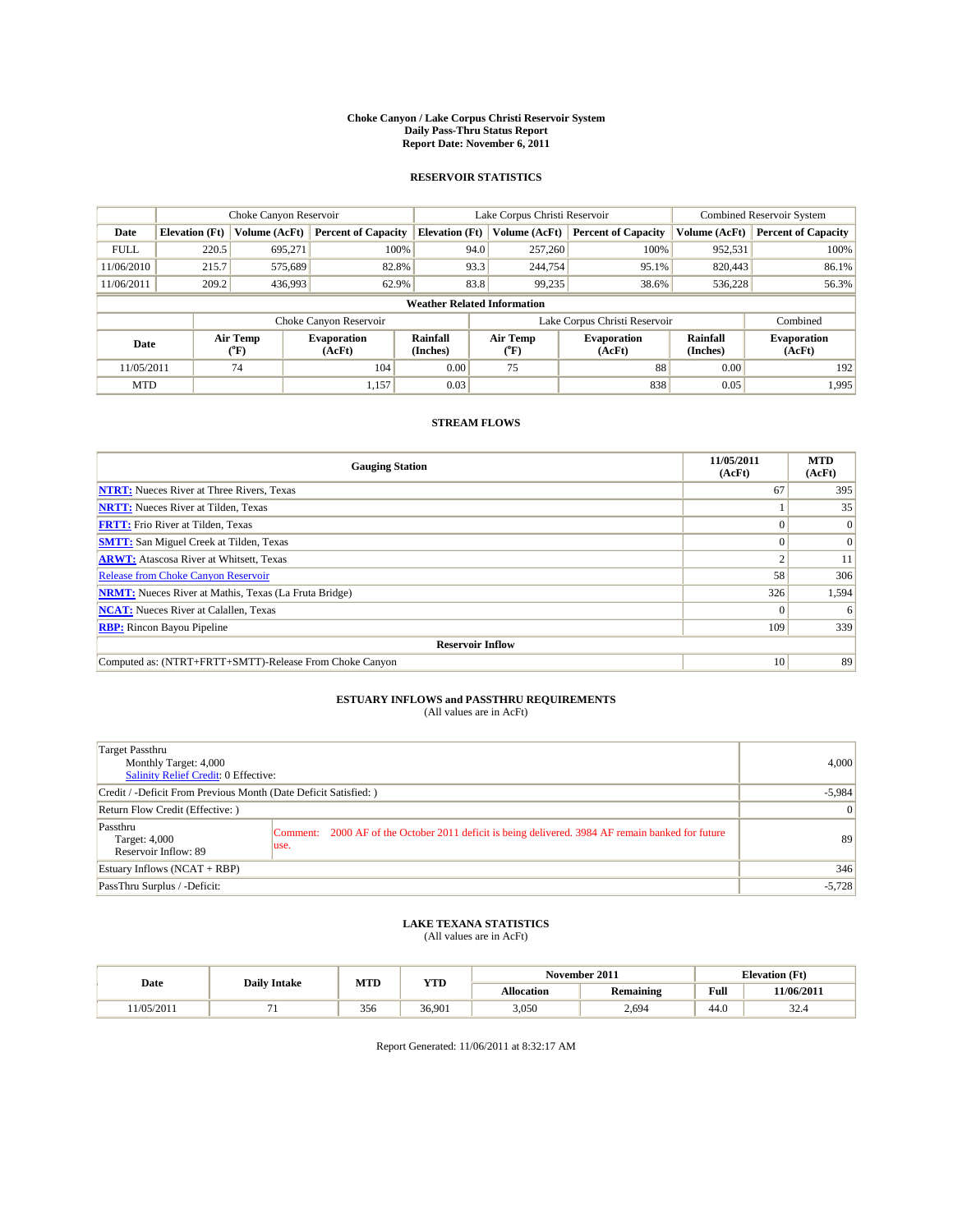#### **Choke Canyon / Lake Corpus Christi Reservoir System Daily Pass-Thru Status Report Report Date: November 6, 2011**

### **RESERVOIR STATISTICS**

|             | Choke Canyon Reservoir             |                  |                              |                             | Lake Corpus Christi Reservoir |                               |                      | <b>Combined Reservoir System</b> |  |  |
|-------------|------------------------------------|------------------|------------------------------|-----------------------------|-------------------------------|-------------------------------|----------------------|----------------------------------|--|--|
| Date        | <b>Elevation</b> (Ft)              | Volume (AcFt)    | <b>Percent of Capacity</b>   | <b>Elevation</b> (Ft)       | Volume (AcFt)                 | <b>Percent of Capacity</b>    | Volume (AcFt)        | <b>Percent of Capacity</b>       |  |  |
| <b>FULL</b> | 220.5                              | 695,271          | 100%                         | 94.0                        | 257,260                       | 100%                          | 952,531              | 100%                             |  |  |
| 11/06/2010  | 215.7                              | 575,689          | 82.8%                        | 93.3                        | 244,754                       | 95.1%                         | 820,443              | 86.1%                            |  |  |
| 11/06/2011  | 209.2                              | 436,993          | 62.9%                        | 83.8                        | 99,235                        | 38.6%                         | 536,228              | 56.3%                            |  |  |
|             | <b>Weather Related Information</b> |                  |                              |                             |                               |                               |                      |                                  |  |  |
|             |                                    |                  | Choke Canyon Reservoir       |                             |                               | Lake Corpus Christi Reservoir |                      | Combined                         |  |  |
| Date        |                                    | Air Temp<br>(°F) | <b>Evaporation</b><br>(AcFt) | <b>Rainfall</b><br>(Inches) | Air Temp<br>(°F)              | <b>Evaporation</b><br>(AcFt)  | Rainfall<br>(Inches) | <b>Evaporation</b><br>(AcFt)     |  |  |
| 11/05/2011  |                                    | 74               | 104                          | 0.00                        | 75                            | 88                            | 0.00                 | 192                              |  |  |
| <b>MTD</b>  |                                    |                  | 1,157                        | 0.03                        |                               | 838                           | 0.05                 | 1.995                            |  |  |

### **STREAM FLOWS**

| <b>Gauging Station</b>                                       | 11/05/2011<br>(AcFt) | <b>MTD</b><br>(AcFt) |
|--------------------------------------------------------------|----------------------|----------------------|
| <b>NTRT:</b> Nueces River at Three Rivers, Texas             | 67                   | 395                  |
| <b>NRTT:</b> Nueces River at Tilden, Texas                   |                      | 35                   |
| <b>FRTT:</b> Frio River at Tilden, Texas                     |                      | $\Omega$             |
| <b>SMTT:</b> San Miguel Creek at Tilden, Texas               |                      | $\Omega$             |
| <b>ARWT:</b> Atascosa River at Whitsett, Texas               |                      | 11                   |
| <b>Release from Choke Canyon Reservoir</b>                   | 58                   | 306                  |
| <b>NRMT:</b> Nueces River at Mathis, Texas (La Fruta Bridge) | 326                  | 1,594                |
| <b>NCAT:</b> Nueces River at Calallen, Texas                 | $\Omega$             | 6                    |
| <b>RBP:</b> Rincon Bayou Pipeline                            | 109                  | 339                  |
| <b>Reservoir Inflow</b>                                      |                      |                      |
| Computed as: (NTRT+FRTT+SMTT)-Release From Choke Canyon      | 10                   | 89                   |

# **ESTUARY INFLOWS and PASSTHRU REQUIREMENTS**<br>(All values are in AcFt)

| Target Passthru<br>Monthly Target: 4,000<br><b>Salinity Relief Credit: 0 Effective:</b> |                                                                                                               | 4,000    |
|-----------------------------------------------------------------------------------------|---------------------------------------------------------------------------------------------------------------|----------|
| Credit / -Deficit From Previous Month (Date Deficit Satisfied: )                        | $-5,984$                                                                                                      |          |
| Return Flow Credit (Effective: )                                                        | $\vert 0 \vert$                                                                                               |          |
| Passthru<br>Target: 4,000<br>Reservoir Inflow: 89                                       | 2000 AF of the October 2011 deficit is being delivered. 3984 AF remain banked for future<br>Comment:<br>luse. | 89       |
| Estuary Inflows $(NCAT + RBP)$                                                          |                                                                                                               | 346      |
| PassThru Surplus / -Deficit:                                                            |                                                                                                               | $-5,728$ |

# **LAKE TEXANA STATISTICS** (All values are in AcFt)

|           |                     | MTD | <b>YTD</b> | November 2011 |           |      | <b>Elevation</b> (Ft) |  |
|-----------|---------------------|-----|------------|---------------|-----------|------|-----------------------|--|
| Date      | <b>Daily Intake</b> |     |            | Allocation    | Remaining | Full | 11/06/2011            |  |
| 1/05/2011 |                     | 356 | 36,901     | 3,050         | 2,694     | 44.0 | $\sim$<br>. 32.4      |  |

Report Generated: 11/06/2011 at 8:32:17 AM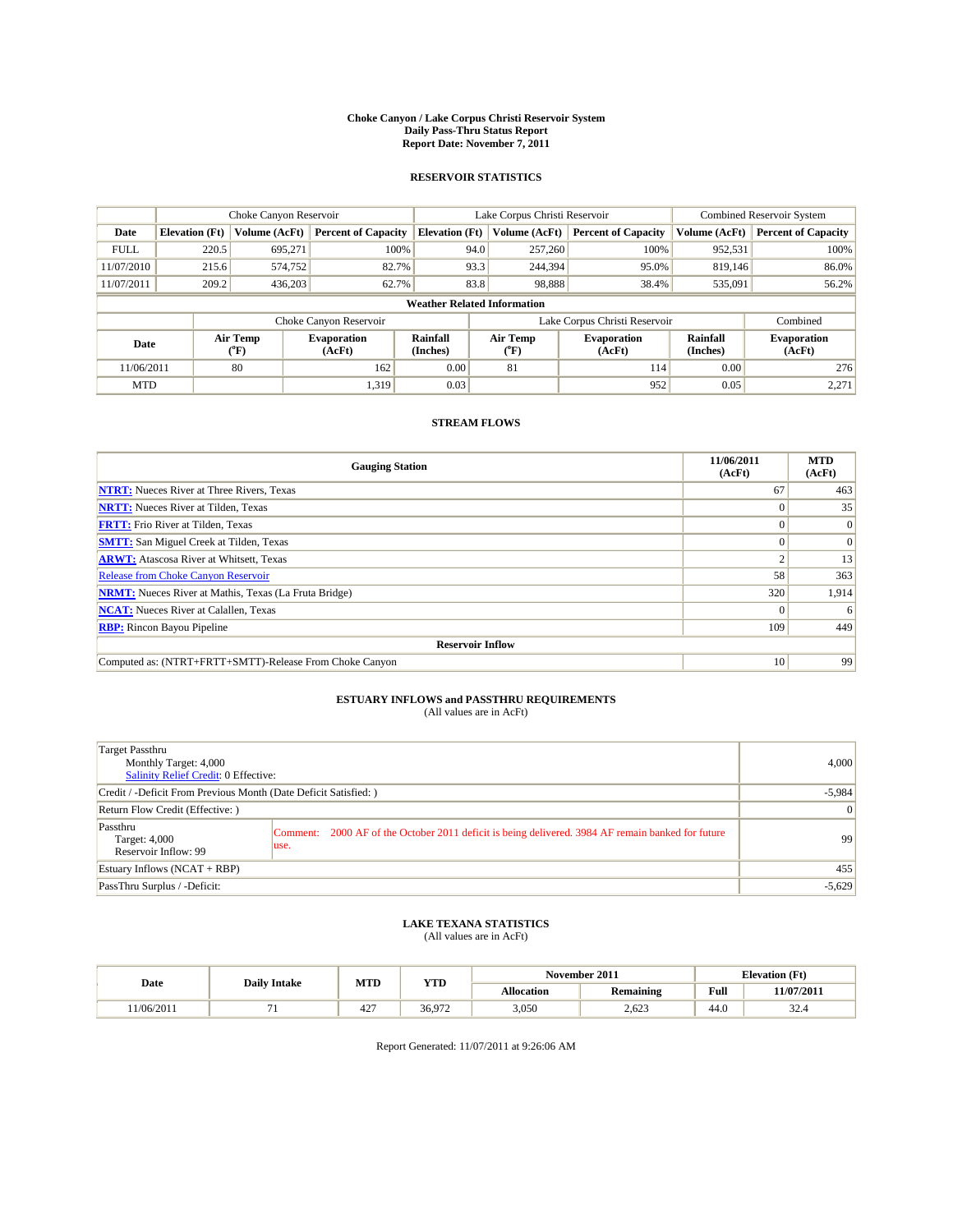#### **Choke Canyon / Lake Corpus Christi Reservoir System Daily Pass-Thru Status Report Report Date: November 7, 2011**

### **RESERVOIR STATISTICS**

|             | Choke Canyon Reservoir             |                            |                              |                             | Lake Corpus Christi Reservoir |                     |                              |                      | <b>Combined Reservoir System</b> |  |
|-------------|------------------------------------|----------------------------|------------------------------|-----------------------------|-------------------------------|---------------------|------------------------------|----------------------|----------------------------------|--|
| Date        | <b>Elevation</b> (Ft)              | Volume (AcFt)              | <b>Percent of Capacity</b>   | <b>Elevation</b> (Ft)       |                               | Volume (AcFt)       | <b>Percent of Capacity</b>   | Volume (AcFt)        | <b>Percent of Capacity</b>       |  |
| <b>FULL</b> | 220.5                              | 695.271                    | 100%                         |                             | 94.0                          | 257,260             | 100%                         | 952,531              | 100%                             |  |
| 11/07/2010  | 215.6                              | 574,752                    | 82.7%                        |                             | 93.3                          | 244,394             | 95.0%                        | 819.146              | 86.0%                            |  |
| 11/07/2011  | 209.2                              | 436,203                    | 62.7%                        |                             | 83.8                          | 98,888              | 38.4%                        | 535,091              | 56.2%                            |  |
|             | <b>Weather Related Information</b> |                            |                              |                             |                               |                     |                              |                      |                                  |  |
|             |                                    |                            | Choke Canyon Reservoir       |                             | Lake Corpus Christi Reservoir |                     |                              |                      | Combined                         |  |
| Date        |                                    | Air Temp<br>${}^{\circ}F)$ | <b>Evaporation</b><br>(AcFt) | <b>Rainfall</b><br>(Inches) |                               | Air Temp<br>$(^oF)$ | <b>Evaporation</b><br>(AcFt) | Rainfall<br>(Inches) | <b>Evaporation</b><br>(AcFt)     |  |
| 11/06/2011  |                                    | 80                         | 162                          | 0.00                        |                               | 81                  | 114                          | 0.00                 | 276                              |  |
| <b>MTD</b>  |                                    |                            | 1,319                        | 0.03                        |                               |                     | 952                          | 0.05                 | 2,271                            |  |

### **STREAM FLOWS**

| <b>Gauging Station</b>                                       | 11/06/2011<br>(AcFt) | <b>MTD</b><br>(AcFt) |
|--------------------------------------------------------------|----------------------|----------------------|
| <b>NTRT:</b> Nueces River at Three Rivers, Texas             | 67                   | 463                  |
| <b>NRTT:</b> Nueces River at Tilden, Texas                   |                      | 35                   |
| <b>FRTT:</b> Frio River at Tilden, Texas                     |                      | $\vert 0 \vert$      |
| <b>SMTT:</b> San Miguel Creek at Tilden, Texas               |                      | $\Omega$             |
| <b>ARWT:</b> Atascosa River at Whitsett, Texas               |                      | 13                   |
| <b>Release from Choke Canyon Reservoir</b>                   | 58                   | 363                  |
| <b>NRMT:</b> Nueces River at Mathis, Texas (La Fruta Bridge) | 320                  | 1,914                |
| <b>NCAT:</b> Nueces River at Calallen, Texas                 |                      | 6                    |
| <b>RBP:</b> Rincon Bayou Pipeline                            | 109                  | 449                  |
| <b>Reservoir Inflow</b>                                      |                      |                      |
| Computed as: (NTRT+FRTT+SMTT)-Release From Choke Canyon      | 10                   | 99                   |

# **ESTUARY INFLOWS and PASSTHRU REQUIREMENTS**<br>(All values are in AcFt)

| Target Passthru<br>Monthly Target: 4,000<br><b>Salinity Relief Credit: 0 Effective:</b> |                                                                                                               | 4,000    |
|-----------------------------------------------------------------------------------------|---------------------------------------------------------------------------------------------------------------|----------|
| Credit / -Deficit From Previous Month (Date Deficit Satisfied: )                        | $-5,984$                                                                                                      |          |
| Return Flow Credit (Effective: )                                                        | $\vert 0 \vert$                                                                                               |          |
| Passthru<br>Target: 4,000<br>Reservoir Inflow: 99                                       | 2000 AF of the October 2011 deficit is being delivered. 3984 AF remain banked for future<br>Comment:<br>luse. | 99       |
| Estuary Inflows $(NCAT + RBP)$                                                          |                                                                                                               | 455      |
| PassThru Surplus / -Deficit:                                                            |                                                                                                               | $-5,629$ |

# **LAKE TEXANA STATISTICS** (All values are in AcFt)

|           | <b>Daily Intake</b> | MTD        | <b>YTD</b> |                   | November 2011    | <b>Elevation</b> (Ft) |                   |
|-----------|---------------------|------------|------------|-------------------|------------------|-----------------------|-------------------|
| Date      |                     |            |            | <b>Allocation</b> | <b>Remaining</b> | Full                  | <b>11/07/2011</b> |
| 1/06/2011 |                     | 107<br>44. | 36.972     | 3,050             | 2,623            | $\sim$<br>44.0        | $\sim$<br>⊷ے ب    |

Report Generated: 11/07/2011 at 9:26:06 AM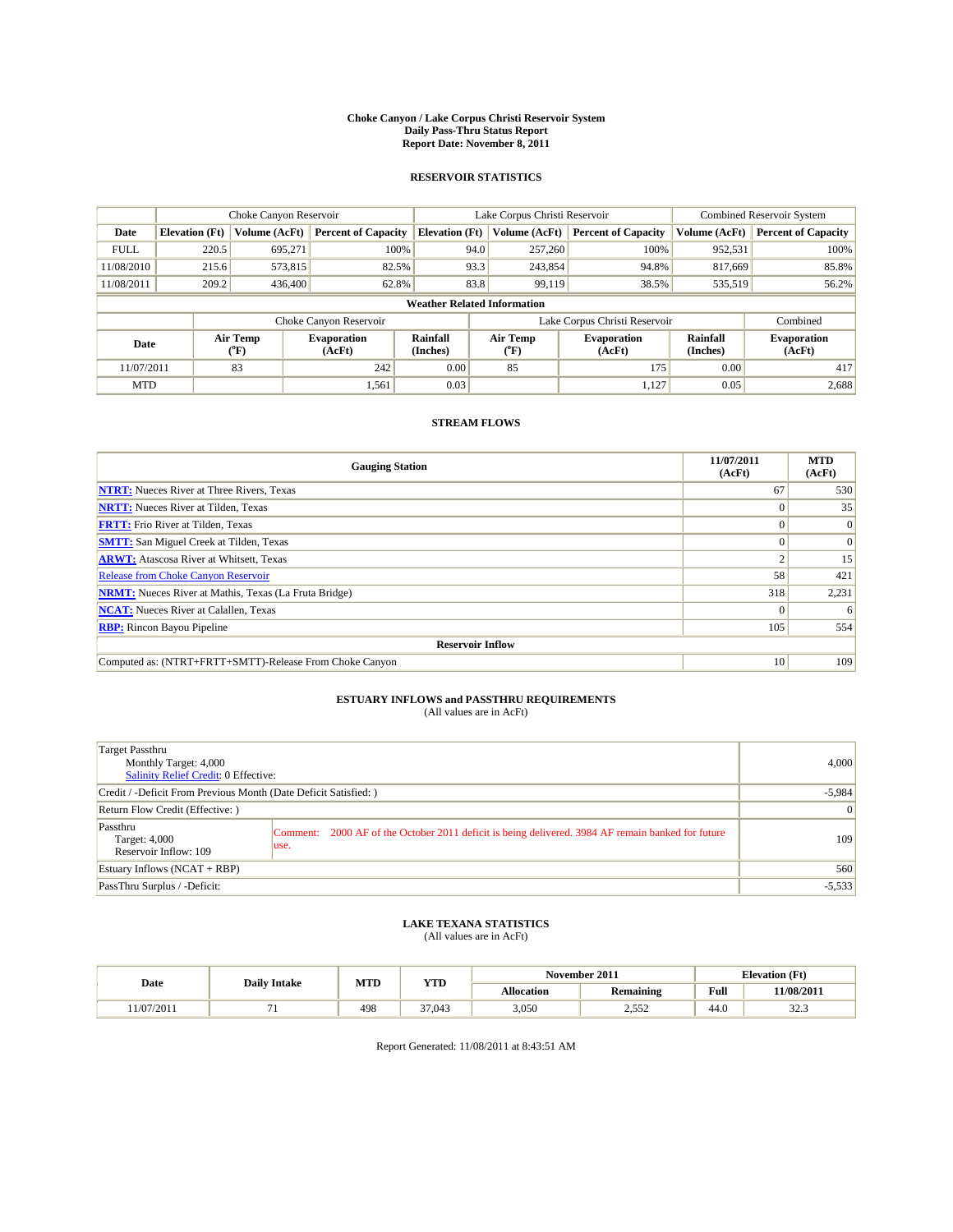#### **Choke Canyon / Lake Corpus Christi Reservoir System Daily Pass-Thru Status Report Report Date: November 8, 2011**

### **RESERVOIR STATISTICS**

|             | Choke Canyon Reservoir             |                  |                              |                             | Lake Corpus Christi Reservoir | <b>Combined Reservoir System</b> |                      |                              |  |  |
|-------------|------------------------------------|------------------|------------------------------|-----------------------------|-------------------------------|----------------------------------|----------------------|------------------------------|--|--|
| Date        | <b>Elevation</b> (Ft)              | Volume (AcFt)    | <b>Percent of Capacity</b>   | <b>Elevation</b> (Ft)       | Volume (AcFt)                 | <b>Percent of Capacity</b>       | Volume (AcFt)        | <b>Percent of Capacity</b>   |  |  |
| <b>FULL</b> | 220.5                              | 695,271          | 100%                         | 94.0                        | 257,260                       | 100%                             | 952,531              | 100%                         |  |  |
| 11/08/2010  | 215.6                              | 573,815          | 82.5%                        | 93.3                        | 243,854                       | 94.8%                            | 817.669              | 85.8%                        |  |  |
| 11/08/2011  | 209.2                              | 436,400          | 62.8%                        | 83.8                        | 99,119                        | 38.5%                            | 535,519              | 56.2%                        |  |  |
|             | <b>Weather Related Information</b> |                  |                              |                             |                               |                                  |                      |                              |  |  |
|             |                                    |                  | Choke Canyon Reservoir       |                             | Lake Corpus Christi Reservoir |                                  |                      | Combined                     |  |  |
| Date        |                                    | Air Temp<br>(°F) | <b>Evaporation</b><br>(AcFt) | <b>Rainfall</b><br>(Inches) | Air Temp<br>(°F)              | <b>Evaporation</b><br>(AcFt)     | Rainfall<br>(Inches) | <b>Evaporation</b><br>(AcFt) |  |  |
| 11/07/2011  |                                    | 83               | 242                          | 0.00                        | 85                            | 175                              | 0.00                 | 417                          |  |  |
| <b>MTD</b>  |                                    |                  | 1,561                        | 0.03                        |                               | 1.127                            | 0.05                 | 2,688                        |  |  |

### **STREAM FLOWS**

| <b>Gauging Station</b>                                       | 11/07/2011<br>(AcFt) | <b>MTD</b><br>(AcFt) |
|--------------------------------------------------------------|----------------------|----------------------|
| <b>NTRT:</b> Nueces River at Three Rivers, Texas             | 67                   | 530                  |
| <b>NRTT:</b> Nueces River at Tilden, Texas                   | $\Omega$             | 35                   |
| <b>FRTT:</b> Frio River at Tilden, Texas                     |                      | $\Omega$             |
| <b>SMTT:</b> San Miguel Creek at Tilden, Texas               |                      | $\Omega$             |
| <b>ARWT:</b> Atascosa River at Whitsett, Texas               |                      | 15                   |
| <b>Release from Choke Canyon Reservoir</b>                   | 58                   | 421                  |
| <b>NRMT:</b> Nueces River at Mathis, Texas (La Fruta Bridge) | 318                  | 2,231                |
| <b>NCAT:</b> Nueces River at Calallen, Texas                 | $\Omega$             | 6                    |
| <b>RBP:</b> Rincon Bayou Pipeline                            | 105                  | 554                  |
| <b>Reservoir Inflow</b>                                      |                      |                      |
| Computed as: (NTRT+FRTT+SMTT)-Release From Choke Canyon      | 10                   | 109                  |

# **ESTUARY INFLOWS and PASSTHRU REQUIREMENTS**<br>(All values are in AcFt)

| Target Passthru<br>Monthly Target: 4,000<br>Salinity Relief Credit: 0 Effective: |                                                                                                            | 4,000    |
|----------------------------------------------------------------------------------|------------------------------------------------------------------------------------------------------------|----------|
| Credit / -Deficit From Previous Month (Date Deficit Satisfied: )                 | $-5,984$                                                                                                   |          |
| Return Flow Credit (Effective:)                                                  | $\vert 0 \vert$                                                                                            |          |
| Passthru<br>Target: 4,000<br>Reservoir Inflow: 109                               | Comment: 2000 AF of the October 2011 deficit is being delivered. 3984 AF remain banked for future<br>luse. | 109      |
| Estuary Inflows (NCAT + RBP)                                                     |                                                                                                            | 560      |
| PassThru Surplus / -Deficit:                                                     |                                                                                                            | $-5,533$ |

## **LAKE TEXANA STATISTICS** (All values are in AcFt)

|           | <b>Daily Intake</b> | MTD<br><b>YTD</b> |        |            | November 2011    | <b>Elevation</b> (Ft)                       |                 |
|-----------|---------------------|-------------------|--------|------------|------------------|---------------------------------------------|-----------------|
| Date      |                     |                   |        | Allocation | <b>Remaining</b> | Full<br>the contract of the contract of the | 11/08/2011      |
| 1/07/2011 |                     | 498               | 37,043 | 3,050      | 55<<br>ے رہے     | 44.0                                        | $\sim$<br>ر. ےر |

Report Generated: 11/08/2011 at 8:43:51 AM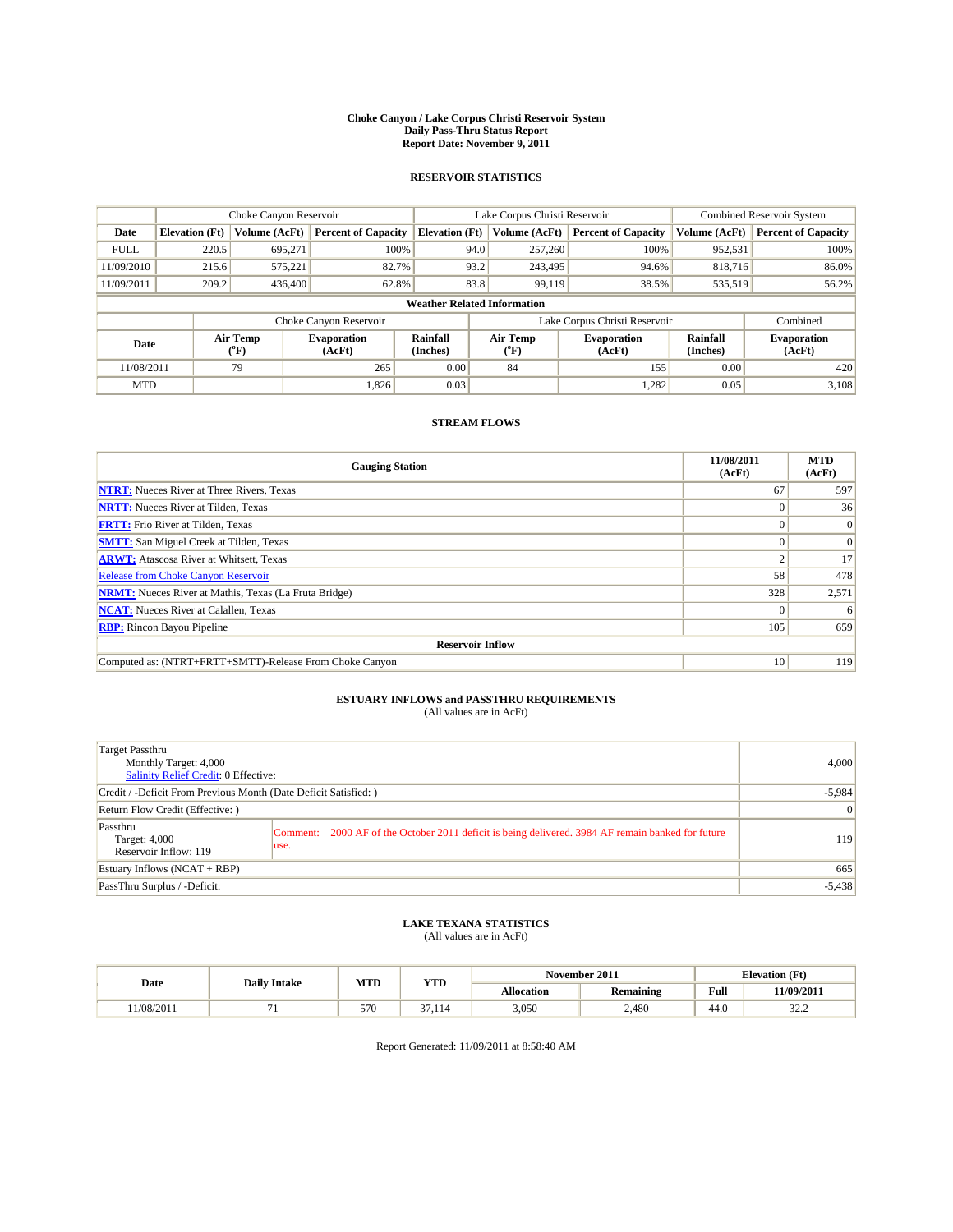#### **Choke Canyon / Lake Corpus Christi Reservoir System Daily Pass-Thru Status Report Report Date: November 9, 2011**

### **RESERVOIR STATISTICS**

|             | Choke Canyon Reservoir             |                  |                              |                       | Lake Corpus Christi Reservoir | <b>Combined Reservoir System</b> |                      |                              |  |  |
|-------------|------------------------------------|------------------|------------------------------|-----------------------|-------------------------------|----------------------------------|----------------------|------------------------------|--|--|
| Date        | <b>Elevation</b> (Ft)              | Volume (AcFt)    | <b>Percent of Capacity</b>   | <b>Elevation</b> (Ft) | Volume (AcFt)                 | <b>Percent of Capacity</b>       | Volume (AcFt)        | <b>Percent of Capacity</b>   |  |  |
| <b>FULL</b> | 220.5                              | 695,271          | 100%                         | 94.0                  | 257,260                       | 100%                             | 952,531              | 100%                         |  |  |
| 11/09/2010  | 215.6                              | 575.221          | 82.7%                        | 93.2                  | 243,495                       | 94.6%                            | 818,716              | 86.0%                        |  |  |
| 11/09/2011  | 209.2                              | 436,400          | 62.8%                        | 83.8                  | 99,119                        | 38.5%                            | 535,519              | 56.2%                        |  |  |
|             | <b>Weather Related Information</b> |                  |                              |                       |                               |                                  |                      |                              |  |  |
|             |                                    |                  | Choke Canyon Reservoir       |                       | Lake Corpus Christi Reservoir |                                  |                      | Combined                     |  |  |
| Date        |                                    | Air Temp<br>(°F) | <b>Evaporation</b><br>(AcFt) | Rainfall<br>(Inches)  | Air Temp<br>("F)              | <b>Evaporation</b><br>(AcFt)     | Rainfall<br>(Inches) | <b>Evaporation</b><br>(AcFt) |  |  |
| 11/08/2011  |                                    | 79               | 265                          | 0.00                  | 84                            | 155                              | 0.00                 | 420                          |  |  |
| <b>MTD</b>  |                                    |                  | 1.826                        | 0.03                  |                               | 1,282                            | 0.05                 | 3,108                        |  |  |

### **STREAM FLOWS**

| <b>Gauging Station</b>                                       | 11/08/2011<br>(AcFt) | <b>MTD</b><br>(AcFt) |
|--------------------------------------------------------------|----------------------|----------------------|
| <b>NTRT:</b> Nueces River at Three Rivers, Texas             | 67                   | 597                  |
| <b>NRTT:</b> Nueces River at Tilden, Texas                   |                      | 36                   |
| <b>FRTT:</b> Frio River at Tilden, Texas                     |                      | $\Omega$             |
| <b>SMTT:</b> San Miguel Creek at Tilden, Texas               |                      | $\Omega$             |
| <b>ARWT:</b> Atascosa River at Whitsett, Texas               |                      | 17                   |
| <b>Release from Choke Canyon Reservoir</b>                   | 58                   | 478                  |
| <b>NRMT:</b> Nueces River at Mathis, Texas (La Fruta Bridge) | 328                  | 2,571                |
| <b>NCAT:</b> Nueces River at Calallen, Texas                 | $\theta$             | 6                    |
| <b>RBP:</b> Rincon Bayou Pipeline                            | 105                  | 659                  |
| <b>Reservoir Inflow</b>                                      |                      |                      |
| Computed as: (NTRT+FRTT+SMTT)-Release From Choke Canyon      | 10                   | 119                  |

## **ESTUARY INFLOWS and PASSTHRU REQUIREMENTS**<br>(All values are in AcFt)

| Target Passthru<br>Monthly Target: 4,000<br><b>Salinity Relief Credit: 0 Effective:</b> |                                                                                                           | 4,000           |
|-----------------------------------------------------------------------------------------|-----------------------------------------------------------------------------------------------------------|-----------------|
| Credit / -Deficit From Previous Month (Date Deficit Satisfied: )                        |                                                                                                           | $-5,984$        |
| Return Flow Credit (Effective: )                                                        |                                                                                                           | $\vert 0 \vert$ |
| Passthru<br>Target: 4,000<br>Reservoir Inflow: 119                                      | Comment: 2000 AF of the October 2011 deficit is being delivered. 3984 AF remain banked for future<br>use. | 119             |
| Estuary Inflows $(NCAT + RBP)$                                                          |                                                                                                           | 665             |
| PassThru Surplus / -Deficit:                                                            |                                                                                                           | $-5,438$        |

## **LAKE TEXANA STATISTICS** (All values are in AcFt)

|           |                     | MTD | YTD          | November 2011     |           |      | <b>Elevation</b> (Ft) |
|-----------|---------------------|-----|--------------|-------------------|-----------|------|-----------------------|
| Date      | <b>Daily Intake</b> |     |              | <b>Allocation</b> | Remaining | Full | 11/09/2011            |
| 1/08/2011 |                     | 570 | 27<br>37.114 | 3,050             | 2.480     | 44.0 | $\sim$<br>ے کے ب      |

Report Generated: 11/09/2011 at 8:58:40 AM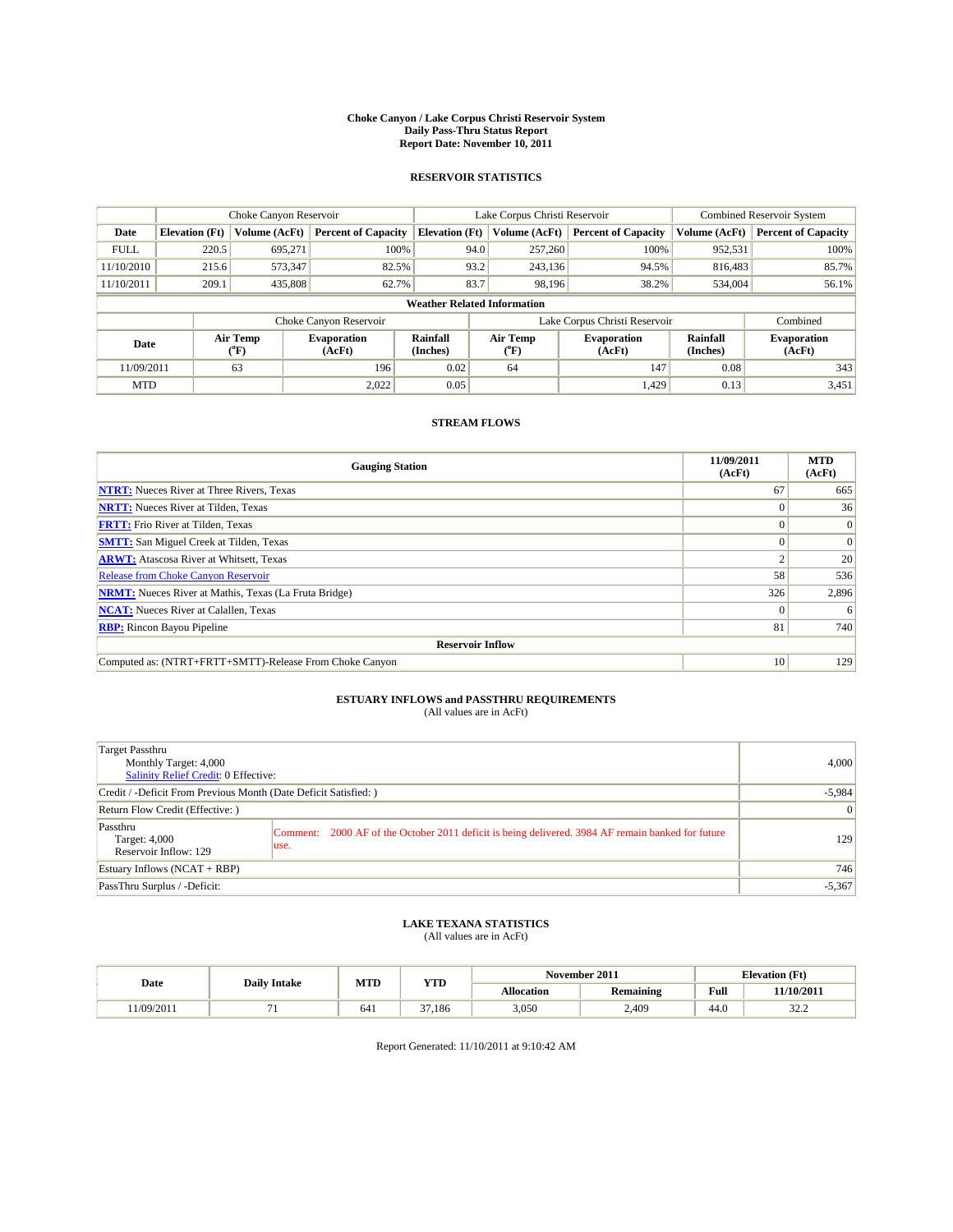#### **Choke Canyon / Lake Corpus Christi Reservoir System Daily Pass-Thru Status Report Report Date: November 10, 2011**

### **RESERVOIR STATISTICS**

|             | Choke Canyon Reservoir             |                             |                              |                             | Lake Corpus Christi Reservoir |                  |                               |                      | <b>Combined Reservoir System</b> |  |  |
|-------------|------------------------------------|-----------------------------|------------------------------|-----------------------------|-------------------------------|------------------|-------------------------------|----------------------|----------------------------------|--|--|
| Date        | <b>Elevation</b> (Ft)              | Volume (AcFt)               | <b>Percent of Capacity</b>   | <b>Elevation</b> (Ft)       |                               | Volume (AcFt)    | <b>Percent of Capacity</b>    | Volume (AcFt)        | <b>Percent of Capacity</b>       |  |  |
| <b>FULL</b> | 220.5                              | 695,271                     | 100%                         |                             | 94.0                          | 257,260          | 100%                          | 952,531              | 100%                             |  |  |
| 11/10/2010  | 215.6                              | 573,347                     | 82.5%                        |                             | 93.2                          | 243,136          | 94.5%                         | 816,483              | 85.7%                            |  |  |
| 11/10/2011  | 209.1                              | 435,808                     | 62.7%                        |                             | 83.7                          | 98.196           | 38.2%                         | 534,004              | 56.1%                            |  |  |
|             | <b>Weather Related Information</b> |                             |                              |                             |                               |                  |                               |                      |                                  |  |  |
|             |                                    |                             | Choke Canyon Reservoir       |                             |                               |                  | Lake Corpus Christi Reservoir |                      | Combined                         |  |  |
| Date        |                                    | Air Temp<br>${}^{\circ}$ F) | <b>Evaporation</b><br>(AcFt) | <b>Rainfall</b><br>(Inches) |                               | Air Temp<br>(°F) | <b>Evaporation</b><br>(AcFt)  | Rainfall<br>(Inches) | <b>Evaporation</b><br>(AcFt)     |  |  |
| 11/09/2011  |                                    | 63                          | 196                          | 0.02                        |                               | 64               | 147                           | 0.08                 | 343                              |  |  |
| <b>MTD</b>  |                                    |                             | 2,022                        | 0.05                        |                               |                  | 1,429                         | 0.13                 | 3,451                            |  |  |

### **STREAM FLOWS**

| <b>Gauging Station</b>                                       | 11/09/2011<br>(AcFt) | <b>MTD</b><br>(AcFt) |  |  |  |  |  |
|--------------------------------------------------------------|----------------------|----------------------|--|--|--|--|--|
| <b>NTRT:</b> Nueces River at Three Rivers, Texas             | 67                   | 665                  |  |  |  |  |  |
| <b>NRTT:</b> Nueces River at Tilden, Texas                   |                      | 36                   |  |  |  |  |  |
| <b>FRTT:</b> Frio River at Tilden, Texas                     |                      | $\Omega$             |  |  |  |  |  |
| <b>SMTT:</b> San Miguel Creek at Tilden, Texas               |                      | $\Omega$             |  |  |  |  |  |
| <b>ARWT:</b> Atascosa River at Whitsett, Texas               |                      | 20                   |  |  |  |  |  |
| <b>Release from Choke Canyon Reservoir</b>                   | 58                   | 536                  |  |  |  |  |  |
| <b>NRMT:</b> Nueces River at Mathis, Texas (La Fruta Bridge) | 326                  | 2,896                |  |  |  |  |  |
| <b>NCAT:</b> Nueces River at Calallen, Texas                 | $\Omega$             | 6                    |  |  |  |  |  |
| <b>RBP:</b> Rincon Bayou Pipeline                            | 81                   | 740                  |  |  |  |  |  |
| <b>Reservoir Inflow</b>                                      |                      |                      |  |  |  |  |  |
| Computed as: (NTRT+FRTT+SMTT)-Release From Choke Canyon      | 10                   | 129                  |  |  |  |  |  |

# **ESTUARY INFLOWS and PASSTHRU REQUIREMENTS**<br>(All values are in AcFt)

| Target Passthru<br>Monthly Target: 4,000<br>Salinity Relief Credit: 0 Effective: |                                                                                                            | 4,000          |
|----------------------------------------------------------------------------------|------------------------------------------------------------------------------------------------------------|----------------|
| Credit / -Deficit From Previous Month (Date Deficit Satisfied: )                 | $-5,984$                                                                                                   |                |
| Return Flow Credit (Effective:)                                                  |                                                                                                            | $\overline{0}$ |
| Passthru<br>Target: 4,000<br>Reservoir Inflow: 129                               | Comment: 2000 AF of the October 2011 deficit is being delivered. 3984 AF remain banked for future<br>luse. | 129            |
| Estuary Inflows (NCAT + RBP)                                                     |                                                                                                            | 746            |
| PassThru Surplus / -Deficit:                                                     |                                                                                                            | $-5,367$       |

## **LAKE TEXANA STATISTICS** (All values are in AcFt)

|             |                     | MTD | YTD          | November 2011     |           |      | <b>Elevation</b> (Ft) |
|-------------|---------------------|-----|--------------|-------------------|-----------|------|-----------------------|
| Date        | <b>Daily Intake</b> |     |              | <b>Allocation</b> | Remaining | Full | 11/10/2011            |
| ' 1/09/2011 |                     | 641 | 27<br>37.186 | 3,050             | 2.409     | 44.0 | $\sim$<br>ے کے ب      |

Report Generated: 11/10/2011 at 9:10:42 AM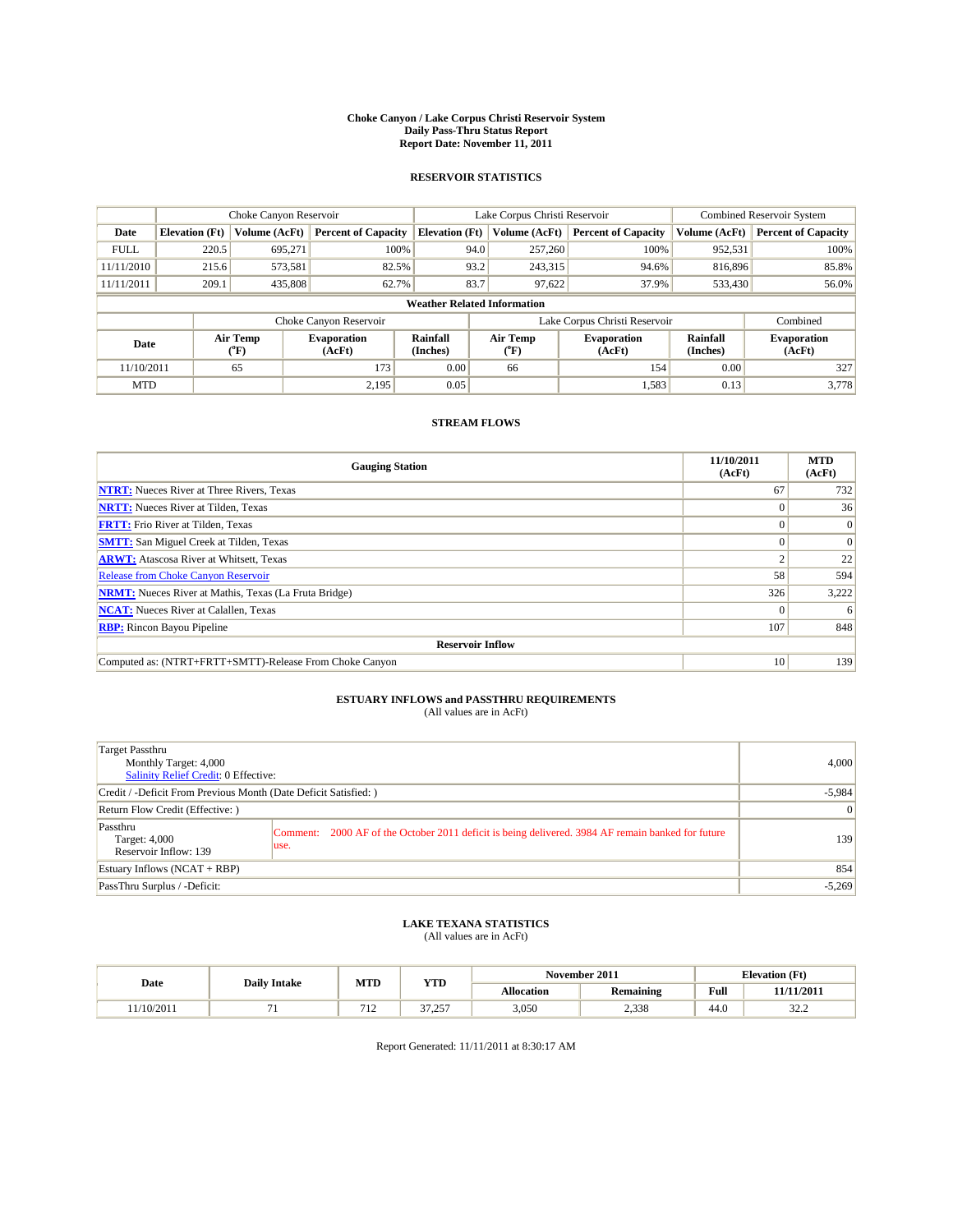#### **Choke Canyon / Lake Corpus Christi Reservoir System Daily Pass-Thru Status Report Report Date: November 11, 2011**

### **RESERVOIR STATISTICS**

|             | Choke Canyon Reservoir             |                             |                              |                             | Lake Corpus Christi Reservoir |                  |                               |                      | <b>Combined Reservoir System</b> |  |  |
|-------------|------------------------------------|-----------------------------|------------------------------|-----------------------------|-------------------------------|------------------|-------------------------------|----------------------|----------------------------------|--|--|
| Date        | <b>Elevation</b> (Ft)              | Volume (AcFt)               | <b>Percent of Capacity</b>   | <b>Elevation</b> (Ft)       |                               | Volume (AcFt)    | <b>Percent of Capacity</b>    | Volume (AcFt)        | <b>Percent of Capacity</b>       |  |  |
| <b>FULL</b> | 220.5                              | 695,271                     | 100%                         |                             | 94.0                          | 257,260          | 100%                          | 952,531              | 100%                             |  |  |
| 11/11/2010  | 215.6                              | 573,581                     | 82.5%                        |                             | 93.2                          | 243,315          | 94.6%                         | 816,896              | 85.8%                            |  |  |
| 11/11/2011  | 209.1                              | 435,808                     | 62.7%                        |                             | 83.7                          | 97,622           | 37.9%                         | 533,430              | 56.0%                            |  |  |
|             | <b>Weather Related Information</b> |                             |                              |                             |                               |                  |                               |                      |                                  |  |  |
|             |                                    |                             | Choke Canyon Reservoir       |                             |                               |                  | Lake Corpus Christi Reservoir |                      | Combined                         |  |  |
| Date        |                                    | Air Temp<br>${}^{\circ}$ F) | <b>Evaporation</b><br>(AcFt) | <b>Rainfall</b><br>(Inches) |                               | Air Temp<br>(°F) | <b>Evaporation</b><br>(AcFt)  | Rainfall<br>(Inches) | <b>Evaporation</b><br>(AcFt)     |  |  |
| 11/10/2011  |                                    | 65                          | 173                          | 0.00                        |                               | 66               | 154                           | 0.00                 | 327                              |  |  |
| <b>MTD</b>  |                                    |                             | 2,195                        | 0.05                        |                               |                  | 1,583                         | 0.13                 | 3,778                            |  |  |

### **STREAM FLOWS**

| <b>Gauging Station</b>                                       | 11/10/2011<br>(AcFt) | <b>MTD</b><br>(AcFt) |
|--------------------------------------------------------------|----------------------|----------------------|
| <b>NTRT:</b> Nueces River at Three Rivers, Texas             | 67                   | 732                  |
| <b>NRTT:</b> Nueces River at Tilden, Texas                   | $\Omega$             | 36                   |
| <b>FRTT:</b> Frio River at Tilden, Texas                     |                      | $\Omega$             |
| <b>SMTT:</b> San Miguel Creek at Tilden, Texas               |                      | $\Omega$             |
| <b>ARWT:</b> Atascosa River at Whitsett, Texas               |                      | 22                   |
| <b>Release from Choke Canyon Reservoir</b>                   | 58                   | 594                  |
| <b>NRMT:</b> Nueces River at Mathis, Texas (La Fruta Bridge) | 326                  | 3,222                |
| <b>NCAT:</b> Nueces River at Calallen, Texas                 | $\Omega$             | 6                    |
| <b>RBP:</b> Rincon Bayou Pipeline                            | 107                  | 848                  |
| <b>Reservoir Inflow</b>                                      |                      |                      |
| Computed as: (NTRT+FRTT+SMTT)-Release From Choke Canyon      | 10                   | 139                  |

# **ESTUARY INFLOWS and PASSTHRU REQUIREMENTS**<br>(All values are in AcFt)

| Target Passthru<br>Monthly Target: 4,000<br>Salinity Relief Credit: 0 Effective: |                                                                                                            | 4,000          |
|----------------------------------------------------------------------------------|------------------------------------------------------------------------------------------------------------|----------------|
| Credit / -Deficit From Previous Month (Date Deficit Satisfied: )                 | $-5,984$                                                                                                   |                |
| Return Flow Credit (Effective:)                                                  |                                                                                                            | $\overline{0}$ |
| Passthru<br>Target: 4,000<br>Reservoir Inflow: 139                               | Comment: 2000 AF of the October 2011 deficit is being delivered. 3984 AF remain banked for future<br>luse. | 139            |
| Estuary Inflows (NCAT + RBP)                                                     |                                                                                                            | 854            |
| PassThru Surplus / -Deficit:                                                     |                                                                                                            | $-5,269$       |

## **LAKE TEXANA STATISTICS** (All values are in AcFt)

| Date      |                     | MTD        | YTD                     |                   | November 2011 | <b>Elevation</b> (Ft) |                  |
|-----------|---------------------|------------|-------------------------|-------------------|---------------|-----------------------|------------------|
|           | <b>Daily Intake</b> |            |                         | <b>Allocation</b> | Remaining     | Full                  | 11/11/2011       |
| 1/10/2011 |                     | 71<br>- 12 | $\sim$<br>257<br>رے ، د | 3,050             | 2,338         | 44.0                  | $\sim$<br>ے کے ب |

Report Generated: 11/11/2011 at 8:30:17 AM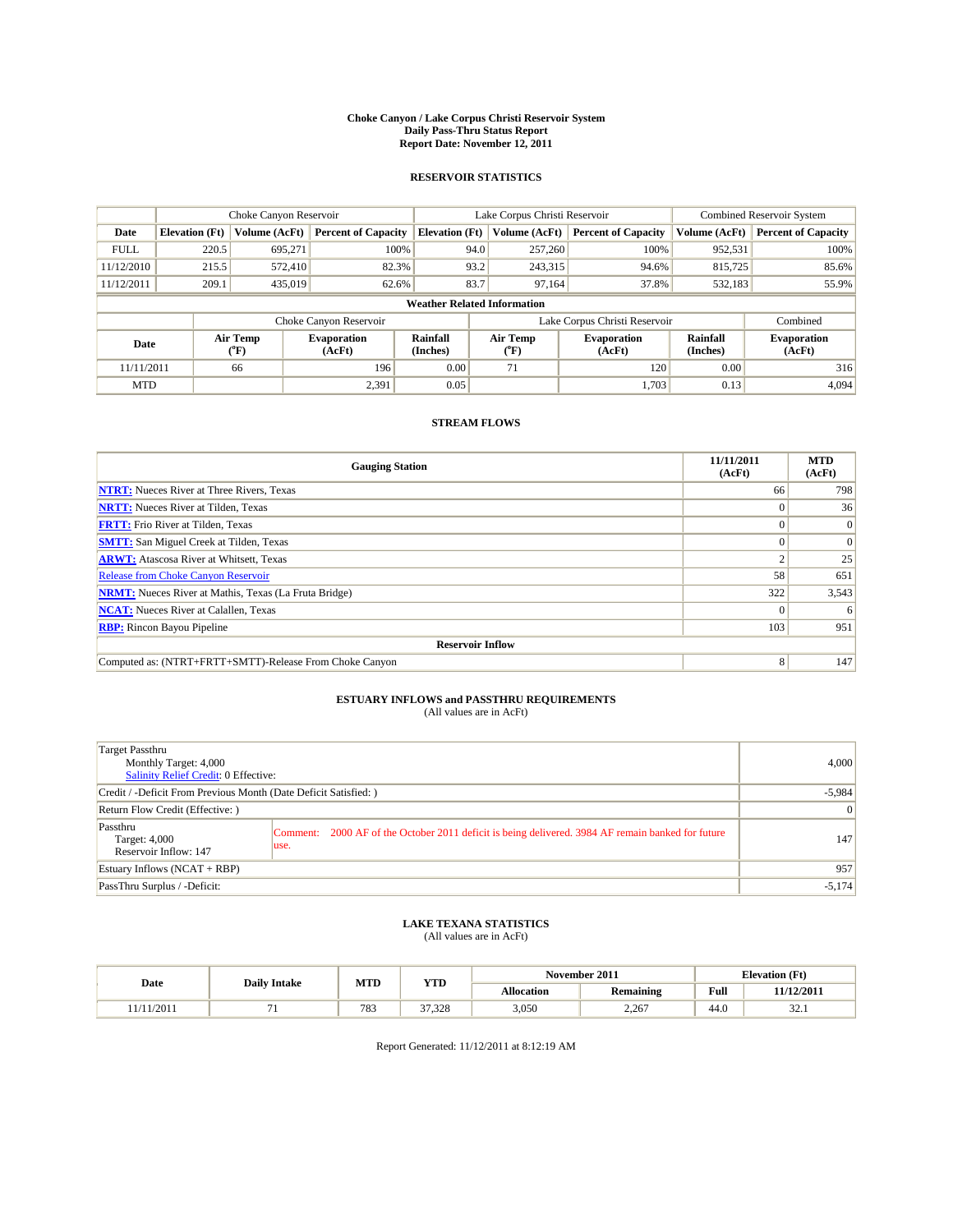#### **Choke Canyon / Lake Corpus Christi Reservoir System Daily Pass-Thru Status Report Report Date: November 12, 2011**

### **RESERVOIR STATISTICS**

|             | Choke Canyon Reservoir             |                                    |                              |                       | Lake Corpus Christi Reservoir | <b>Combined Reservoir System</b> |                             |                              |  |  |  |
|-------------|------------------------------------|------------------------------------|------------------------------|-----------------------|-------------------------------|----------------------------------|-----------------------------|------------------------------|--|--|--|
| Date        | <b>Elevation</b> (Ft)              | Volume (AcFt)                      | <b>Percent of Capacity</b>   | <b>Elevation</b> (Ft) | Volume (AcFt)                 | <b>Percent of Capacity</b>       | Volume (AcFt)               | <b>Percent of Capacity</b>   |  |  |  |
| <b>FULL</b> | 220.5                              | 695,271                            | 100%                         | 94.0                  | 257,260                       | 100%                             | 952,531                     | 100%                         |  |  |  |
| 11/12/2010  | 215.5                              | 572,410                            | 82.3%                        |                       | 93.2<br>243,315               | 94.6%                            | 815,725                     | 85.6%                        |  |  |  |
| 11/12/2011  | 209.1                              | 435,019                            | 62.6%                        | 83.7                  | 97.164                        | 37.8%                            | 532,183                     | 55.9%                        |  |  |  |
|             | <b>Weather Related Information</b> |                                    |                              |                       |                               |                                  |                             |                              |  |  |  |
|             |                                    |                                    | Choke Canyon Reservoir       |                       |                               | Lake Corpus Christi Reservoir    |                             | Combined                     |  |  |  |
| Date        |                                    | Air Temp<br>${}^{\prime\prime}$ F) | <b>Evaporation</b><br>(AcFt) | Rainfall<br>(Inches)  | Air Temp<br>(°F)              | <b>Evaporation</b><br>(AcFt)     | <b>Rainfall</b><br>(Inches) | <b>Evaporation</b><br>(AcFt) |  |  |  |
| 11/11/2011  |                                    | 66                                 | 196                          | 0.00                  | 71                            | 120                              | 0.00                        | 316                          |  |  |  |
| <b>MTD</b>  |                                    |                                    | 2,391                        | 0.05                  |                               | 1.703                            | 0.13                        | 4,094                        |  |  |  |

### **STREAM FLOWS**

| <b>Gauging Station</b>                                       | 11/11/2011<br>(AcFt) | <b>MTD</b><br>(AcFt) |  |  |  |  |  |
|--------------------------------------------------------------|----------------------|----------------------|--|--|--|--|--|
| <b>NTRT:</b> Nueces River at Three Rivers, Texas             | 66                   | 798                  |  |  |  |  |  |
| <b>NRTT:</b> Nueces River at Tilden, Texas                   | $\Omega$             | 36                   |  |  |  |  |  |
| <b>FRTT:</b> Frio River at Tilden, Texas                     |                      | $\Omega$             |  |  |  |  |  |
| <b>SMTT:</b> San Miguel Creek at Tilden, Texas               |                      | $\Omega$             |  |  |  |  |  |
| <b>ARWT:</b> Atascosa River at Whitsett, Texas               |                      | 25                   |  |  |  |  |  |
| <b>Release from Choke Canyon Reservoir</b>                   | 58                   | 651                  |  |  |  |  |  |
| <b>NRMT:</b> Nueces River at Mathis, Texas (La Fruta Bridge) | 322                  | 3,543                |  |  |  |  |  |
| <b>NCAT:</b> Nueces River at Calallen, Texas                 | $\Omega$             | -6                   |  |  |  |  |  |
| <b>RBP:</b> Rincon Bayou Pipeline                            | 103                  | 951                  |  |  |  |  |  |
| <b>Reservoir Inflow</b>                                      |                      |                      |  |  |  |  |  |
| Computed as: (NTRT+FRTT+SMTT)-Release From Choke Canyon      | 8                    | 147                  |  |  |  |  |  |

# **ESTUARY INFLOWS and PASSTHRU REQUIREMENTS**<br>(All values are in AcFt)

| Target Passthru<br>Monthly Target: 4,000<br>Salinity Relief Credit: 0 Effective: |                                                                                                            | 4,000    |
|----------------------------------------------------------------------------------|------------------------------------------------------------------------------------------------------------|----------|
| Credit / -Deficit From Previous Month (Date Deficit Satisfied: )                 | $-5,984$                                                                                                   |          |
| Return Flow Credit (Effective:)                                                  | $\vert 0 \vert$                                                                                            |          |
| Passthru<br>Target: 4,000<br>Reservoir Inflow: 147                               | Comment: 2000 AF of the October 2011 deficit is being delivered. 3984 AF remain banked for future<br>luse. | 147      |
| Estuary Inflows (NCAT + RBP)                                                     |                                                                                                            | 957      |
| PassThru Surplus / -Deficit:                                                     |                                                                                                            | $-5,174$ |

# **LAKE TEXANA STATISTICS** (All values are in AcFt)

|       |                     | MTD | <b>YTD</b>          | November 2011 |           |             | <b>Elevation</b> (Ft) |
|-------|---------------------|-----|---------------------|---------------|-----------|-------------|-----------------------|
| Date  | <b>Daily Intake</b> |     |                     | Allocation    | Remaining | <b>Full</b> | 11/12/2011            |
| /2011 |                     | 783 | 27<br>220<br>31.320 | 3,050         | 2.267     | 44.0        | $\sim$<br>1. ے د      |

Report Generated: 11/12/2011 at 8:12:19 AM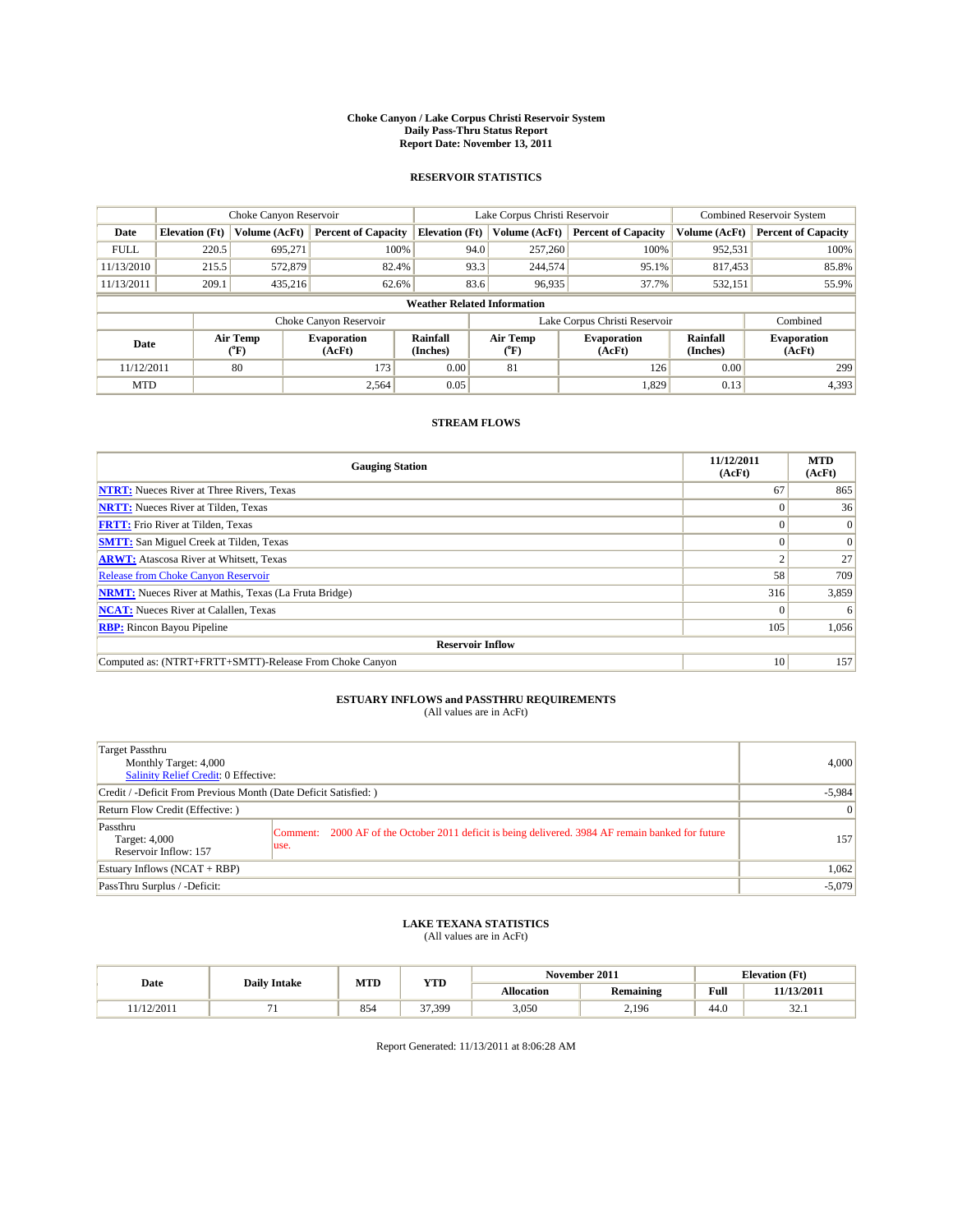#### **Choke Canyon / Lake Corpus Christi Reservoir System Daily Pass-Thru Status Report Report Date: November 13, 2011**

### **RESERVOIR STATISTICS**

|             | Choke Canyon Reservoir             |                          |                              |                       | Lake Corpus Christi Reservoir |                              |                      | <b>Combined Reservoir System</b> |  |
|-------------|------------------------------------|--------------------------|------------------------------|-----------------------|-------------------------------|------------------------------|----------------------|----------------------------------|--|
| Date        | <b>Elevation</b> (Ft)              | Volume (AcFt)            | <b>Percent of Capacity</b>   | <b>Elevation (Ft)</b> | Volume (AcFt)                 | <b>Percent of Capacity</b>   | Volume (AcFt)        | <b>Percent of Capacity</b>       |  |
| <b>FULL</b> | 220.5                              | 695,271                  | 100%                         | 94.0                  | 257,260                       | 100%                         | 952,531              | 100%                             |  |
| 11/13/2010  | 215.5                              | 572,879                  | 82.4%                        | 93.3                  | 244,574                       | 95.1%                        | 817,453              | 85.8%                            |  |
| 11/13/2011  | 209.1                              | 435.216                  | 62.6%                        | 83.6                  | 96,935                        | 37.7%                        | 532,151              | 55.9%                            |  |
|             | <b>Weather Related Information</b> |                          |                              |                       |                               |                              |                      |                                  |  |
|             |                                    |                          | Choke Canyon Reservoir       |                       | Lake Corpus Christi Reservoir |                              |                      | Combined                         |  |
| Date        |                                    | Air Temp<br>$\rm ^{o}F)$ | <b>Evaporation</b><br>(AcFt) | Rainfall<br>(Inches)  | Air Temp<br>$\rm ^{o}F)$      | <b>Evaporation</b><br>(AcFt) | Rainfall<br>(Inches) | <b>Evaporation</b><br>(AcFt)     |  |
| 11/12/2011  |                                    | 80                       | 173                          | 0.00                  | 81                            | 126                          | 0.00                 | 299                              |  |
| <b>MTD</b>  |                                    |                          | 2,564                        | 0.05                  |                               | 1,829                        | 0.13                 | 4,393                            |  |

### **STREAM FLOWS**

| <b>Gauging Station</b>                                       | 11/12/2011<br>(AcFt) | <b>MTD</b><br>(AcFt) |  |  |  |  |
|--------------------------------------------------------------|----------------------|----------------------|--|--|--|--|
| <b>NTRT:</b> Nueces River at Three Rivers, Texas             | 67                   | 865                  |  |  |  |  |
| <b>NRTT:</b> Nueces River at Tilden, Texas                   |                      | 36 <sup>1</sup>      |  |  |  |  |
| <b>FRTT:</b> Frio River at Tilden, Texas                     |                      | $\vert 0 \vert$      |  |  |  |  |
| <b>SMTT:</b> San Miguel Creek at Tilden, Texas               |                      | $\Omega$             |  |  |  |  |
| <b>ARWT:</b> Atascosa River at Whitsett, Texas               |                      | 27                   |  |  |  |  |
| <b>Release from Choke Canyon Reservoir</b>                   | 58                   | 709                  |  |  |  |  |
| <b>NRMT:</b> Nueces River at Mathis, Texas (La Fruta Bridge) | 316                  | 3,859                |  |  |  |  |
| <b>NCAT:</b> Nueces River at Calallen, Texas                 |                      | 6                    |  |  |  |  |
| <b>RBP:</b> Rincon Bayou Pipeline                            | 105                  | 1,056                |  |  |  |  |
| <b>Reservoir Inflow</b>                                      |                      |                      |  |  |  |  |
| Computed as: (NTRT+FRTT+SMTT)-Release From Choke Canyon      | 10                   | 157                  |  |  |  |  |

# **ESTUARY INFLOWS and PASSTHRU REQUIREMENTS**<br>(All values are in AcFt)

| Target Passthru<br>Monthly Target: 4,000<br>Salinity Relief Credit: 0 Effective: |                                                                                                           | 4,000    |
|----------------------------------------------------------------------------------|-----------------------------------------------------------------------------------------------------------|----------|
| Credit / -Deficit From Previous Month (Date Deficit Satisfied: )                 | $-5,984$                                                                                                  |          |
| Return Flow Credit (Effective:)                                                  |                                                                                                           | 0        |
| Passthru<br>Target: 4,000<br>Reservoir Inflow: 157                               | Comment: 2000 AF of the October 2011 deficit is being delivered. 3984 AF remain banked for future<br>use. | 157      |
| Estuary Inflows (NCAT + RBP)                                                     |                                                                                                           | 1,062    |
| PassThru Surplus / -Deficit:                                                     |                                                                                                           | $-5,079$ |

## **LAKE TEXANA STATISTICS** (All values are in AcFt)

|           |                     | MTD | <b>YTD</b>   | November 2011<br><b>Elevation</b> (Ft) |           |      |                  |
|-----------|---------------------|-----|--------------|----------------------------------------|-----------|------|------------------|
| Date      | <b>Daily Intake</b> |     |              | Allocation                             | Remaining | Full | 11/13/2011       |
| 1/12/2011 |                     | 854 | 27<br>37,399 | 3,050                                  | 2,196     | 44.0 | $\sim$<br>1. ے د |

Report Generated: 11/13/2011 at 8:06:28 AM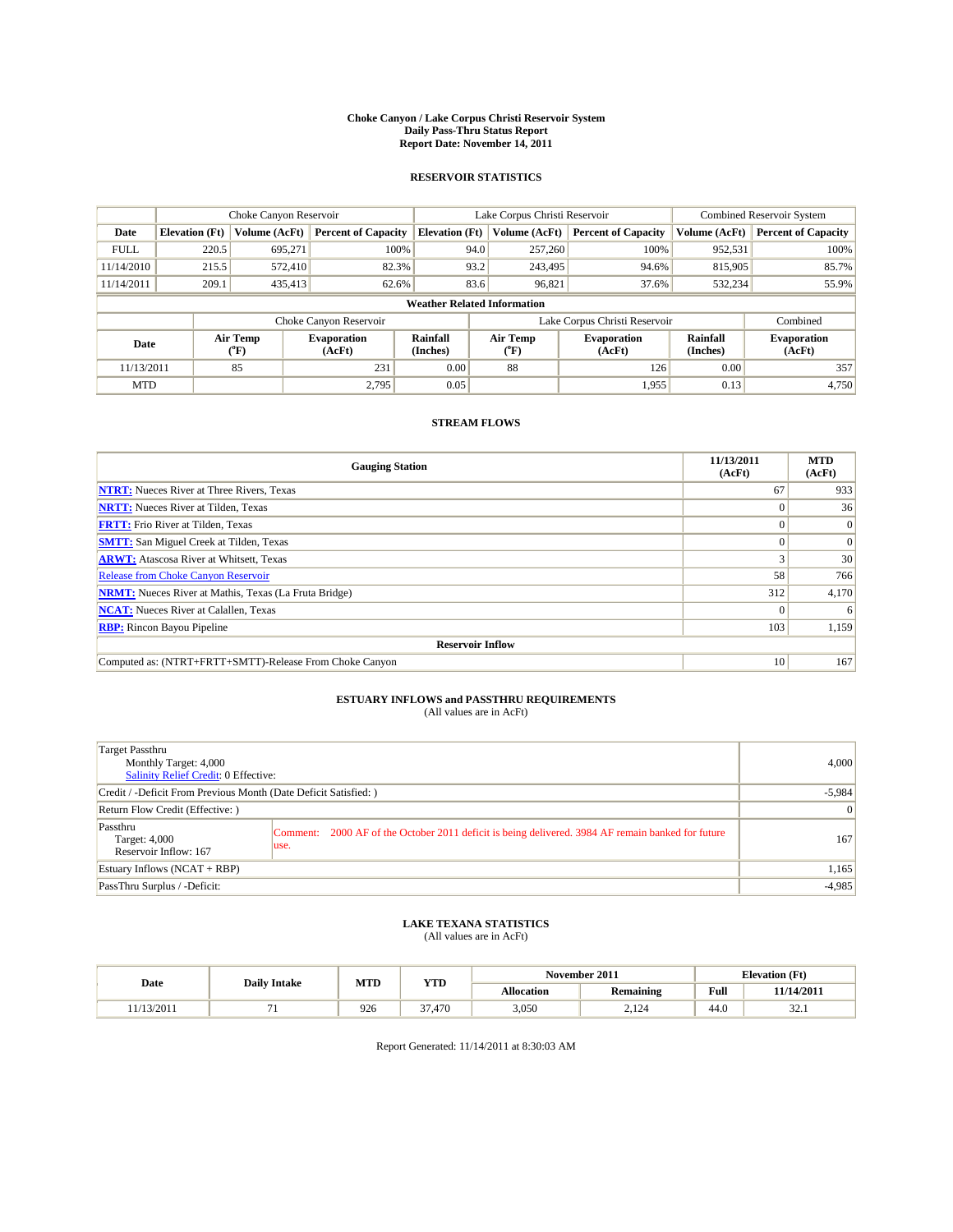#### **Choke Canyon / Lake Corpus Christi Reservoir System Daily Pass-Thru Status Report Report Date: November 14, 2011**

### **RESERVOIR STATISTICS**

|             | Choke Canyon Reservoir             |                  |                              |                       | Lake Corpus Christi Reservoir | <b>Combined Reservoir System</b> |                             |                              |  |
|-------------|------------------------------------|------------------|------------------------------|-----------------------|-------------------------------|----------------------------------|-----------------------------|------------------------------|--|
| Date        | <b>Elevation</b> (Ft)              | Volume (AcFt)    | <b>Percent of Capacity</b>   | <b>Elevation</b> (Ft) | Volume (AcFt)                 | <b>Percent of Capacity</b>       | Volume (AcFt)               | <b>Percent of Capacity</b>   |  |
| <b>FULL</b> | 220.5                              | 695,271          | 100%                         | 94.0                  | 257,260                       | 100%                             | 952,531                     | 100%                         |  |
| 11/14/2010  | 215.5                              | 572,410          | 82.3%                        | 93.2                  | 243,495                       | 94.6%                            | 815,905                     | 85.7%                        |  |
| 11/14/2011  | 209.1                              | 435,413          | 62.6%                        | 83.6                  | 96,821                        | 37.6%                            | 532,234                     | 55.9%                        |  |
|             | <b>Weather Related Information</b> |                  |                              |                       |                               |                                  |                             |                              |  |
|             |                                    |                  | Choke Canyon Reservoir       |                       |                               | Lake Corpus Christi Reservoir    |                             | Combined                     |  |
| Date        |                                    | Air Temp<br>(°F) | <b>Evaporation</b><br>(AcFt) | Rainfall<br>(Inches)  | Air Temp<br>(°F)              | <b>Evaporation</b><br>(AcFt)     | <b>Rainfall</b><br>(Inches) | <b>Evaporation</b><br>(AcFt) |  |
| 11/13/2011  |                                    | 85               | 231                          | 0.00                  | 88                            | 126                              | 0.00                        | 357                          |  |
| <b>MTD</b>  |                                    |                  | 2.795                        | 0.05                  |                               | 1,955                            | 0.13                        | 4,750                        |  |

### **STREAM FLOWS**

| <b>Gauging Station</b>                                       | 11/13/2011<br>(AcFt) | <b>MTD</b><br>(AcFt) |  |  |  |  |  |
|--------------------------------------------------------------|----------------------|----------------------|--|--|--|--|--|
| <b>NTRT:</b> Nueces River at Three Rivers, Texas             | 67                   | 933                  |  |  |  |  |  |
| <b>NRTT:</b> Nueces River at Tilden, Texas                   | $\Omega$             | 36                   |  |  |  |  |  |
| <b>FRTT:</b> Frio River at Tilden, Texas                     |                      | $\Omega$             |  |  |  |  |  |
| <b>SMTT:</b> San Miguel Creek at Tilden, Texas               |                      | $\Omega$             |  |  |  |  |  |
| <b>ARWT:</b> Atascosa River at Whitsett, Texas               |                      | 30                   |  |  |  |  |  |
| <b>Release from Choke Canyon Reservoir</b>                   | 58                   | 766                  |  |  |  |  |  |
| <b>NRMT:</b> Nueces River at Mathis, Texas (La Fruta Bridge) | 312                  | 4,170                |  |  |  |  |  |
| <b>NCAT:</b> Nueces River at Calallen, Texas                 | $\Omega$             | 6                    |  |  |  |  |  |
| <b>RBP:</b> Rincon Bayou Pipeline                            | 103                  | 1,159                |  |  |  |  |  |
| <b>Reservoir Inflow</b>                                      |                      |                      |  |  |  |  |  |
| Computed as: (NTRT+FRTT+SMTT)-Release From Choke Canyon      | 10                   | 167                  |  |  |  |  |  |

# **ESTUARY INFLOWS and PASSTHRU REQUIREMENTS**<br>(All values are in AcFt)

| Target Passthru<br>Monthly Target: 4,000<br>Salinity Relief Credit: 0 Effective: |                                                                                                            | 4,000          |
|----------------------------------------------------------------------------------|------------------------------------------------------------------------------------------------------------|----------------|
| Credit / -Deficit From Previous Month (Date Deficit Satisfied: )                 | $-5,984$                                                                                                   |                |
| Return Flow Credit (Effective:)                                                  |                                                                                                            | $\overline{0}$ |
| Passthru<br>Target: 4,000<br>Reservoir Inflow: 167                               | Comment: 2000 AF of the October 2011 deficit is being delivered. 3984 AF remain banked for future<br>luse. | 167            |
| Estuary Inflows (NCAT + RBP)                                                     |                                                                                                            | 1,165          |
| PassThru Surplus / -Deficit:                                                     |                                                                                                            | $-4,985$       |

## **LAKE TEXANA STATISTICS** (All values are in AcFt)

|           |                     | MTD | <b>YTD</b> | November 2011<br><b>Elevation</b> (Ft) |                         |             |                |
|-----------|---------------------|-----|------------|----------------------------------------|-------------------------|-------------|----------------|
| Date      | <b>Daily Intake</b> |     |            | Allocation                             | <b>Remaining</b>        | <b>Full</b> | 11/14/2011     |
| 1/13/2011 |                     | 926 | 7.470د     | 3,050                                  | 12 <sub>0</sub><br>4.14 | 44.0        | $\sim$<br>34.I |

Report Generated: 11/14/2011 at 8:30:03 AM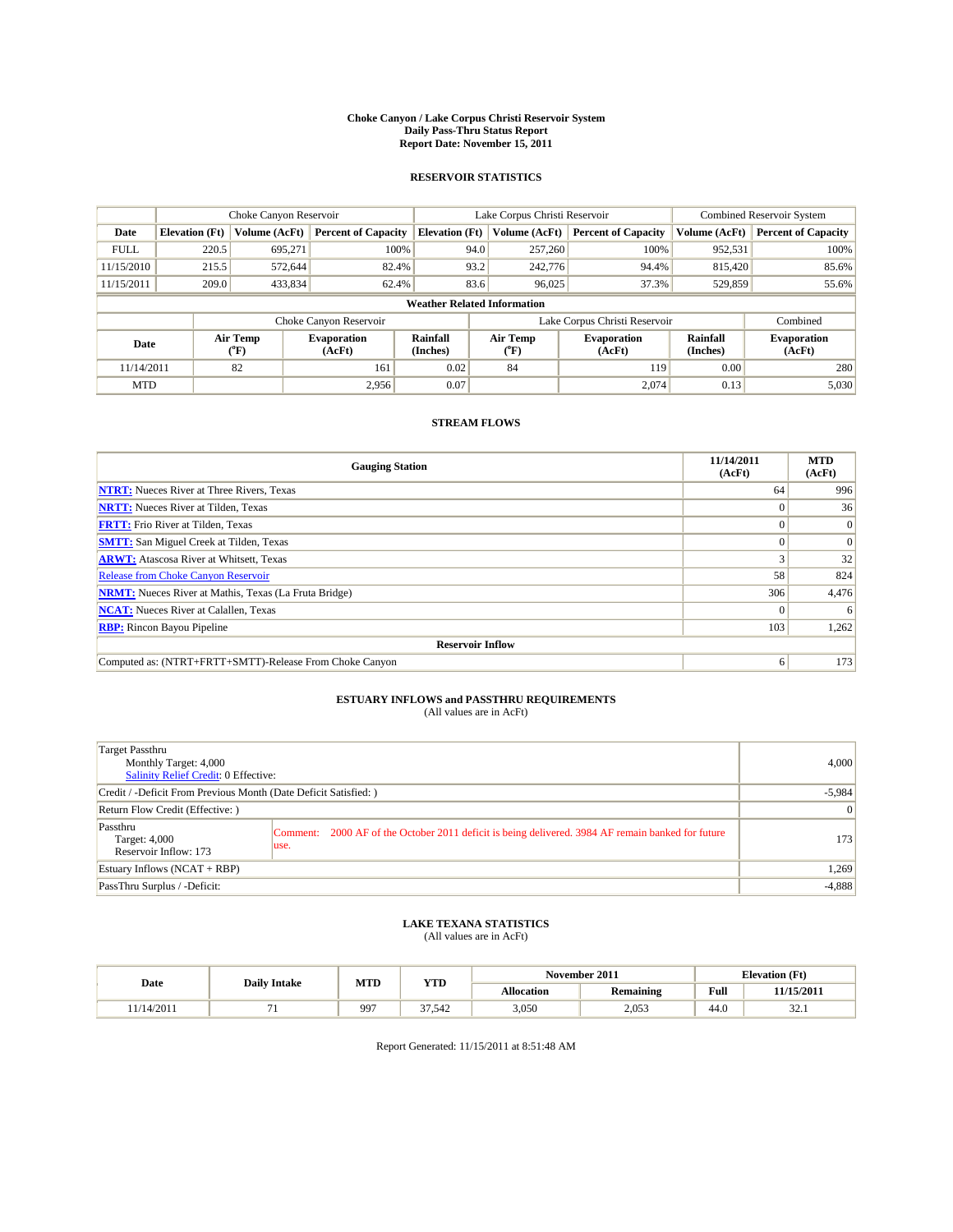#### **Choke Canyon / Lake Corpus Christi Reservoir System Daily Pass-Thru Status Report Report Date: November 15, 2011**

### **RESERVOIR STATISTICS**

|             | Choke Canyon Reservoir             |                          |                              |                       | Lake Corpus Christi Reservoir |                              |                      | <b>Combined Reservoir System</b> |  |
|-------------|------------------------------------|--------------------------|------------------------------|-----------------------|-------------------------------|------------------------------|----------------------|----------------------------------|--|
| Date        | <b>Elevation</b> (Ft)              | Volume (AcFt)            | <b>Percent of Capacity</b>   | <b>Elevation (Ft)</b> | Volume (AcFt)                 | <b>Percent of Capacity</b>   | Volume (AcFt)        | <b>Percent of Capacity</b>       |  |
| <b>FULL</b> | 220.5                              | 695,271                  | 100%                         |                       | 257,260<br>94.0               | 100%                         | 952,531              | 100%                             |  |
| 11/15/2010  | 215.5                              | 572,644                  | 82.4%                        |                       | 93.2<br>242,776               | 94.4%                        | 815,420              | 85.6%                            |  |
| 11/15/2011  | 209.0                              | 433,834                  | 62.4%                        |                       | 83.6<br>96,025                | 37.3%                        | 529,859              | 55.6%                            |  |
|             | <b>Weather Related Information</b> |                          |                              |                       |                               |                              |                      |                                  |  |
|             |                                    |                          | Choke Canyon Reservoir       |                       | Lake Corpus Christi Reservoir |                              |                      | Combined                         |  |
| Date        |                                    | Air Temp<br>$\rm ^{o}F)$ | <b>Evaporation</b><br>(AcFt) | Rainfall<br>(Inches)  | Air Temp<br>("F)              | <b>Evaporation</b><br>(AcFt) | Rainfall<br>(Inches) | <b>Evaporation</b><br>(AcFt)     |  |
| 11/14/2011  |                                    | 82                       | 161                          | 0.02                  | 84                            | 119                          | 0.00                 | 280                              |  |
| <b>MTD</b>  |                                    |                          | 2,956                        | 0.07                  |                               | 2,074                        | 0.13                 | 5,030                            |  |

### **STREAM FLOWS**

| <b>Gauging Station</b>                                       | 11/14/2011<br>(AcFt) | <b>MTD</b><br>(AcFt) |  |  |  |  |  |
|--------------------------------------------------------------|----------------------|----------------------|--|--|--|--|--|
| <b>NTRT:</b> Nueces River at Three Rivers, Texas             | 64                   | 996                  |  |  |  |  |  |
| <b>NRTT:</b> Nueces River at Tilden, Texas                   | $\Omega$             | 36                   |  |  |  |  |  |
| <b>FRTT:</b> Frio River at Tilden, Texas                     |                      | $\Omega$             |  |  |  |  |  |
| <b>SMTT:</b> San Miguel Creek at Tilden, Texas               |                      | $\Omega$             |  |  |  |  |  |
| <b>ARWT:</b> Atascosa River at Whitsett, Texas               |                      | 32                   |  |  |  |  |  |
| <b>Release from Choke Canyon Reservoir</b>                   | 58                   | 824                  |  |  |  |  |  |
| <b>NRMT:</b> Nueces River at Mathis, Texas (La Fruta Bridge) | 306                  | 4,476                |  |  |  |  |  |
| <b>NCAT:</b> Nueces River at Calallen, Texas                 | $\Omega$             | 6                    |  |  |  |  |  |
| <b>RBP:</b> Rincon Bayou Pipeline                            | 103                  | 1,262                |  |  |  |  |  |
| <b>Reservoir Inflow</b>                                      |                      |                      |  |  |  |  |  |
| Computed as: (NTRT+FRTT+SMTT)-Release From Choke Canyon      | 6                    | 173                  |  |  |  |  |  |

## **ESTUARY INFLOWS and PASSTHRU REQUIREMENTS**<br>(All values are in AcFt)

| Target Passthru<br>Monthly Target: 4,000<br><b>Salinity Relief Credit: 0 Effective:</b> |                                                                                                           | 4,000           |
|-----------------------------------------------------------------------------------------|-----------------------------------------------------------------------------------------------------------|-----------------|
| Credit / -Deficit From Previous Month (Date Deficit Satisfied: )                        |                                                                                                           | $-5,984$        |
| Return Flow Credit (Effective: )                                                        |                                                                                                           | $\vert 0 \vert$ |
| Passthru<br>Target: 4,000<br>Reservoir Inflow: 173                                      | Comment: 2000 AF of the October 2011 deficit is being delivered. 3984 AF remain banked for future<br>use. | 173             |
| Estuary Inflows $(NCAT + RBP)$                                                          |                                                                                                           | 1,269           |
| PassThru Surplus / -Deficit:                                                            |                                                                                                           | $-4,888$        |

## **LAKE TEXANA STATISTICS** (All values are in AcFt)

|           |                     | MTD | <b>YTD</b> | November 2011<br><b>Elevation</b> (Ft) |                  |      |                  |
|-----------|---------------------|-----|------------|----------------------------------------|------------------|------|------------------|
| Date      | <b>Daily Intake</b> |     |            | Allocation                             | <b>Remaining</b> | Full | 11/15/2011       |
| 1/14/2011 |                     | 997 | 37.542     | 3,050                                  | 2,053            | 44.0 | $\sim$<br>1. ے د |

Report Generated: 11/15/2011 at 8:51:48 AM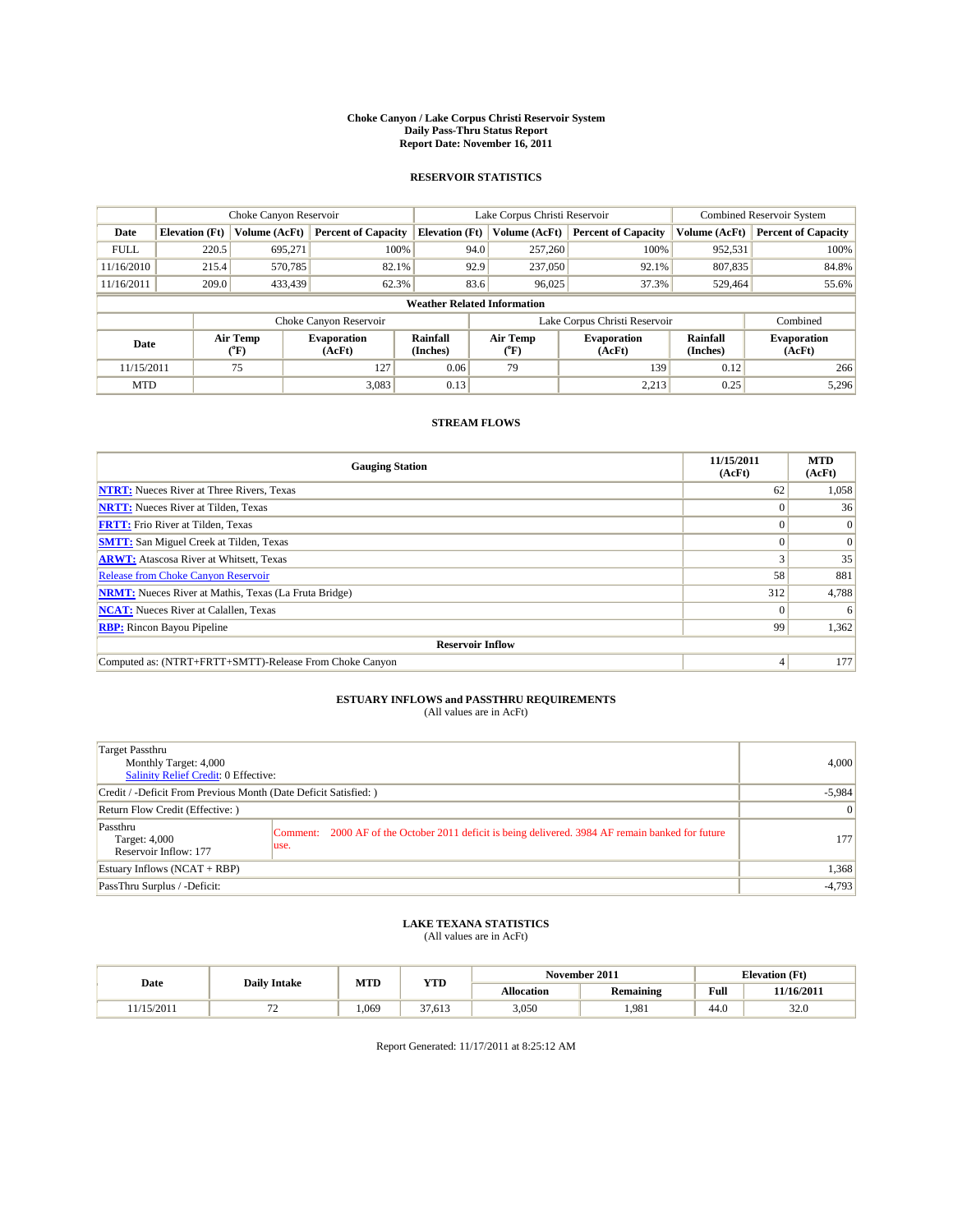#### **Choke Canyon / Lake Corpus Christi Reservoir System Daily Pass-Thru Status Report Report Date: November 16, 2011**

### **RESERVOIR STATISTICS**

|             | Choke Canyon Reservoir             |                             | Lake Corpus Christi Reservoir |                       |                               |               | <b>Combined Reservoir System</b> |                             |                              |  |
|-------------|------------------------------------|-----------------------------|-------------------------------|-----------------------|-------------------------------|---------------|----------------------------------|-----------------------------|------------------------------|--|
| Date        | <b>Elevation</b> (Ft)              | Volume (AcFt)               | <b>Percent of Capacity</b>    | <b>Elevation</b> (Ft) |                               | Volume (AcFt) | <b>Percent of Capacity</b>       | Volume (AcFt)               | <b>Percent of Capacity</b>   |  |
| <b>FULL</b> | 220.5                              | 695,271                     | 100%                          |                       | 94.0                          | 257,260       | 100%                             | 952,531                     | 100%                         |  |
| 11/16/2010  | 215.4                              | 570,785                     | 82.1%                         |                       | 92.9                          | 237,050       | 92.1%                            | 807,835                     | 84.8%                        |  |
| 11/16/2011  | 209.0                              | 433,439                     | 62.3%                         |                       | 83.6                          | 96,025        | 37.3%                            | 529,464                     | 55.6%                        |  |
|             | <b>Weather Related Information</b> |                             |                               |                       |                               |               |                                  |                             |                              |  |
|             |                                    |                             | Choke Canyon Reservoir        |                       | Lake Corpus Christi Reservoir |               |                                  |                             | Combined                     |  |
| Date        |                                    | Air Temp<br>${}^{\circ}$ F) | <b>Evaporation</b><br>(AcFt)  | Rainfall<br>(Inches)  | Air Temp<br>(°F)              |               | <b>Evaporation</b><br>(AcFt)     | <b>Rainfall</b><br>(Inches) | <b>Evaporation</b><br>(AcFt) |  |
| 11/15/2011  |                                    | 75                          | 127                           | 0.06                  | 79                            |               | 139                              | 0.12                        | 266                          |  |
| <b>MTD</b>  |                                    |                             | 3,083                         | 0.13                  |                               |               | 2,213                            | 0.25                        | 5,296                        |  |

### **STREAM FLOWS**

| <b>Gauging Station</b>                                       | 11/15/2011<br>(AcFt) | <b>MTD</b><br>(AcFt) |
|--------------------------------------------------------------|----------------------|----------------------|
| <b>NTRT:</b> Nueces River at Three Rivers, Texas             | 62                   | 1,058                |
| <b>NRTT:</b> Nueces River at Tilden, Texas                   |                      | 36                   |
| <b>FRTT:</b> Frio River at Tilden, Texas                     |                      | $\Omega$             |
| <b>SMTT:</b> San Miguel Creek at Tilden, Texas               |                      | $\Omega$             |
| <b>ARWT:</b> Atascosa River at Whitsett, Texas               |                      | 35                   |
| <b>Release from Choke Canyon Reservoir</b>                   | 58                   | 881                  |
| <b>NRMT:</b> Nueces River at Mathis, Texas (La Fruta Bridge) | 312                  | 4,788                |
| <b>NCAT:</b> Nueces River at Calallen, Texas                 | $\theta$             | 6                    |
| <b>RBP:</b> Rincon Bayou Pipeline                            | 99                   | 1,362                |
| <b>Reservoir Inflow</b>                                      |                      |                      |
| Computed as: (NTRT+FRTT+SMTT)-Release From Choke Canyon      |                      | 177                  |

# **ESTUARY INFLOWS and PASSTHRU REQUIREMENTS**<br>(All values are in AcFt)

| Target Passthru<br>Monthly Target: 4,000<br>Salinity Relief Credit: 0 Effective: |                                                                                                            | 4.000    |
|----------------------------------------------------------------------------------|------------------------------------------------------------------------------------------------------------|----------|
| Credit / -Deficit From Previous Month (Date Deficit Satisfied: )                 | $-5,984$                                                                                                   |          |
| Return Flow Credit (Effective:)                                                  | $\vert 0 \vert$                                                                                            |          |
| Passthru<br>Target: 4,000<br>Reservoir Inflow: 177                               | Comment: 2000 AF of the October 2011 deficit is being delivered. 3984 AF remain banked for future<br>luse. | 177      |
| Estuary Inflows (NCAT + RBP)                                                     |                                                                                                            | 1,368    |
| PassThru Surplus / -Deficit:                                                     |                                                                                                            | $-4,793$ |

# **LAKE TEXANA STATISTICS** (All values are in AcFt)

|          |     | MTD<br><b>YTD</b><br><b>Daily Intake</b> |              | November 2011 |           | <b>Elevation</b> (Ft) |            |
|----------|-----|------------------------------------------|--------------|---------------|-----------|-----------------------|------------|
| Date     |     |                                          |              | Allocation    | Remaining | Full                  | 11/16/2011 |
| /15/2011 | . . | 1.069                                    | 27<br>37.613 | 3,050         | .981      | 44.0                  | 32.0       |

Report Generated: 11/17/2011 at 8:25:12 AM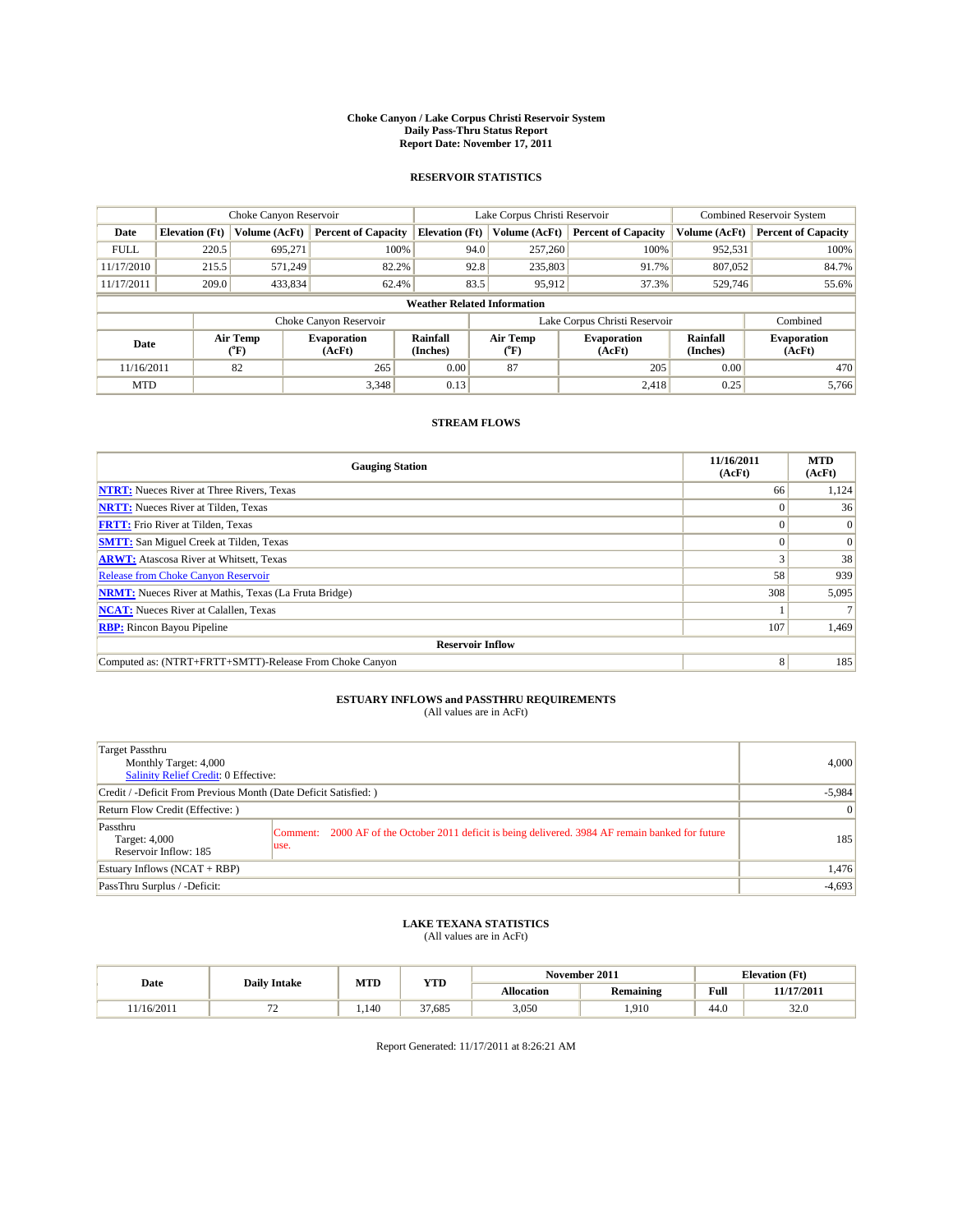#### **Choke Canyon / Lake Corpus Christi Reservoir System Daily Pass-Thru Status Report Report Date: November 17, 2011**

### **RESERVOIR STATISTICS**

|             |                                    | Choke Canyon Reservoir      |                              |                             | Lake Corpus Christi Reservoir | <b>Combined Reservoir System</b> |                      |                              |  |  |
|-------------|------------------------------------|-----------------------------|------------------------------|-----------------------------|-------------------------------|----------------------------------|----------------------|------------------------------|--|--|
| Date        | <b>Elevation</b> (Ft)              | Volume (AcFt)               | <b>Percent of Capacity</b>   | <b>Elevation</b> (Ft)       | Volume (AcFt)                 | <b>Percent of Capacity</b>       | Volume (AcFt)        | <b>Percent of Capacity</b>   |  |  |
| <b>FULL</b> | 220.5                              | 695,271                     | 100%                         | 94.0                        | 257,260                       | 100%                             | 952,531              | 100%                         |  |  |
| 11/17/2010  | 215.5                              | 571,249                     | 82.2%                        | 92.8                        | 235,803                       | 91.7%                            | 807.052              | 84.7%                        |  |  |
| 11/17/2011  | 209.0                              | 433,834                     | 62.4%                        | 83.5                        | 95,912                        | 37.3%                            | 529,746              | 55.6%                        |  |  |
|             | <b>Weather Related Information</b> |                             |                              |                             |                               |                                  |                      |                              |  |  |
|             |                                    |                             | Choke Canyon Reservoir       |                             | Lake Corpus Christi Reservoir |                                  | Combined             |                              |  |  |
| Date        |                                    | Air Temp<br>${}^{\circ}$ F) | <b>Evaporation</b><br>(AcFt) | <b>Rainfall</b><br>(Inches) | Air Temp<br>(°F)              | <b>Evaporation</b><br>(AcFt)     | Rainfall<br>(Inches) | <b>Evaporation</b><br>(AcFt) |  |  |
| 11/16/2011  |                                    | 82                          | 265                          | 0.00                        | 87                            | 205                              | 0.00                 | 470                          |  |  |
| <b>MTD</b>  |                                    |                             | 3,348                        | 0.13                        |                               | 2,418                            | 0.25                 | 5.766                        |  |  |

### **STREAM FLOWS**

| <b>Gauging Station</b>                                       | 11/16/2011<br>(AcFt) | <b>MTD</b><br>(AcFt) |
|--------------------------------------------------------------|----------------------|----------------------|
| <b>NTRT:</b> Nueces River at Three Rivers, Texas             | 66                   | 1,124                |
| <b>NRTT:</b> Nueces River at Tilden, Texas                   | $\Omega$             | 36                   |
| <b>FRTT:</b> Frio River at Tilden, Texas                     |                      | $\Omega$             |
| <b>SMTT:</b> San Miguel Creek at Tilden, Texas               |                      | $\Omega$             |
| <b>ARWT:</b> Atascosa River at Whitsett, Texas               |                      | 38                   |
| <b>Release from Choke Canyon Reservoir</b>                   | 58                   | 939                  |
| <b>NRMT:</b> Nueces River at Mathis, Texas (La Fruta Bridge) | 308                  | 5,095                |
| <b>NCAT:</b> Nueces River at Calallen, Texas                 |                      |                      |
| <b>RBP:</b> Rincon Bayou Pipeline                            | 107                  | 1,469                |
| <b>Reservoir Inflow</b>                                      |                      |                      |
| Computed as: (NTRT+FRTT+SMTT)-Release From Choke Canyon      | 8 <sup>1</sup>       | 185                  |

# **ESTUARY INFLOWS and PASSTHRU REQUIREMENTS**<br>(All values are in AcFt)

| Target Passthru<br>Monthly Target: 4,000<br>Salinity Relief Credit: 0 Effective: |                                                                                                            | 4,000          |
|----------------------------------------------------------------------------------|------------------------------------------------------------------------------------------------------------|----------------|
| Credit / -Deficit From Previous Month (Date Deficit Satisfied: )                 |                                                                                                            | $-5,984$       |
| Return Flow Credit (Effective:)                                                  |                                                                                                            | $\overline{0}$ |
| Passthru<br>Target: 4,000<br>Reservoir Inflow: 185                               | Comment: 2000 AF of the October 2011 deficit is being delivered. 3984 AF remain banked for future<br>luse. | 185            |
| Estuary Inflows (NCAT + RBP)                                                     |                                                                                                            | 1,476          |
| PassThru Surplus / -Deficit:                                                     |                                                                                                            | $-4,693$       |

## **LAKE TEXANA STATISTICS** (All values are in AcFt)

|           |                     | MTD  | YTD    |                   | November 2011 |      | <b>Elevation</b> (Ft) |
|-----------|---------------------|------|--------|-------------------|---------------|------|-----------------------|
| Date      | <b>Daily Intake</b> |      |        | <b>Allocation</b> | Remaining     | Full | 11/17/2011            |
| 1/16/2011 |                     | .140 | 37.685 | 3,050             | .910          | 44.0 | 32.0                  |

Report Generated: 11/17/2011 at 8:26:21 AM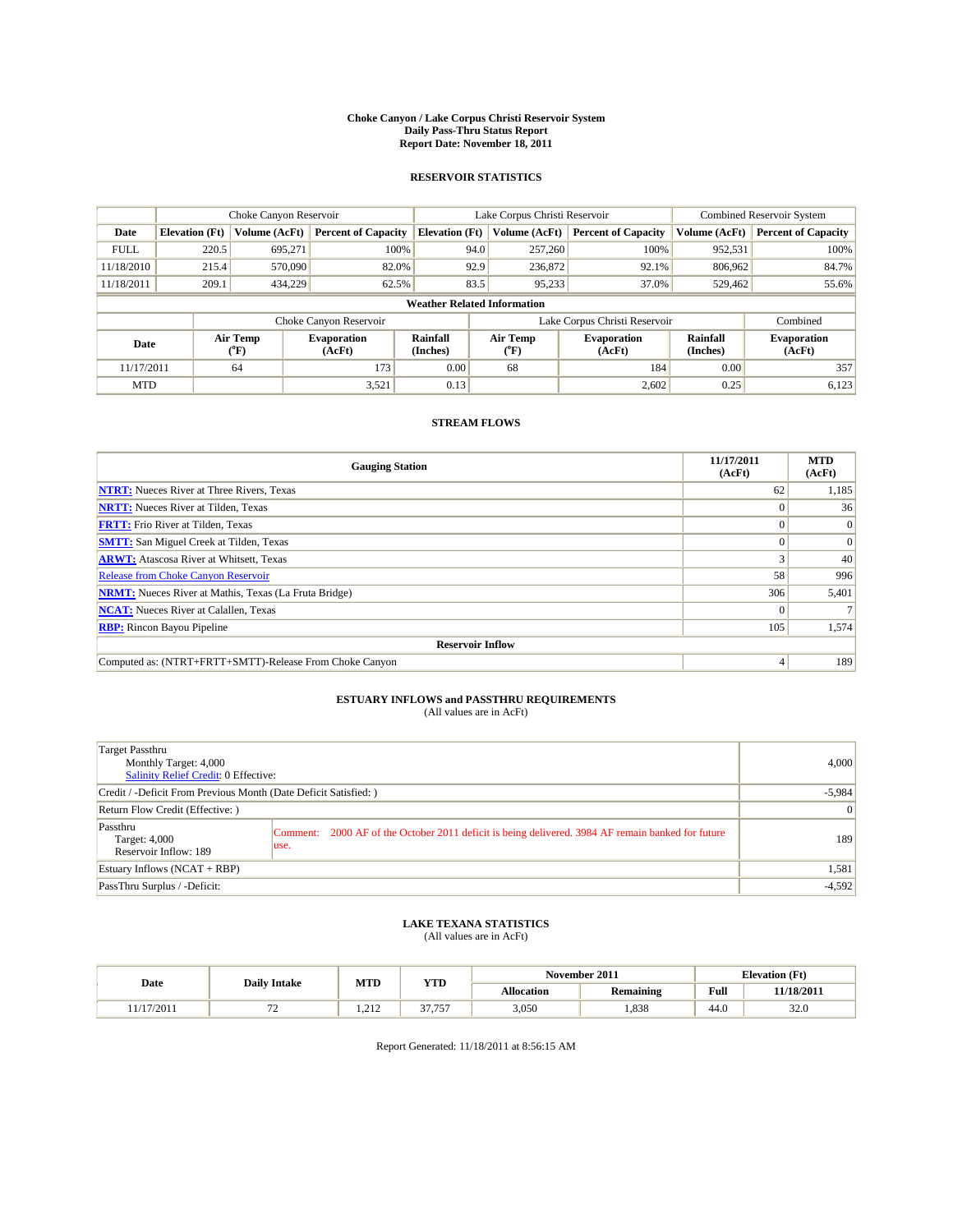#### **Choke Canyon / Lake Corpus Christi Reservoir System Daily Pass-Thru Status Report Report Date: November 18, 2011**

### **RESERVOIR STATISTICS**

|             |                                    | Choke Canyon Reservoir      |                              |                             | Lake Corpus Christi Reservoir | <b>Combined Reservoir System</b> |                      |                              |  |  |
|-------------|------------------------------------|-----------------------------|------------------------------|-----------------------------|-------------------------------|----------------------------------|----------------------|------------------------------|--|--|
| Date        | <b>Elevation</b> (Ft)              | Volume (AcFt)               | <b>Percent of Capacity</b>   | <b>Elevation</b> (Ft)       | Volume (AcFt)                 | <b>Percent of Capacity</b>       | Volume (AcFt)        | <b>Percent of Capacity</b>   |  |  |
| <b>FULL</b> | 220.5                              | 695,271                     | 100%                         | 94.0                        | 257,260                       | 100%                             | 952,531              | 100%                         |  |  |
| 11/18/2010  | 215.4                              | 570,090                     | 82.0%                        | 92.9                        | 236,872                       | 92.1%                            | 806.962              | 84.7%                        |  |  |
| 11/18/2011  | 209.1                              | 434,229                     | 62.5%                        | 83.5                        | 95,233                        | 37.0%                            | 529,462              | 55.6%                        |  |  |
|             | <b>Weather Related Information</b> |                             |                              |                             |                               |                                  |                      |                              |  |  |
|             |                                    |                             | Choke Canyon Reservoir       |                             | Lake Corpus Christi Reservoir |                                  | Combined             |                              |  |  |
| Date        |                                    | Air Temp<br>${}^{\circ}$ F) | <b>Evaporation</b><br>(AcFt) | <b>Rainfall</b><br>(Inches) | Air Temp<br>(°F)              | <b>Evaporation</b><br>(AcFt)     | Rainfall<br>(Inches) | <b>Evaporation</b><br>(AcFt) |  |  |
| 11/17/2011  |                                    | 64                          | 173                          | 0.00                        | 68                            | 184                              | 0.00                 | 357                          |  |  |
| <b>MTD</b>  |                                    |                             | 3,521                        | 0.13                        |                               | 2,602                            | 0.25                 | 6,123                        |  |  |

### **STREAM FLOWS**

| <b>Gauging Station</b>                                       | 11/17/2011<br>(AcFt) | <b>MTD</b><br>(AcFt) |
|--------------------------------------------------------------|----------------------|----------------------|
| <b>NTRT:</b> Nueces River at Three Rivers, Texas             | 62                   | 1,185                |
| <b>NRTT:</b> Nueces River at Tilden, Texas                   |                      | 36                   |
| <b>FRTT:</b> Frio River at Tilden, Texas                     |                      | $\Omega$             |
| <b>SMTT:</b> San Miguel Creek at Tilden, Texas               |                      | $\Omega$             |
| <b>ARWT:</b> Atascosa River at Whitsett, Texas               |                      | 40                   |
| <b>Release from Choke Canyon Reservoir</b>                   | 58                   | 996                  |
| <b>NRMT:</b> Nueces River at Mathis, Texas (La Fruta Bridge) | 306                  | 5,401                |
| <b>NCAT:</b> Nueces River at Calallen, Texas                 | $\Omega$             |                      |
| <b>RBP:</b> Rincon Bayou Pipeline                            | 105                  | 1,574                |
| <b>Reservoir Inflow</b>                                      |                      |                      |
| Computed as: (NTRT+FRTT+SMTT)-Release From Choke Canyon      |                      | 189                  |

# **ESTUARY INFLOWS and PASSTHRU REQUIREMENTS**<br>(All values are in AcFt)

| Target Passthru<br>Monthly Target: 4,000<br>Salinity Relief Credit: 0 Effective: |                                                                                                              | 4,000           |
|----------------------------------------------------------------------------------|--------------------------------------------------------------------------------------------------------------|-----------------|
| Credit / -Deficit From Previous Month (Date Deficit Satisfied: )                 |                                                                                                              | $-5,984$        |
| Return Flow Credit (Effective: )                                                 |                                                                                                              | $\vert 0 \vert$ |
| Passthru<br>Target: 4,000<br>Reservoir Inflow: 189                               | 2000 AF of the October 2011 deficit is being delivered. 3984 AF remain banked for future<br>Comment:<br>use. | 189             |
| Estuary Inflows $(NCAT + RBP)$                                                   |                                                                                                              | 1,581           |
| PassThru Surplus / -Deficit:                                                     |                                                                                                              | $-4,592$        |

## **LAKE TEXANA STATISTICS** (All values are in AcFt)

|          | <b>Daily Intake</b> |                                   | MTD<br><b>YTD</b> |            | November 2011    | <b>Elevation</b> (Ft)                       |            |
|----------|---------------------|-----------------------------------|-------------------|------------|------------------|---------------------------------------------|------------|
| Date     |                     |                                   |                   | Allocation | <b>Remaining</b> | Full<br>the contract of the contract of the | 11/18/2011 |
| /17/2011 | . .                 | 21 <sup>o</sup><br>$\overline{1}$ | 27.75<br>,,,,,,   | 3,050      | .838             | 44.0                                        | 32.0       |

Report Generated: 11/18/2011 at 8:56:15 AM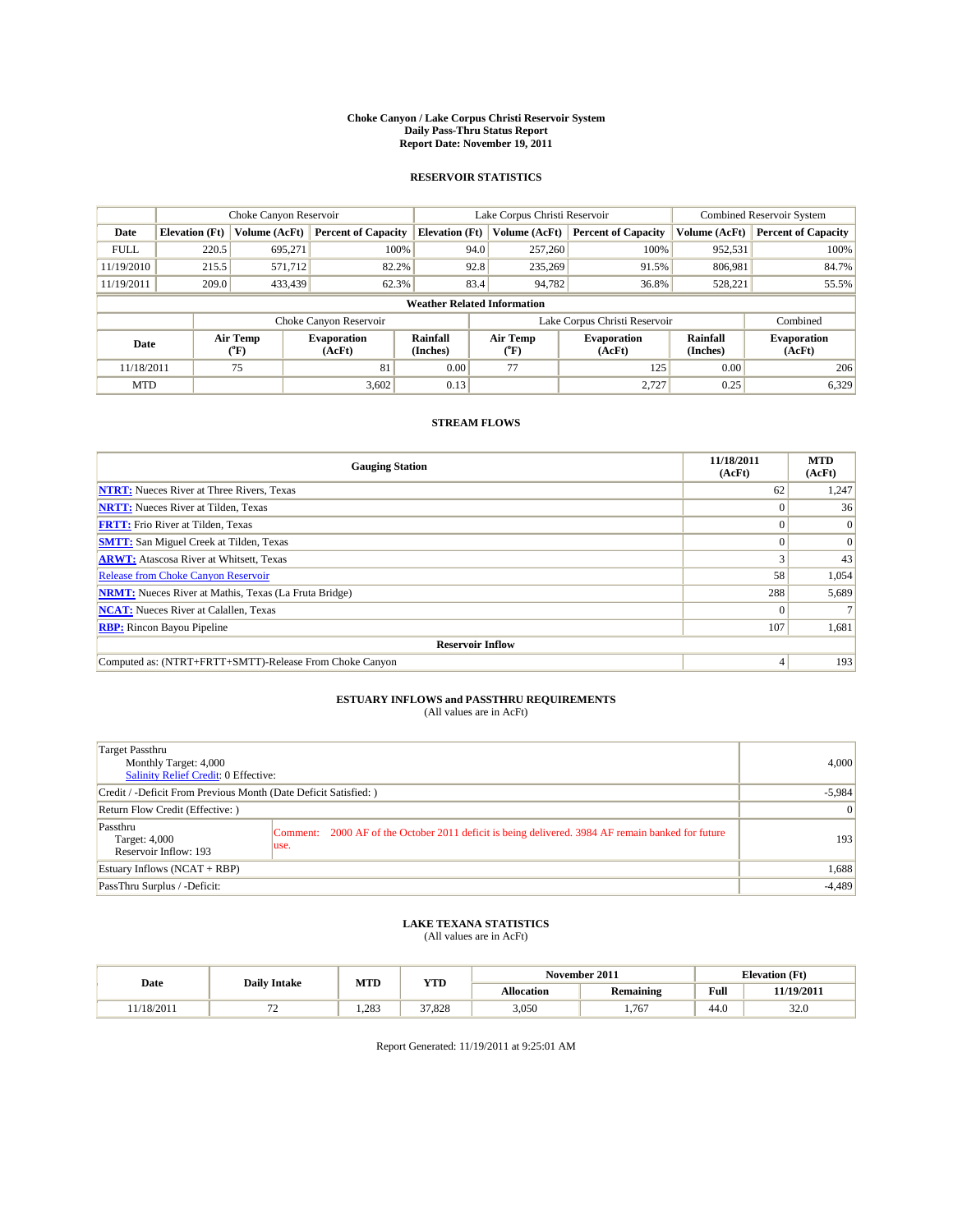#### **Choke Canyon / Lake Corpus Christi Reservoir System Daily Pass-Thru Status Report Report Date: November 19, 2011**

### **RESERVOIR STATISTICS**

|             | Choke Canyon Reservoir             |                             |                              |                             | Lake Corpus Christi Reservoir |                              |                      | <b>Combined Reservoir System</b> |  |  |
|-------------|------------------------------------|-----------------------------|------------------------------|-----------------------------|-------------------------------|------------------------------|----------------------|----------------------------------|--|--|
| Date        | <b>Elevation</b> (Ft)              | Volume (AcFt)               | <b>Percent of Capacity</b>   | <b>Elevation</b> (Ft)       | Volume (AcFt)                 | <b>Percent of Capacity</b>   | Volume (AcFt)        | <b>Percent of Capacity</b>       |  |  |
| <b>FULL</b> | 220.5                              | 695,271                     | 100%                         | 94.0                        | 257,260                       | 100%                         | 952,531              | 100%                             |  |  |
| 11/19/2010  | 215.5                              | 571,712                     | 82.2%                        | 92.8                        | 235,269                       | 91.5%                        | 806.981              | 84.7%                            |  |  |
| 11/19/2011  | 209.0                              | 433.439                     | 62.3%                        | 83.4                        | 94,782                        | 36.8%                        | 528,221              | 55.5%                            |  |  |
|             | <b>Weather Related Information</b> |                             |                              |                             |                               |                              |                      |                                  |  |  |
|             |                                    |                             | Choke Canyon Reservoir       |                             | Lake Corpus Christi Reservoir |                              |                      | Combined                         |  |  |
| Date        |                                    | Air Temp<br>${}^{\circ}$ F) | <b>Evaporation</b><br>(AcFt) | <b>Rainfall</b><br>(Inches) | Air Temp<br>(°F)              | <b>Evaporation</b><br>(AcFt) | Rainfall<br>(Inches) | <b>Evaporation</b><br>(AcFt)     |  |  |
| 11/18/2011  |                                    | 75                          | 81                           | 0.00                        | 77                            | 125                          | 0.00                 | 206                              |  |  |
| <b>MTD</b>  |                                    |                             | 3,602                        | 0.13                        |                               | 2,727                        | 0.25                 | 6,329                            |  |  |

### **STREAM FLOWS**

| <b>Gauging Station</b>                                       | 11/18/2011<br>(AcFt) | <b>MTD</b><br>(AcFt) |  |  |  |  |  |
|--------------------------------------------------------------|----------------------|----------------------|--|--|--|--|--|
| <b>NTRT:</b> Nueces River at Three Rivers, Texas             | 62                   | 1,247                |  |  |  |  |  |
| <b>NRTT:</b> Nueces River at Tilden, Texas                   |                      | 36                   |  |  |  |  |  |
| <b>FRTT:</b> Frio River at Tilden, Texas                     |                      | $\Omega$             |  |  |  |  |  |
| <b>SMTT:</b> San Miguel Creek at Tilden, Texas               |                      | $\Omega$             |  |  |  |  |  |
| <b>ARWT:</b> Atascosa River at Whitsett, Texas               |                      | 43                   |  |  |  |  |  |
| <b>Release from Choke Canyon Reservoir</b>                   | 58                   | 1,054                |  |  |  |  |  |
| <b>NRMT:</b> Nueces River at Mathis, Texas (La Fruta Bridge) | 288                  | 5,689                |  |  |  |  |  |
| <b>NCAT:</b> Nueces River at Calallen, Texas                 | $\Omega$             |                      |  |  |  |  |  |
| <b>RBP:</b> Rincon Bayou Pipeline                            | 107                  | 1,681                |  |  |  |  |  |
| <b>Reservoir Inflow</b>                                      |                      |                      |  |  |  |  |  |
| Computed as: (NTRT+FRTT+SMTT)-Release From Choke Canyon      |                      | 193                  |  |  |  |  |  |

# **ESTUARY INFLOWS and PASSTHRU REQUIREMENTS**<br>(All values are in AcFt)

| Target Passthru<br>Monthly Target: 4,000<br>Salinity Relief Credit: 0 Effective: |                                                                                                            | 4,000    |
|----------------------------------------------------------------------------------|------------------------------------------------------------------------------------------------------------|----------|
| Credit / -Deficit From Previous Month (Date Deficit Satisfied: )                 | $-5,984$                                                                                                   |          |
| Return Flow Credit (Effective:)                                                  | $\overline{0}$                                                                                             |          |
| Passthru<br>Target: 4,000<br>Reservoir Inflow: 193                               | Comment: 2000 AF of the October 2011 deficit is being delivered. 3984 AF remain banked for future<br>luse. | 193      |
| Estuary Inflows (NCAT + RBP)                                                     |                                                                                                            | 1,688    |
| PassThru Surplus / -Deficit:                                                     |                                                                                                            | $-4,489$ |

## **LAKE TEXANA STATISTICS** (All values are in AcFt)

|           | <b>Daily Intake</b> | MTD  | YTD    |                   | November 2011 |      | <b>Elevation</b> (Ft) |
|-----------|---------------------|------|--------|-------------------|---------------|------|-----------------------|
| Date      |                     |      |        | <b>Allocation</b> | Remaining     | Full | 11/19/2011            |
| 1/18/2011 |                     | .283 | 37.828 | 3,050             | .767          | 44.0 | 32.0                  |

Report Generated: 11/19/2011 at 9:25:01 AM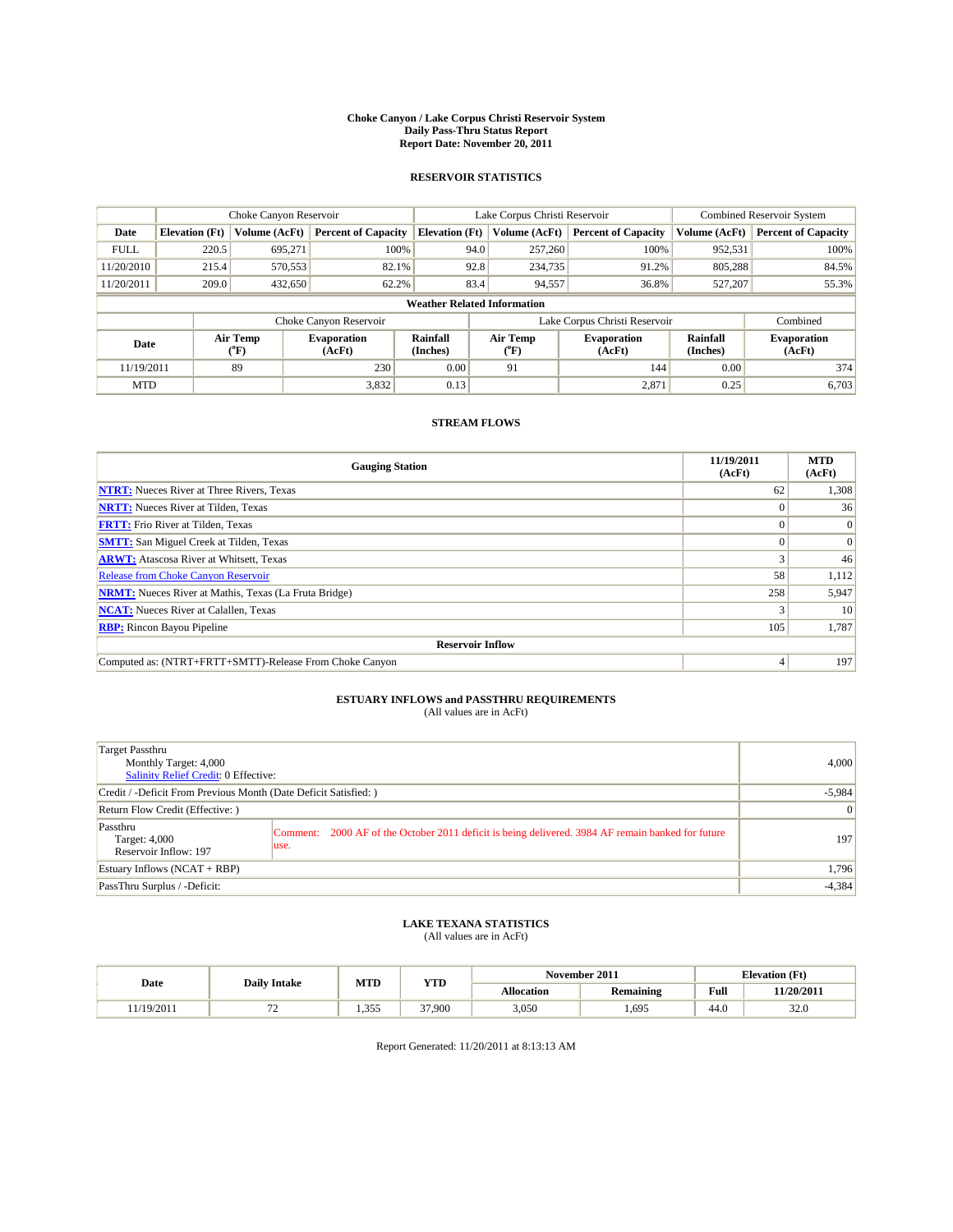#### **Choke Canyon / Lake Corpus Christi Reservoir System Daily Pass-Thru Status Report Report Date: November 20, 2011**

### **RESERVOIR STATISTICS**

|             | Choke Canyon Reservoir             |                  |                              |                             | Lake Corpus Christi Reservoir |                              |                      | <b>Combined Reservoir System</b> |  |
|-------------|------------------------------------|------------------|------------------------------|-----------------------------|-------------------------------|------------------------------|----------------------|----------------------------------|--|
| Date        | <b>Elevation</b> (Ft)              | Volume (AcFt)    | <b>Percent of Capacity</b>   | <b>Elevation</b> (Ft)       | Volume (AcFt)                 | <b>Percent of Capacity</b>   | Volume (AcFt)        | <b>Percent of Capacity</b>       |  |
| <b>FULL</b> | 220.5                              | 695,271          | 100%                         | 94.0                        | 257,260                       | 100%                         | 952,531              | 100%                             |  |
| 11/20/2010  | 215.4                              | 570,553          | 82.1%                        | 92.8                        | 234,735                       | 91.2%                        | 805,288              | 84.5%                            |  |
| 11/20/2011  | 209.0                              | 432,650          | 62.2%                        | 83.4                        | 94,557                        | 36.8%                        | 527,207              | 55.3%                            |  |
|             | <b>Weather Related Information</b> |                  |                              |                             |                               |                              |                      |                                  |  |
|             |                                    |                  | Choke Canyon Reservoir       |                             | Lake Corpus Christi Reservoir |                              |                      | Combined                         |  |
| Date        |                                    | Air Temp<br>(°F) | <b>Evaporation</b><br>(AcFt) | <b>Rainfall</b><br>(Inches) | Air Temp<br>(°F)              | <b>Evaporation</b><br>(AcFt) | Rainfall<br>(Inches) | <b>Evaporation</b><br>(AcFt)     |  |
| 11/19/2011  |                                    | 89               | 230                          | 0.00                        | 91                            | 144                          | 0.00                 | 374                              |  |
| <b>MTD</b>  |                                    |                  | 3,832                        | 0.13                        |                               | 2,871                        | 0.25                 | 6,703                            |  |

### **STREAM FLOWS**

| <b>Gauging Station</b>                                       | 11/19/2011<br>(AcFt) | <b>MTD</b><br>(AcFt) |  |  |  |  |  |
|--------------------------------------------------------------|----------------------|----------------------|--|--|--|--|--|
| <b>NTRT:</b> Nueces River at Three Rivers, Texas             | 62                   | 1,308                |  |  |  |  |  |
| <b>NRTT:</b> Nueces River at Tilden, Texas                   | $\Omega$             | 36                   |  |  |  |  |  |
| <b>FRTT:</b> Frio River at Tilden, Texas                     |                      | $\Omega$             |  |  |  |  |  |
| <b>SMTT:</b> San Miguel Creek at Tilden, Texas               |                      | $\Omega$             |  |  |  |  |  |
| <b>ARWT:</b> Atascosa River at Whitsett, Texas               |                      | 46                   |  |  |  |  |  |
| <b>Release from Choke Canyon Reservoir</b>                   | 58                   | 1,112                |  |  |  |  |  |
| <b>NRMT:</b> Nueces River at Mathis, Texas (La Fruta Bridge) | 258                  | 5,947                |  |  |  |  |  |
| <b>NCAT:</b> Nueces River at Calallen, Texas                 |                      | 10                   |  |  |  |  |  |
| <b>RBP:</b> Rincon Bayou Pipeline                            | 105                  | 1,787                |  |  |  |  |  |
| <b>Reservoir Inflow</b>                                      |                      |                      |  |  |  |  |  |
| Computed as: (NTRT+FRTT+SMTT)-Release From Choke Canyon      | $\overline{4}$       | 197                  |  |  |  |  |  |

# **ESTUARY INFLOWS and PASSTHRU REQUIREMENTS**<br>(All values are in AcFt)

| Target Passthru<br>Monthly Target: 4,000<br>Salinity Relief Credit: 0 Effective: |                                                                                                            | 4,000          |
|----------------------------------------------------------------------------------|------------------------------------------------------------------------------------------------------------|----------------|
| Credit / -Deficit From Previous Month (Date Deficit Satisfied: )                 | $-5,984$                                                                                                   |                |
| Return Flow Credit (Effective:)                                                  |                                                                                                            | $\overline{0}$ |
| Passthru<br>Target: 4,000<br>Reservoir Inflow: 197                               | Comment: 2000 AF of the October 2011 deficit is being delivered. 3984 AF remain banked for future<br>luse. | 197            |
| Estuary Inflows (NCAT + RBP)                                                     |                                                                                                            | 1,796          |
| PassThru Surplus / -Deficit:                                                     |                                                                                                            | $-4,384$       |

## **LAKE TEXANA STATISTICS** (All values are in AcFt)

|           |                     | MTD   | <b>YTD</b> |            | November 2011    |      | <b>Elevation</b> (Ft) |
|-----------|---------------------|-------|------------|------------|------------------|------|-----------------------|
| Date      | <b>Daily Intake</b> |       |            | Allocation | <b>Remaining</b> | Full | 11/20/2011            |
| 1/19/2011 | . .                 | 1.355 | 37,900     | 3,050      | ,695             | 44.0 | 32.0                  |

Report Generated: 11/20/2011 at 8:13:13 AM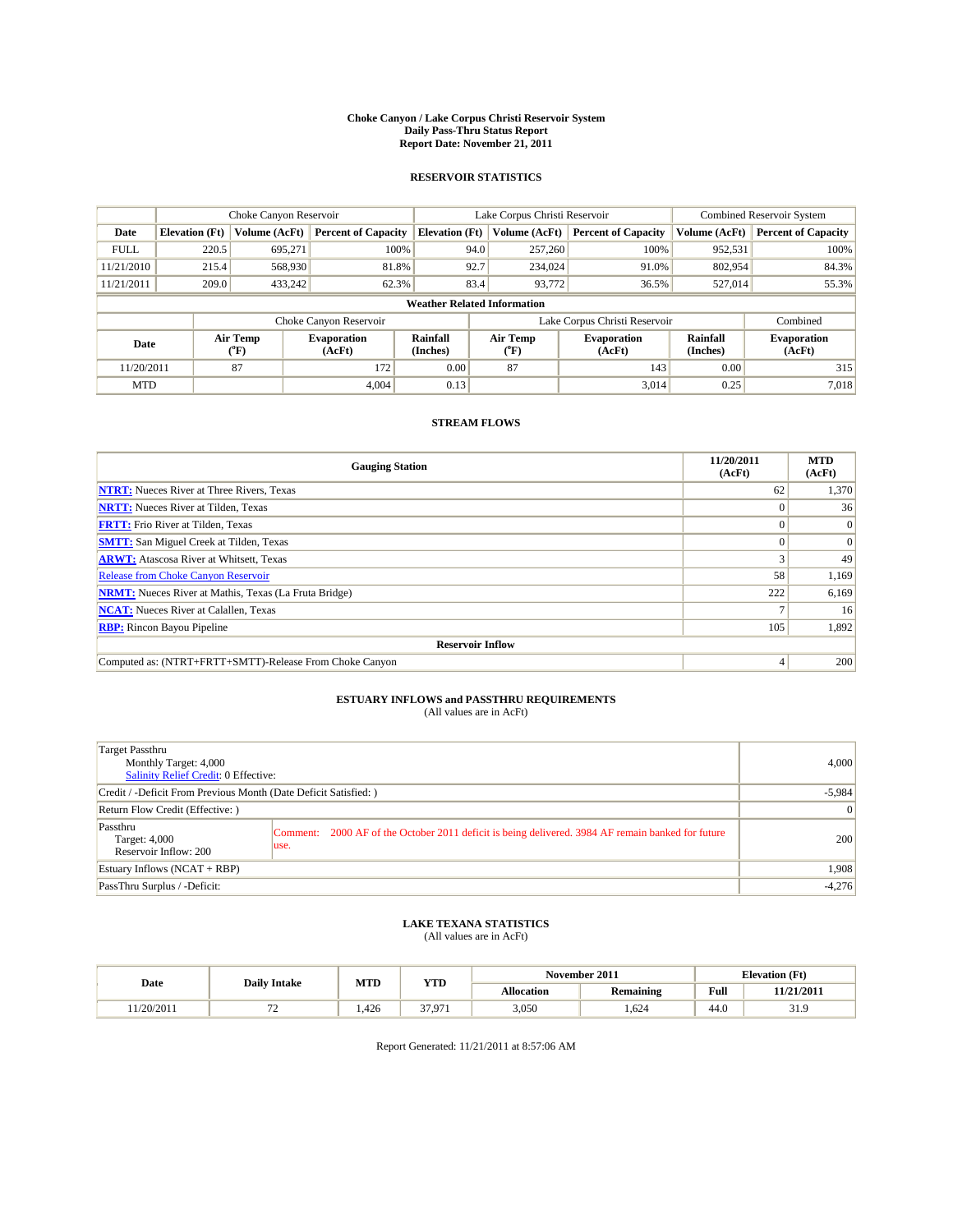#### **Choke Canyon / Lake Corpus Christi Reservoir System Daily Pass-Thru Status Report Report Date: November 21, 2011**

### **RESERVOIR STATISTICS**

|             | Choke Canyon Reservoir             |                             |                              |                             | Lake Corpus Christi Reservoir |                              |                      | <b>Combined Reservoir System</b> |  |
|-------------|------------------------------------|-----------------------------|------------------------------|-----------------------------|-------------------------------|------------------------------|----------------------|----------------------------------|--|
| Date        | <b>Elevation</b> (Ft)              | Volume (AcFt)               | <b>Percent of Capacity</b>   | <b>Elevation</b> (Ft)       | Volume (AcFt)                 | <b>Percent of Capacity</b>   | Volume (AcFt)        | <b>Percent of Capacity</b>       |  |
| <b>FULL</b> | 220.5                              | 695,271                     | 100%                         |                             | 257,260<br>94.0               | 100%                         | 952,531              | 100%                             |  |
| 11/21/2010  | 215.4                              | 568,930                     | 81.8%                        |                             | 92.7<br>234,024               | 91.0%                        | 802,954              | 84.3%                            |  |
| 11/21/2011  | 209.0                              | 433,242                     | 62.3%                        |                             | 83.4<br>93,772                | 36.5%                        | 527,014              | 55.3%                            |  |
|             | <b>Weather Related Information</b> |                             |                              |                             |                               |                              |                      |                                  |  |
|             |                                    |                             | Choke Canyon Reservoir       |                             | Lake Corpus Christi Reservoir |                              |                      | Combined                         |  |
| Date        |                                    | Air Temp<br>${}^{\circ}$ F) | <b>Evaporation</b><br>(AcFt) | <b>Rainfall</b><br>(Inches) | Air Temp<br>(°F)              | <b>Evaporation</b><br>(AcFt) | Rainfall<br>(Inches) | <b>Evaporation</b><br>(AcFt)     |  |
| 11/20/2011  |                                    | 87                          | 172                          | 0.00                        | 87                            | 143                          | 0.00                 | 315                              |  |
| <b>MTD</b>  |                                    |                             | 4,004                        | 0.13                        |                               | 3,014                        | 0.25                 | 7,018                            |  |

### **STREAM FLOWS**

| <b>Gauging Station</b>                                       | 11/20/2011<br>(AcFt) | <b>MTD</b><br>(AcFt) |
|--------------------------------------------------------------|----------------------|----------------------|
| <b>NTRT:</b> Nueces River at Three Rivers, Texas             | 62                   | 1,370                |
| <b>NRTT:</b> Nueces River at Tilden, Texas                   |                      | 36                   |
| <b>FRTT:</b> Frio River at Tilden, Texas                     |                      | $\Omega$             |
| <b>SMTT:</b> San Miguel Creek at Tilden, Texas               |                      | $\Omega$             |
| <b>ARWT:</b> Atascosa River at Whitsett, Texas               |                      | 49                   |
| <b>Release from Choke Canyon Reservoir</b>                   | 58                   | 1,169                |
| <b>NRMT:</b> Nueces River at Mathis, Texas (La Fruta Bridge) | 222                  | 6,169                |
| <b>NCAT:</b> Nueces River at Calallen, Texas                 |                      | 16                   |
| <b>RBP:</b> Rincon Bayou Pipeline                            | 105                  | 1,892                |
| <b>Reservoir Inflow</b>                                      |                      |                      |
| Computed as: (NTRT+FRTT+SMTT)-Release From Choke Canyon      |                      | 200                  |

# **ESTUARY INFLOWS and PASSTHRU REQUIREMENTS**<br>(All values are in AcFt)

| Target Passthru<br>Monthly Target: 4,000<br>Salinity Relief Credit: 0 Effective: |                                                                                                            | 4,000    |
|----------------------------------------------------------------------------------|------------------------------------------------------------------------------------------------------------|----------|
| Credit / -Deficit From Previous Month (Date Deficit Satisfied: )                 | $-5,984$                                                                                                   |          |
| Return Flow Credit (Effective:)                                                  | $\vert 0 \vert$                                                                                            |          |
| Passthru<br>Target: 4,000<br>Reservoir Inflow: 200                               | Comment: 2000 AF of the October 2011 deficit is being delivered. 3984 AF remain banked for future<br>luse. | 200      |
| Estuary Inflows (NCAT + RBP)                                                     |                                                                                                            | 1.908    |
| PassThru Surplus / -Deficit:                                                     |                                                                                                            | $-4,276$ |

# **LAKE TEXANA STATISTICS** (All values are in AcFt)

|           |                     | MTD   | <b>YTD</b>        | November 2011<br><b>Elevation</b> (Ft) |           |                                             |            |
|-----------|---------------------|-------|-------------------|----------------------------------------|-----------|---------------------------------------------|------------|
| Date      | <b>Daily Intake</b> |       |                   | Allocation                             | Remaining | Full<br>the contract of the contract of the | 11/21/2011 |
| 1/20/2011 | . .                 | 1.426 | 37.07 <sup></sup> | 3,050                                  | .624      | 44.0                                        | - 21.7     |

Report Generated: 11/21/2011 at 8:57:06 AM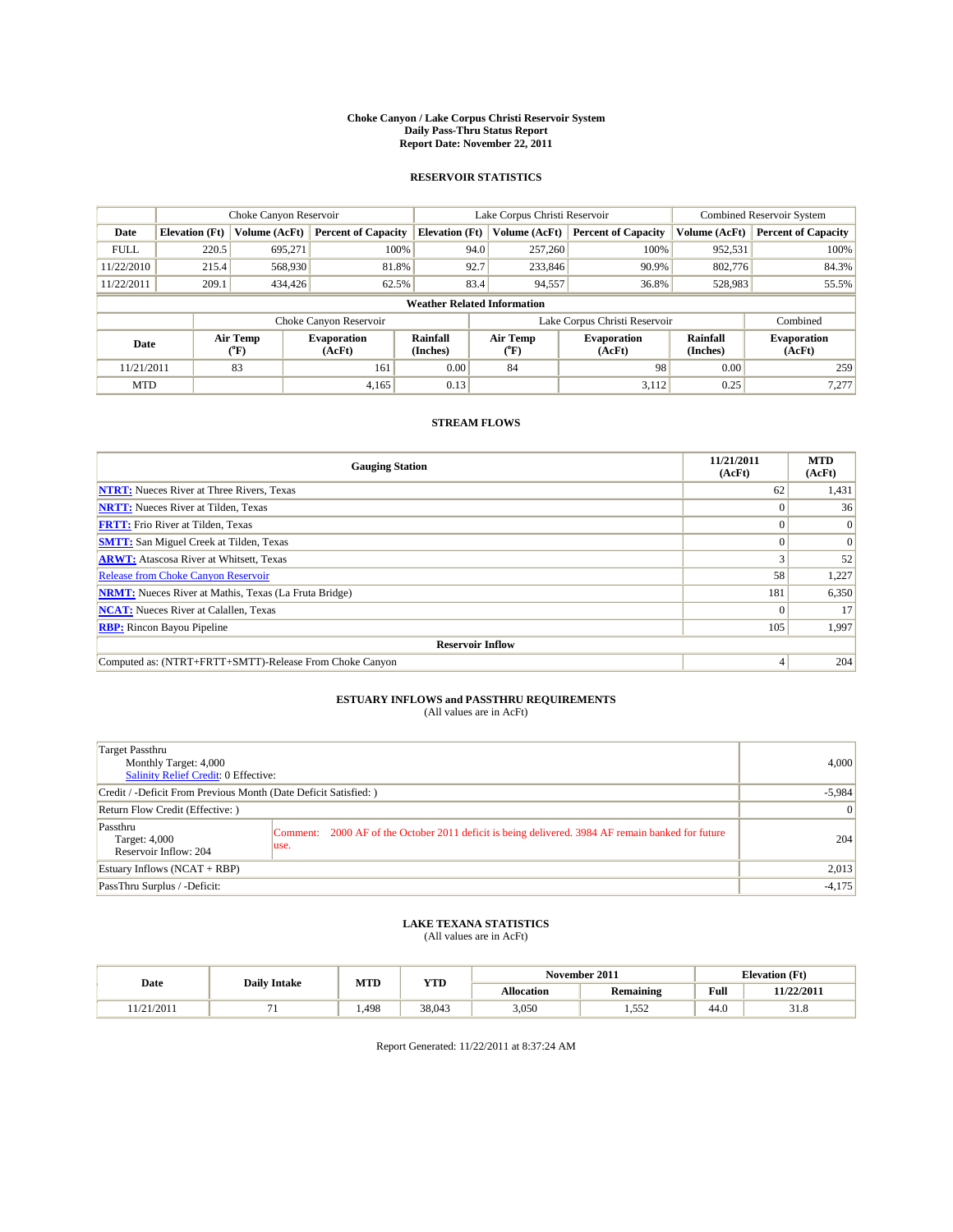#### **Choke Canyon / Lake Corpus Christi Reservoir System Daily Pass-Thru Status Report Report Date: November 22, 2011**

### **RESERVOIR STATISTICS**

|             | Choke Canyon Reservoir             |                             |                              |                       | Lake Corpus Christi Reservoir |                  |                               |                      | <b>Combined Reservoir System</b> |  |  |
|-------------|------------------------------------|-----------------------------|------------------------------|-----------------------|-------------------------------|------------------|-------------------------------|----------------------|----------------------------------|--|--|
| Date        | <b>Elevation</b> (Ft)              | Volume (AcFt)               | <b>Percent of Capacity</b>   | <b>Elevation</b> (Ft) |                               | Volume (AcFt)    | <b>Percent of Capacity</b>    | Volume (AcFt)        | <b>Percent of Capacity</b>       |  |  |
| <b>FULL</b> | 220.5                              | 695.271                     | 100%                         |                       | 94.0                          | 257,260          | 100%                          | 952,531              | 100%                             |  |  |
| 11/22/2010  | 215.4                              | 568,930                     | 81.8%                        |                       | 92.7                          | 233,846          | 90.9%                         | 802,776              | 84.3%                            |  |  |
| 11/22/2011  | 209.1                              | 434,426                     | 62.5%                        |                       | 83.4                          | 94,557           | 36.8%                         | 528,983              | 55.5%                            |  |  |
|             | <b>Weather Related Information</b> |                             |                              |                       |                               |                  |                               |                      |                                  |  |  |
|             |                                    |                             | Choke Canyon Reservoir       |                       |                               |                  | Lake Corpus Christi Reservoir |                      | Combined                         |  |  |
| Date        |                                    | Air Temp<br>${}^{\circ}$ F) | <b>Evaporation</b><br>(AcFt) | Rainfall<br>(Inches)  |                               | Air Temp<br>("F) | <b>Evaporation</b><br>(AcFt)  | Rainfall<br>(Inches) | <b>Evaporation</b><br>(AcFt)     |  |  |
| 11/21/2011  |                                    | 83                          | 161                          | 0.00                  |                               | 84               | 98                            | 0.00                 | 259                              |  |  |
| <b>MTD</b>  |                                    |                             | 4,165                        | 0.13                  |                               |                  | 3,112                         | 0.25                 | 7,277                            |  |  |

### **STREAM FLOWS**

| <b>Gauging Station</b>                                       | 11/21/2011<br>(AcFt) | <b>MTD</b><br>(AcFt) |
|--------------------------------------------------------------|----------------------|----------------------|
| <b>NTRT:</b> Nueces River at Three Rivers, Texas             | 62                   | 1,431                |
| <b>NRTT:</b> Nueces River at Tilden, Texas                   |                      | 36 <sup>1</sup>      |
| <b>FRTT:</b> Frio River at Tilden, Texas                     |                      | $\vert 0 \vert$      |
| <b>SMTT:</b> San Miguel Creek at Tilden, Texas               |                      | $\Omega$             |
| <b>ARWT:</b> Atascosa River at Whitsett, Texas               |                      | 52                   |
| Release from Choke Canyon Reservoir                          | 58                   | 1,227                |
| <b>NRMT:</b> Nueces River at Mathis, Texas (La Fruta Bridge) | 181                  | 6,350                |
| <b>NCAT:</b> Nueces River at Calallen, Texas                 |                      | 17                   |
| <b>RBP:</b> Rincon Bayou Pipeline                            | 105                  | 1,997                |
| <b>Reservoir Inflow</b>                                      |                      |                      |
| Computed as: (NTRT+FRTT+SMTT)-Release From Choke Canyon      |                      | 204                  |

## **ESTUARY INFLOWS and PASSTHRU REQUIREMENTS**<br>(All values are in AcFt)

| Target Passthru<br>Monthly Target: 4,000<br><b>Salinity Relief Credit: 0 Effective:</b> |                                                                                                           | 4,000           |
|-----------------------------------------------------------------------------------------|-----------------------------------------------------------------------------------------------------------|-----------------|
| Credit / -Deficit From Previous Month (Date Deficit Satisfied: )                        |                                                                                                           | $-5,984$        |
| Return Flow Credit (Effective: )                                                        |                                                                                                           | $\vert 0 \vert$ |
| Passthru<br>Target: 4,000<br>Reservoir Inflow: 204                                      | Comment: 2000 AF of the October 2011 deficit is being delivered. 3984 AF remain banked for future<br>use. | 204             |
| Estuary Inflows $(NCAT + RBP)$                                                          |                                                                                                           | 2,013           |
| PassThru Surplus / -Deficit:                                                            |                                                                                                           | $-4,175$        |

## **LAKE TEXANA STATISTICS** (All values are in AcFt)

|                    |                     | MTD  | <b>YTD</b> |            | November 2011    |      | <b>Elevation</b> (Ft) |
|--------------------|---------------------|------|------------|------------|------------------|------|-----------------------|
| Date               | <b>Daily Intake</b> |      |            | Allocation | <b>Remaining</b> | Full | 11/22/2011            |
| 12011<br>1/21/2011 |                     | .498 | 38,043     | 3,050      | $- - -$<br>ے رہی | 44.0 | 51.8                  |

Report Generated: 11/22/2011 at 8:37:24 AM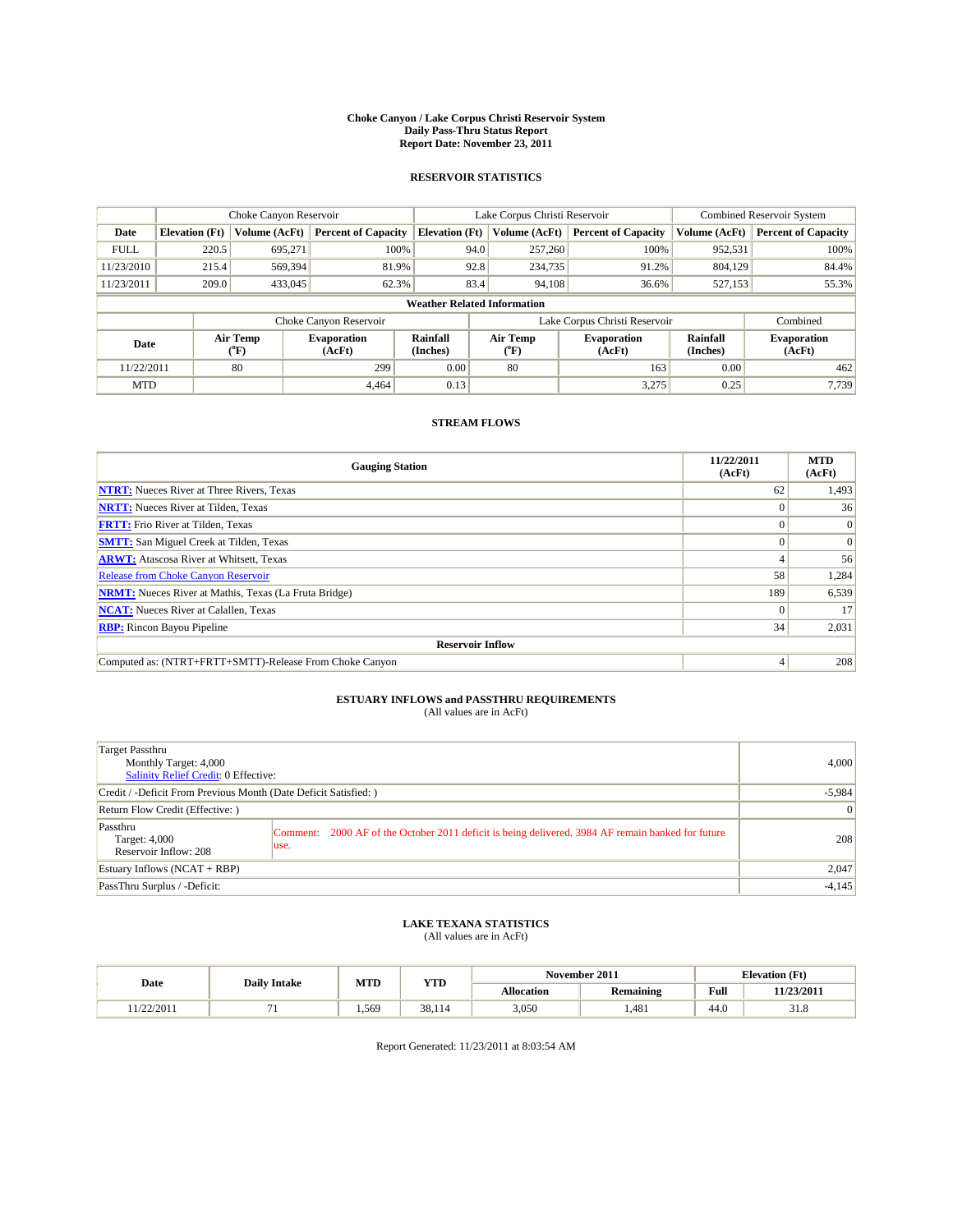#### **Choke Canyon / Lake Corpus Christi Reservoir System Daily Pass-Thru Status Report Report Date: November 23, 2011**

### **RESERVOIR STATISTICS**

|             |                                    | Choke Canyon Reservoir   |                              |                       | Lake Corpus Christi Reservoir | <b>Combined Reservoir System</b> |                      |                              |  |  |  |
|-------------|------------------------------------|--------------------------|------------------------------|-----------------------|-------------------------------|----------------------------------|----------------------|------------------------------|--|--|--|
| Date        | <b>Elevation</b> (Ft)              | Volume (AcFt)            | <b>Percent of Capacity</b>   | <b>Elevation (Ft)</b> | Volume (AcFt)                 | <b>Percent of Capacity</b>       | Volume (AcFt)        | <b>Percent of Capacity</b>   |  |  |  |
| <b>FULL</b> | 220.5                              | 695,271                  | 100%                         | 94.0                  | 257,260                       | 100%                             | 952,531              | 100%                         |  |  |  |
| 11/23/2010  | 215.4                              | 569,394                  | 81.9%                        | 92.8                  | 234,735                       | 91.2%                            | 804.129              | 84.4%                        |  |  |  |
| 11/23/2011  | 209.0                              | 433,045                  | 62.3%                        | 83.4                  | 94,108                        | 36.6%                            | 527,153              | 55.3%                        |  |  |  |
|             | <b>Weather Related Information</b> |                          |                              |                       |                               |                                  |                      |                              |  |  |  |
|             |                                    |                          | Choke Canyon Reservoir       |                       |                               | Lake Corpus Christi Reservoir    |                      | Combined                     |  |  |  |
| Date        |                                    | Air Temp<br>$\rm ^{o}F)$ | <b>Evaporation</b><br>(AcFt) | Rainfall<br>(Inches)  | Air Temp<br>$\rm ^{o}F)$      | <b>Evaporation</b><br>(AcFt)     | Rainfall<br>(Inches) | <b>Evaporation</b><br>(AcFt) |  |  |  |
| 11/22/2011  |                                    | 80                       | 299                          | 0.00                  | 80                            | 163                              | 0.00                 | 462                          |  |  |  |
| <b>MTD</b>  |                                    |                          | 4.464                        | 0.13                  |                               | 3,275                            | 0.25                 | 7,739                        |  |  |  |

### **STREAM FLOWS**

| <b>Gauging Station</b>                                       | 11/22/2011<br>(AcFt) | <b>MTD</b><br>(AcFt) |
|--------------------------------------------------------------|----------------------|----------------------|
| <b>NTRT:</b> Nueces River at Three Rivers, Texas             | 62                   | 1,493                |
| <b>NRTT:</b> Nueces River at Tilden, Texas                   |                      | 36                   |
| <b>FRTT:</b> Frio River at Tilden, Texas                     |                      | $\Omega$             |
| <b>SMTT:</b> San Miguel Creek at Tilden, Texas               |                      | $\Omega$             |
| <b>ARWT:</b> Atascosa River at Whitsett, Texas               |                      | 56                   |
| <b>Release from Choke Canyon Reservoir</b>                   | 58                   | 1,284                |
| <b>NRMT:</b> Nueces River at Mathis, Texas (La Fruta Bridge) | 189                  | 6,539                |
| <b>NCAT:</b> Nueces River at Calallen, Texas                 | $\theta$             | 17                   |
| <b>RBP:</b> Rincon Bayou Pipeline                            | 34                   | 2,031                |
| <b>Reservoir Inflow</b>                                      |                      |                      |
| Computed as: (NTRT+FRTT+SMTT)-Release From Choke Canyon      |                      | 208                  |

## **ESTUARY INFLOWS and PASSTHRU REQUIREMENTS**<br>(All values are in AcFt)

| Target Passthru<br>Monthly Target: 4,000<br><b>Salinity Relief Credit: 0 Effective:</b> |                                                                                                           | 4,000           |
|-----------------------------------------------------------------------------------------|-----------------------------------------------------------------------------------------------------------|-----------------|
| Credit / -Deficit From Previous Month (Date Deficit Satisfied: )                        |                                                                                                           | $-5,984$        |
| Return Flow Credit (Effective: )                                                        |                                                                                                           | $\vert 0 \vert$ |
| Passthru<br>Target: 4,000<br>Reservoir Inflow: 208                                      | Comment: 2000 AF of the October 2011 deficit is being delivered. 3984 AF remain banked for future<br>use. | 208             |
| Estuary Inflows $(NCAT + RBP)$                                                          |                                                                                                           | 2,047           |
| PassThru Surplus / -Deficit:                                                            |                                                                                                           | $-4,145$        |

## **LAKE TEXANA STATISTICS** (All values are in AcFt)

|                      |                     | MTD   | <b>YTD</b> |            | November 2011    |                                             | <b>Elevation</b> (Ft) |
|----------------------|---------------------|-------|------------|------------|------------------|---------------------------------------------|-----------------------|
| Date                 | <b>Daily Intake</b> |       |            | Allocation | <b>Remaining</b> | Full<br>the contract of the contract of the | 11/23/2011            |
| 1020011<br>1/22/2011 |                     | 1.569 | 38,114     | 3,050      | .481             | 44.0                                        | <b>21 Q</b><br>51.8   |

Report Generated: 11/23/2011 at 8:03:54 AM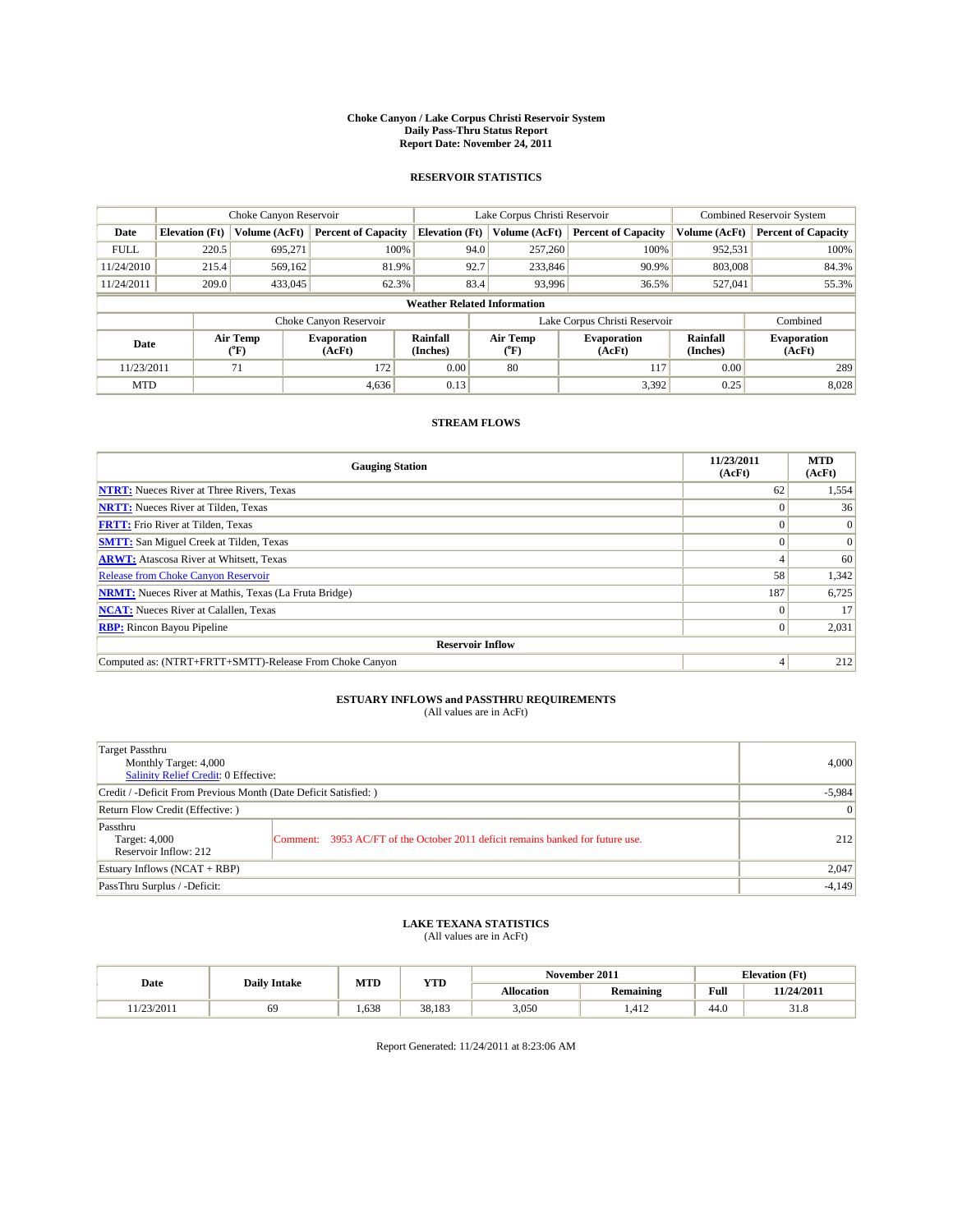#### **Choke Canyon / Lake Corpus Christi Reservoir System Daily Pass-Thru Status Report Report Date: November 24, 2011**

### **RESERVOIR STATISTICS**

|             | Choke Canyon Reservoir             |                          | Lake Corpus Christi Reservoir |                       |                               |                          | <b>Combined Reservoir System</b> |                      |                              |  |  |
|-------------|------------------------------------|--------------------------|-------------------------------|-----------------------|-------------------------------|--------------------------|----------------------------------|----------------------|------------------------------|--|--|
| Date        | <b>Elevation</b> (Ft)              | Volume (AcFt)            | <b>Percent of Capacity</b>    | <b>Elevation (Ft)</b> |                               | Volume (AcFt)            | <b>Percent of Capacity</b>       | Volume (AcFt)        | <b>Percent of Capacity</b>   |  |  |
| <b>FULL</b> | 220.5                              | 695,271                  | 100%                          |                       | 94.0                          | 257,260                  | 100%                             | 952,531              | 100%                         |  |  |
| 11/24/2010  | 215.4                              | 569.162                  | 81.9%                         |                       | 92.7                          | 233,846                  | 90.9%                            | 803,008              | 84.3%                        |  |  |
| 11/24/2011  | 209.0                              | 433,045                  | 62.3%                         |                       | 83.4                          | 93,996                   | 36.5%                            | 527,041              | 55.3%                        |  |  |
|             | <b>Weather Related Information</b> |                          |                               |                       |                               |                          |                                  |                      |                              |  |  |
|             |                                    |                          | Choke Canyon Reservoir        |                       | Lake Corpus Christi Reservoir |                          |                                  |                      | Combined                     |  |  |
| Date        |                                    | Air Temp<br>$\rm ^{o}F)$ | <b>Evaporation</b><br>(AcFt)  | Rainfall<br>(Inches)  |                               | Air Temp<br>$\rm ^{o}F)$ | <b>Evaporation</b><br>(AcFt)     | Rainfall<br>(Inches) | <b>Evaporation</b><br>(AcFt) |  |  |
| 11/23/2011  |                                    | 71                       | 172                           | 0.00                  |                               | 80                       | 117                              | 0.00                 | 289                          |  |  |
| <b>MTD</b>  |                                    |                          | 4,636                         | 0.13                  |                               |                          | 3,392                            | 0.25                 | 8,028                        |  |  |

### **STREAM FLOWS**

| <b>Gauging Station</b>                                       | 11/23/2011<br>(AcFt) | <b>MTD</b><br>(AcFt) |
|--------------------------------------------------------------|----------------------|----------------------|
| <b>NTRT:</b> Nueces River at Three Rivers, Texas             | 62                   | 1,554                |
| <b>NRTT:</b> Nueces River at Tilden, Texas                   |                      | 36                   |
| <b>FRTT:</b> Frio River at Tilden, Texas                     |                      | $\Omega$             |
| <b>SMTT:</b> San Miguel Creek at Tilden, Texas               |                      | $\Omega$             |
| <b>ARWT:</b> Atascosa River at Whitsett, Texas               |                      | 60                   |
| <b>Release from Choke Canyon Reservoir</b>                   | 58                   | 1,342                |
| <b>NRMT:</b> Nueces River at Mathis, Texas (La Fruta Bridge) | 187                  | 6,725                |
| <b>NCAT:</b> Nueces River at Calallen, Texas                 | $\theta$             | 17                   |
| <b>RBP:</b> Rincon Bayou Pipeline                            | $\overline{0}$       | 2,031                |
| <b>Reservoir Inflow</b>                                      |                      |                      |
| Computed as: (NTRT+FRTT+SMTT)-Release From Choke Canyon      |                      | 212                  |

# **ESTUARY INFLOWS and PASSTHRU REQUIREMENTS**<br>(All values are in AcFt)

| Target Passthru<br>Monthly Target: 4,000<br>Salinity Relief Credit: 0 Effective: |                                                                                | 4,000 |
|----------------------------------------------------------------------------------|--------------------------------------------------------------------------------|-------|
| Credit / -Deficit From Previous Month (Date Deficit Satisfied: )                 | $-5,984$                                                                       |       |
| Return Flow Credit (Effective:)                                                  | $\overline{0}$                                                                 |       |
| Passthru<br>Target: 4,000<br>Reservoir Inflow: 212                               | Comment: 3953 AC/FT of the October 2011 deficit remains banked for future use. | 212   |
| Estuary Inflows (NCAT + RBP)                                                     | 2,047                                                                          |       |
| PassThru Surplus / -Deficit:                                                     | $-4,149$                                                                       |       |

## **LAKE TEXANA STATISTICS** (All values are in AcFt)

|           |    | MTD<br><b>Daily Intake</b> |            |            | November 2011    | <b>Elevation</b> (Ft) |            |
|-----------|----|----------------------------|------------|------------|------------------|-----------------------|------------|
| Date      |    |                            | <b>YTD</b> | Allocation | <b>Remaining</b> | Full                  | 11/24/2011 |
| 1/23/2011 | 69 | .638                       | 38.183     | 3,050      | .412             | 44.0                  | 51.8       |

Report Generated: 11/24/2011 at 8:23:06 AM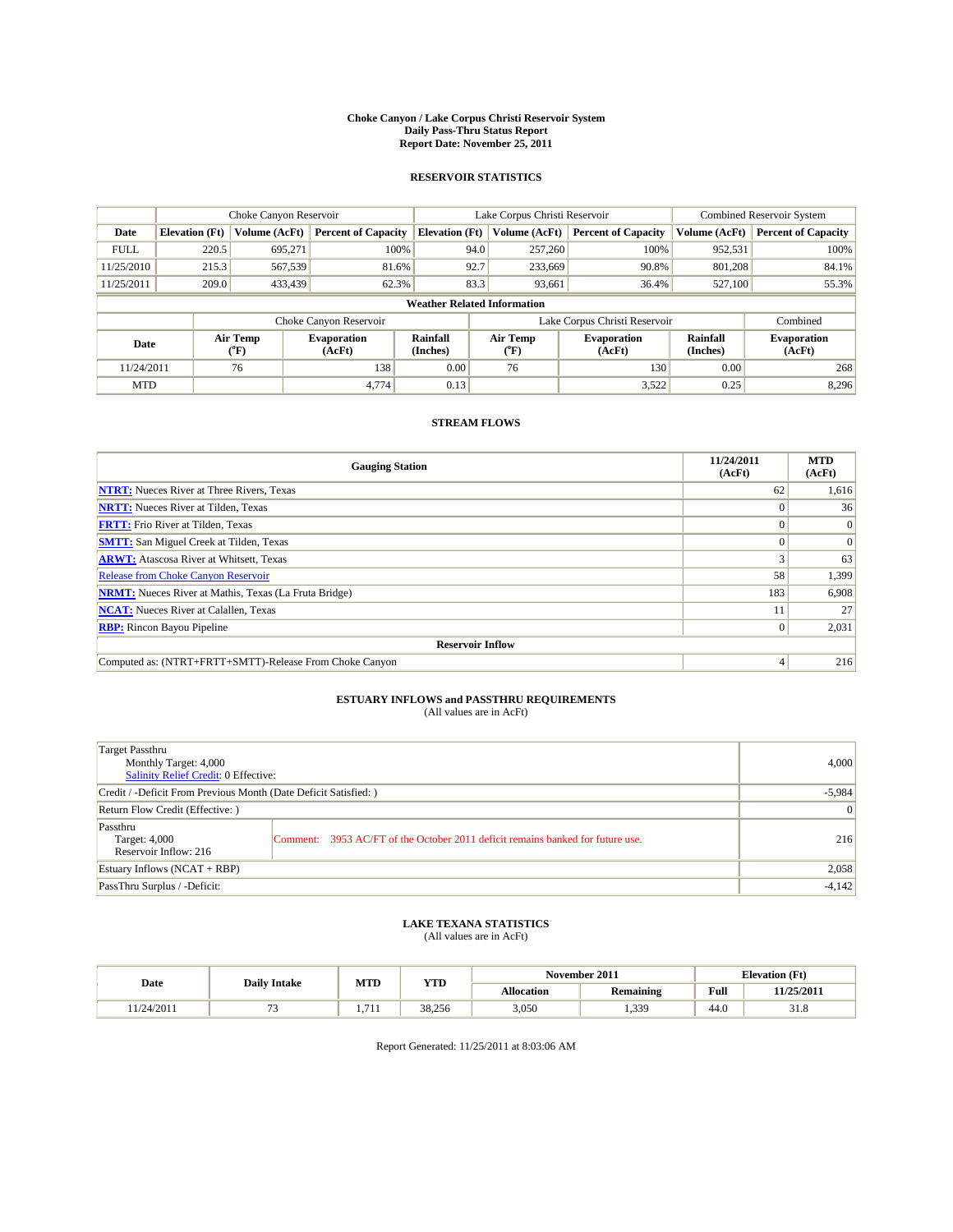#### **Choke Canyon / Lake Corpus Christi Reservoir System Daily Pass-Thru Status Report Report Date: November 25, 2011**

### **RESERVOIR STATISTICS**

|             | Choke Canyon Reservoir             |                             |                              |                             | Lake Corpus Christi Reservoir |                               |                      | <b>Combined Reservoir System</b> |  |
|-------------|------------------------------------|-----------------------------|------------------------------|-----------------------------|-------------------------------|-------------------------------|----------------------|----------------------------------|--|
| Date        | <b>Elevation</b> (Ft)              | Volume (AcFt)               | <b>Percent of Capacity</b>   | <b>Elevation</b> (Ft)       | Volume (AcFt)                 | <b>Percent of Capacity</b>    | Volume (AcFt)        | <b>Percent of Capacity</b>       |  |
| <b>FULL</b> | 220.5                              | 695,271                     | 100%                         |                             | 257,260<br>94.0               | 100%                          | 952,531              | 100%                             |  |
| 11/25/2010  | 215.3                              | 567,539                     | 81.6%                        | 92.7                        | 233,669                       | 90.8%                         | 801.208              | 84.1%                            |  |
| 11/25/2011  | 209.0                              | 433,439                     | 62.3%                        |                             | 83.3<br>93,661                | 36.4%                         | 527,100              | 55.3%                            |  |
|             | <b>Weather Related Information</b> |                             |                              |                             |                               |                               |                      |                                  |  |
|             |                                    |                             | Choke Canyon Reservoir       |                             |                               | Lake Corpus Christi Reservoir |                      | Combined                         |  |
| Date        |                                    | Air Temp<br>${}^{\circ}$ F) | <b>Evaporation</b><br>(AcFt) | <b>Rainfall</b><br>(Inches) | Air Temp<br>(°F)              | <b>Evaporation</b><br>(AcFt)  | Rainfall<br>(Inches) | <b>Evaporation</b><br>(AcFt)     |  |
| 11/24/2011  |                                    | 76                          | 138                          | 0.00                        | 76                            | 130                           | 0.00                 | 268                              |  |
| <b>MTD</b>  |                                    |                             | 4,774                        | 0.13                        |                               | 3,522                         | 0.25                 | 8,296                            |  |

### **STREAM FLOWS**

| <b>Gauging Station</b>                                       | 11/24/2011<br>(AcFt) | <b>MTD</b><br>(AcFt) |
|--------------------------------------------------------------|----------------------|----------------------|
| <b>NTRT:</b> Nueces River at Three Rivers, Texas             | 62                   | 1,616                |
| <b>NRTT:</b> Nueces River at Tilden, Texas                   | $\Omega$             | 36                   |
| <b>FRTT:</b> Frio River at Tilden, Texas                     |                      | $\Omega$             |
| <b>SMTT:</b> San Miguel Creek at Tilden, Texas               |                      | $\Omega$             |
| <b>ARWT:</b> Atascosa River at Whitsett, Texas               |                      | 63                   |
| <b>Release from Choke Canyon Reservoir</b>                   | 58                   | 1,399                |
| <b>NRMT:</b> Nueces River at Mathis, Texas (La Fruta Bridge) | 183                  | 6,908                |
| <b>NCAT:</b> Nueces River at Calallen, Texas                 |                      | 27                   |
| <b>RBP:</b> Rincon Bayou Pipeline                            | $\overline{0}$       | 2,031                |
| <b>Reservoir Inflow</b>                                      |                      |                      |
| Computed as: (NTRT+FRTT+SMTT)-Release From Choke Canyon      | $\overline{4}$       | 216                  |

# **ESTUARY INFLOWS and PASSTHRU REQUIREMENTS**<br>(All values are in AcFt)

| Target Passthru<br>Monthly Target: 4,000<br>Salinity Relief Credit: 0 Effective: |                                                                                | 4.000    |
|----------------------------------------------------------------------------------|--------------------------------------------------------------------------------|----------|
| Credit / -Deficit From Previous Month (Date Deficit Satisfied: )                 | $-5,984$                                                                       |          |
| Return Flow Credit (Effective:)                                                  | $\overline{0}$                                                                 |          |
| Passthru<br>Target: 4,000<br>Reservoir Inflow: 216                               | Comment: 3953 AC/FT of the October 2011 deficit remains banked for future use. | 216      |
| Estuary Inflows (NCAT + RBP)                                                     |                                                                                | 2,058    |
| PassThru Surplus / -Deficit:                                                     |                                                                                | $-4,142$ |

## **LAKE TEXANA STATISTICS** (All values are in AcFt)

|           |                     | MTD             | <b>YTD</b> | November 2011<br><b>Elevation</b> (Ft) |                  |      |            |
|-----------|---------------------|-----------------|------------|----------------------------------------|------------------|------|------------|
| Date      | <b>Daily Intake</b> |                 |            | Allocation                             | <b>Remaining</b> | Full | 11/25/2011 |
| 1/24/2011 |                     | 71'<br>$\cdots$ | 38.256     | 3,050                                  | 339<br>رزن       | 44.0 | 51.8       |

Report Generated: 11/25/2011 at 8:03:06 AM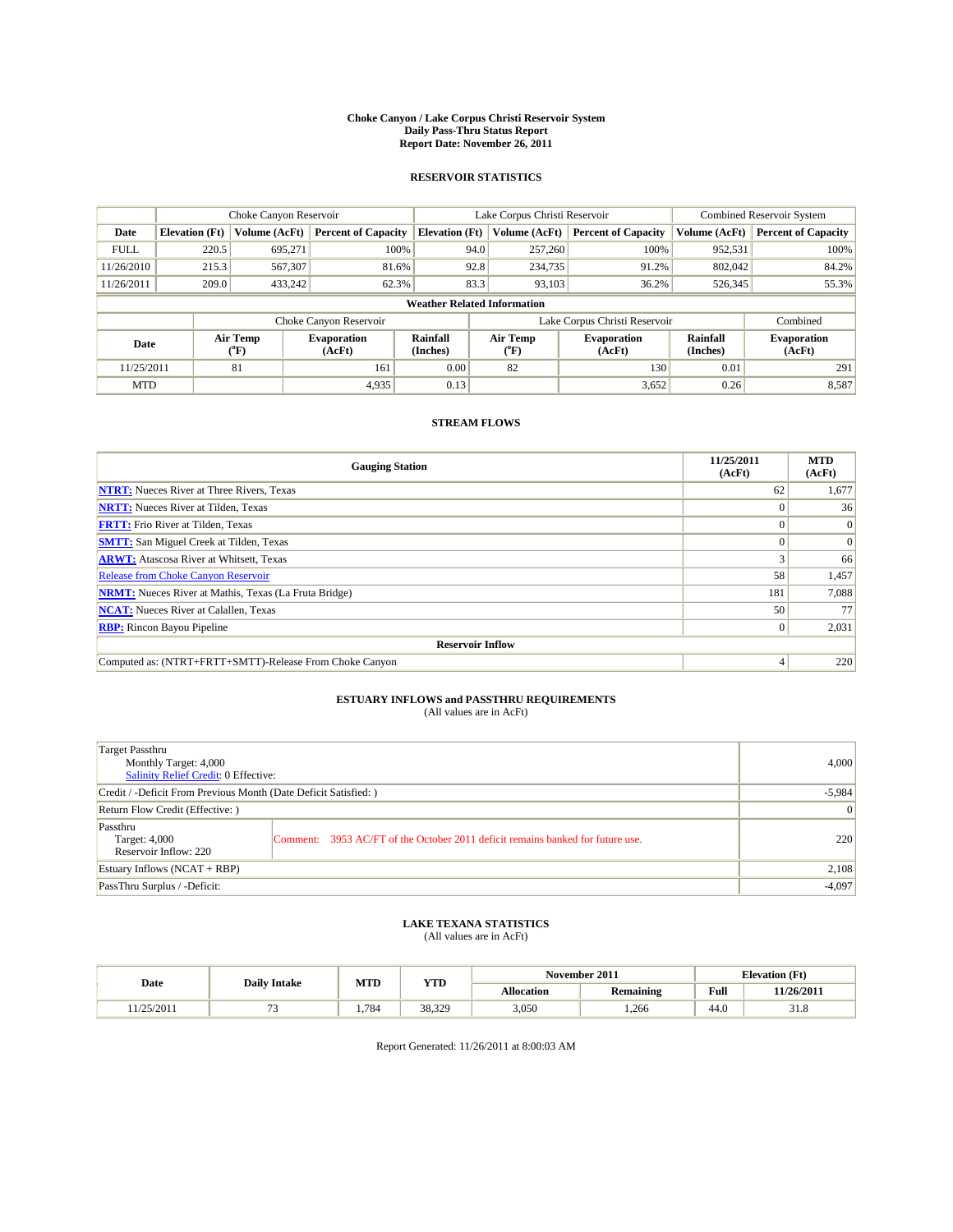#### **Choke Canyon / Lake Corpus Christi Reservoir System Daily Pass-Thru Status Report Report Date: November 26, 2011**

### **RESERVOIR STATISTICS**

|             | Choke Canyon Reservoir             |                             |                              |                       | Lake Corpus Christi Reservoir |                               |                      | <b>Combined Reservoir System</b> |  |  |
|-------------|------------------------------------|-----------------------------|------------------------------|-----------------------|-------------------------------|-------------------------------|----------------------|----------------------------------|--|--|
| Date        | <b>Elevation</b> (Ft)              | Volume (AcFt)               | <b>Percent of Capacity</b>   | <b>Elevation (Ft)</b> | Volume (AcFt)                 | <b>Percent of Capacity</b>    | Volume (AcFt)        | <b>Percent of Capacity</b>       |  |  |
| <b>FULL</b> | 220.5                              | 695,271                     | 100%                         | 94.0                  | 257,260                       | 100%                          | 952,531              | 100%                             |  |  |
| 11/26/2010  | 215.3                              | 567,307                     | 81.6%                        | 92.8                  | 234,735                       | 91.2%                         | 802.042              | 84.2%                            |  |  |
| 11/26/2011  | 209.0                              | 433,242                     | 62.3%                        | 83.3                  | 93.103                        | 36.2%                         | 526,345              | 55.3%                            |  |  |
|             | <b>Weather Related Information</b> |                             |                              |                       |                               |                               |                      |                                  |  |  |
|             |                                    |                             | Choke Canyon Reservoir       |                       |                               | Lake Corpus Christi Reservoir |                      | Combined                         |  |  |
| Date        |                                    | Air Temp<br>${}^{\circ}$ F) | <b>Evaporation</b><br>(AcFt) | Rainfall<br>(Inches)  | Air Temp<br>$\rm ^{o}F)$      | <b>Evaporation</b><br>(AcFt)  | Rainfall<br>(Inches) | <b>Evaporation</b><br>(AcFt)     |  |  |
| 11/25/2011  |                                    | 81                          | 161                          | 0.00                  | 82                            | 130                           | 0.01                 | 291                              |  |  |
| <b>MTD</b>  |                                    |                             | 4,935                        | 0.13                  |                               | 3,652                         | 0.26                 | 8,587                            |  |  |

### **STREAM FLOWS**

| <b>Gauging Station</b>                                       | 11/25/2011<br>(AcFt) | <b>MTD</b><br>(AcFt) |  |  |  |  |  |
|--------------------------------------------------------------|----------------------|----------------------|--|--|--|--|--|
| <b>NTRT:</b> Nueces River at Three Rivers, Texas             | 62                   | 1,677                |  |  |  |  |  |
| <b>NRTT:</b> Nueces River at Tilden, Texas                   | $\Omega$             | 36                   |  |  |  |  |  |
| <b>FRTT:</b> Frio River at Tilden, Texas                     |                      | $\Omega$             |  |  |  |  |  |
| <b>SMTT:</b> San Miguel Creek at Tilden, Texas               |                      | $\Omega$             |  |  |  |  |  |
| <b>ARWT:</b> Atascosa River at Whitsett, Texas               |                      | 66                   |  |  |  |  |  |
| <b>Release from Choke Canyon Reservoir</b>                   | 58                   | 1,457                |  |  |  |  |  |
| <b>NRMT:</b> Nueces River at Mathis, Texas (La Fruta Bridge) | 181                  | 7,088                |  |  |  |  |  |
| <b>NCAT:</b> Nueces River at Calallen, Texas                 | 50                   | 77                   |  |  |  |  |  |
| <b>RBP:</b> Rincon Bayou Pipeline                            | $\overline{0}$       | 2,031                |  |  |  |  |  |
| <b>Reservoir Inflow</b>                                      |                      |                      |  |  |  |  |  |
| Computed as: (NTRT+FRTT+SMTT)-Release From Choke Canyon      |                      | 220                  |  |  |  |  |  |

# **ESTUARY INFLOWS and PASSTHRU REQUIREMENTS**<br>(All values are in AcFt)

| Target Passthru<br>Monthly Target: 4,000<br>Salinity Relief Credit: 0 Effective: |                                                                                | 4,000    |
|----------------------------------------------------------------------------------|--------------------------------------------------------------------------------|----------|
| Credit / -Deficit From Previous Month (Date Deficit Satisfied: )                 |                                                                                | $-5,984$ |
| Return Flow Credit (Effective:)                                                  | 0                                                                              |          |
| Passthru<br>Target: 4,000<br>Reservoir Inflow: 220                               | Comment: 3953 AC/FT of the October 2011 deficit remains banked for future use. | 220      |
| Estuary Inflows (NCAT + RBP)                                                     |                                                                                | 2,108    |
| PassThru Surplus / -Deficit:                                                     |                                                                                | $-4,097$ |

# **LAKE TEXANA STATISTICS** (All values are in AcFt)

|           | <b>Daily Intake</b> | MTD  | YTD    | November 2011     |           |      | <b>Elevation</b> (Ft) |
|-----------|---------------------|------|--------|-------------------|-----------|------|-----------------------|
| Date      |                     |      |        | <b>Allocation</b> | Remaining | Full | 11/26/2011            |
| 1/25/2011 |                     | .784 | 38.329 | 3,050             | .266      | 44.0 | <b>21 O</b><br>51.8   |

Report Generated: 11/26/2011 at 8:00:03 AM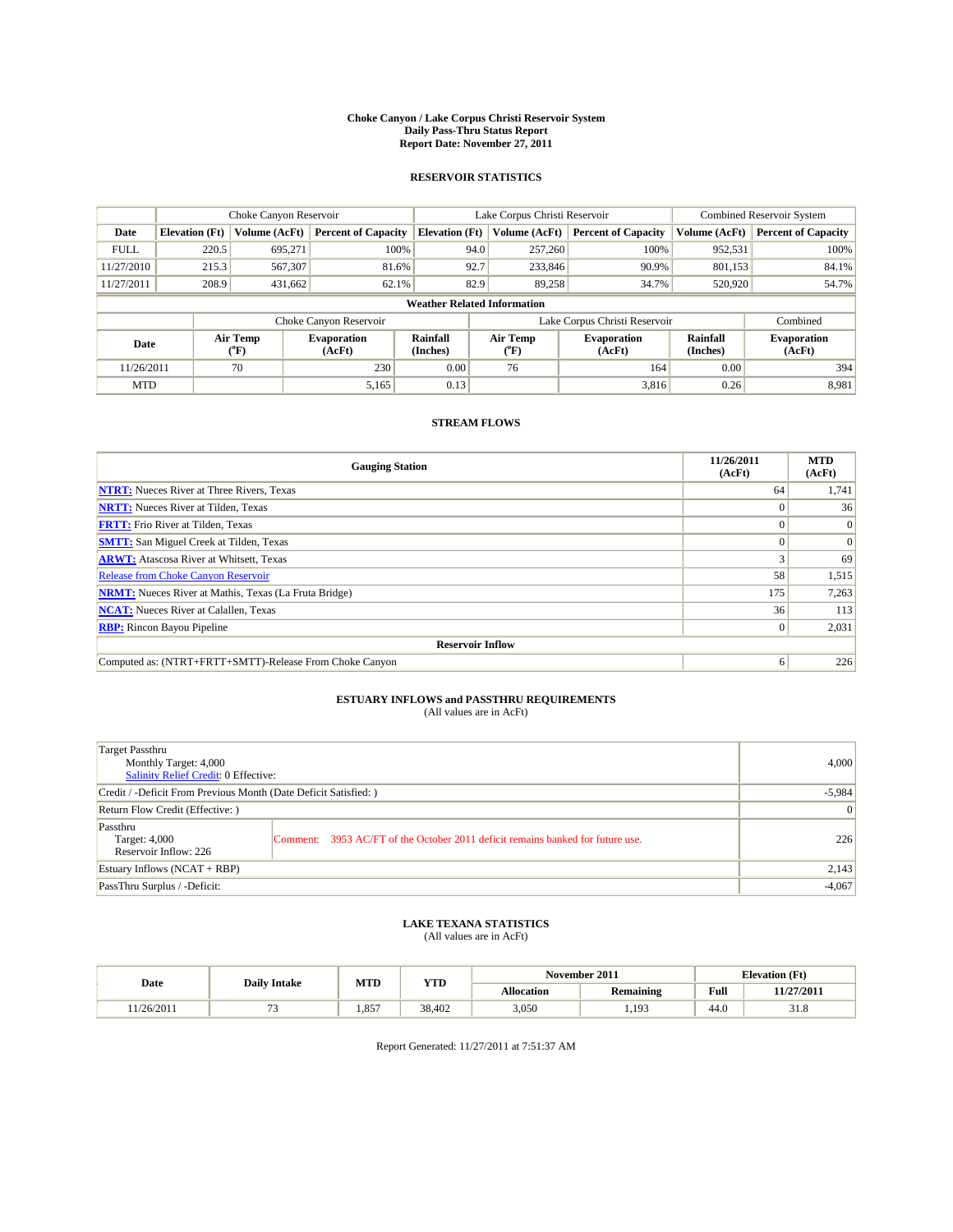#### **Choke Canyon / Lake Corpus Christi Reservoir System Daily Pass-Thru Status Report Report Date: November 27, 2011**

### **RESERVOIR STATISTICS**

|             | Choke Canyon Reservoir             |                  |                              |                             | Lake Corpus Christi Reservoir |                               |                      | <b>Combined Reservoir System</b> |  |
|-------------|------------------------------------|------------------|------------------------------|-----------------------------|-------------------------------|-------------------------------|----------------------|----------------------------------|--|
| Date        | <b>Elevation</b> (Ft)              | Volume (AcFt)    | <b>Percent of Capacity</b>   | <b>Elevation</b> (Ft)       | Volume (AcFt)                 | <b>Percent of Capacity</b>    | Volume (AcFt)        | <b>Percent of Capacity</b>       |  |
| <b>FULL</b> | 220.5                              | 695,271          | 100%                         | 94.0                        | 257,260                       | 100%                          | 952,531              | 100%                             |  |
| 11/27/2010  | 215.3                              | 567,307          | 81.6%                        | 92.7                        | 233,846                       | 90.9%                         | 801,153              | 84.1%                            |  |
| 11/27/2011  | 208.9                              | 431,662          | 62.1%                        | 82.9                        | 89,258                        | 34.7%                         | 520,920              | 54.7%                            |  |
|             | <b>Weather Related Information</b> |                  |                              |                             |                               |                               |                      |                                  |  |
|             |                                    |                  | Choke Canyon Reservoir       |                             |                               | Lake Corpus Christi Reservoir |                      | Combined                         |  |
| Date        |                                    | Air Temp<br>(°F) | <b>Evaporation</b><br>(AcFt) | <b>Rainfall</b><br>(Inches) | Air Temp<br>(°F)              | <b>Evaporation</b><br>(AcFt)  | Rainfall<br>(Inches) | <b>Evaporation</b><br>(AcFt)     |  |
| 11/26/2011  |                                    | 70               | 230                          | 0.00                        | 76                            | 164                           | 0.00                 | 394                              |  |
| <b>MTD</b>  |                                    |                  | 5,165                        | 0.13                        |                               | 3.816                         | 0.26                 | 8,981                            |  |

### **STREAM FLOWS**

| <b>Gauging Station</b>                                       | 11/26/2011<br>(AcFt) | <b>MTD</b><br>(AcFt) |  |  |  |  |  |
|--------------------------------------------------------------|----------------------|----------------------|--|--|--|--|--|
| <b>NTRT:</b> Nueces River at Three Rivers, Texas             | 64                   | 1,741                |  |  |  |  |  |
| <b>NRTT:</b> Nueces River at Tilden, Texas                   | $\Omega$             | 36                   |  |  |  |  |  |
| <b>FRTT:</b> Frio River at Tilden, Texas                     | $\theta$             | $\Omega$             |  |  |  |  |  |
| <b>SMTT:</b> San Miguel Creek at Tilden, Texas               | $\Omega$             | $\Omega$             |  |  |  |  |  |
| <b>ARWT:</b> Atascosa River at Whitsett, Texas               |                      | 69                   |  |  |  |  |  |
| <b>Release from Choke Canyon Reservoir</b>                   | 58                   | 1,515                |  |  |  |  |  |
| <b>NRMT:</b> Nueces River at Mathis, Texas (La Fruta Bridge) | 175                  | 7,263                |  |  |  |  |  |
| <b>NCAT:</b> Nueces River at Calallen, Texas                 | 36                   | 113                  |  |  |  |  |  |
| <b>RBP:</b> Rincon Bayou Pipeline                            | $\overline{0}$       | 2,031                |  |  |  |  |  |
| <b>Reservoir Inflow</b>                                      |                      |                      |  |  |  |  |  |
| Computed as: (NTRT+FRTT+SMTT)-Release From Choke Canyon      | 6                    | 226                  |  |  |  |  |  |

# **ESTUARY INFLOWS and PASSTHRU REQUIREMENTS**<br>(All values are in AcFt)

| Target Passthru<br>Monthly Target: 4,000<br>Salinity Relief Credit: 0 Effective: |                                                                                | 4.000    |
|----------------------------------------------------------------------------------|--------------------------------------------------------------------------------|----------|
| Credit / -Deficit From Previous Month (Date Deficit Satisfied: )                 | $-5,984$                                                                       |          |
| Return Flow Credit (Effective:)                                                  | $\vert 0 \vert$                                                                |          |
| Passthru<br>Target: 4,000<br>Reservoir Inflow: 226                               | Comment: 3953 AC/FT of the October 2011 deficit remains banked for future use. | 226      |
| Estuary Inflows (NCAT + RBP)                                                     |                                                                                | 2,143    |
| PassThru Surplus / -Deficit:                                                     |                                                                                | $-4,067$ |

## **LAKE TEXANA STATISTICS** (All values are in AcFt)

|           |                     |       | MTD<br>YTD |                   | November 2011 | <b>Elevation</b> (Ft) |                     |
|-----------|---------------------|-------|------------|-------------------|---------------|-----------------------|---------------------|
| Date      | <b>Daily Intake</b> |       |            | <b>Allocation</b> | Remaining     | Full                  | 11/27/2011          |
| 1/26/2011 |                     | 1.857 | 38.402     | 3,050             | 103<br>.      | 44.0                  | <b>21 O</b><br>51.8 |

Report Generated: 11/27/2011 at 7:51:37 AM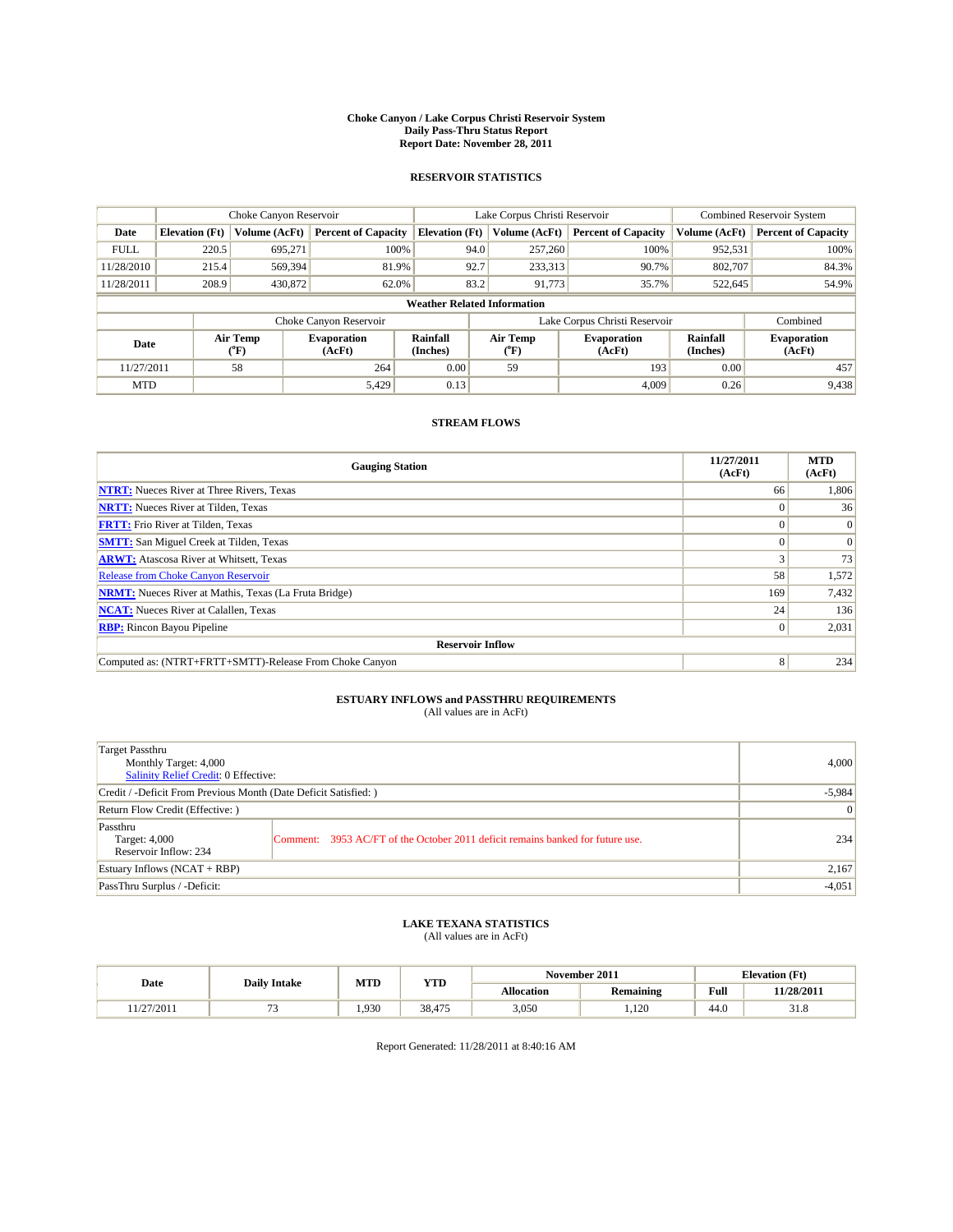#### **Choke Canyon / Lake Corpus Christi Reservoir System Daily Pass-Thru Status Report Report Date: November 28, 2011**

### **RESERVOIR STATISTICS**

|             | Choke Canyon Reservoir             |                          |                              |                       | Lake Corpus Christi Reservoir |                               |                      | <b>Combined Reservoir System</b> |  |
|-------------|------------------------------------|--------------------------|------------------------------|-----------------------|-------------------------------|-------------------------------|----------------------|----------------------------------|--|
| Date        | <b>Elevation</b> (Ft)              | Volume (AcFt)            | <b>Percent of Capacity</b>   | <b>Elevation (Ft)</b> | Volume (AcFt)                 | <b>Percent of Capacity</b>    | Volume (AcFt)        | <b>Percent of Capacity</b>       |  |
| <b>FULL</b> | 220.5                              | 695,271                  | 100%                         | 94.0                  | 257,260                       | 100%                          | 952,531              | 100%                             |  |
| 11/28/2010  | 215.4                              | 569,394                  | 81.9%                        | 92.7                  | 233,313                       | 90.7%                         | 802.707              | 84.3%                            |  |
| 11/28/2011  | 208.9                              | 430,872                  | 62.0%                        | 83.2                  | 91.773                        | 35.7%                         | 522,645              | 54.9%                            |  |
|             | <b>Weather Related Information</b> |                          |                              |                       |                               |                               |                      |                                  |  |
|             |                                    |                          | Choke Canyon Reservoir       |                       |                               | Lake Corpus Christi Reservoir |                      | Combined                         |  |
| Date        |                                    | Air Temp<br>$\rm ^{o}F)$ | <b>Evaporation</b><br>(AcFt) | Rainfall<br>(Inches)  | Air Temp<br>("F)              | <b>Evaporation</b><br>(AcFt)  | Rainfall<br>(Inches) | <b>Evaporation</b><br>(AcFt)     |  |
| 11/27/2011  |                                    | 58                       | 264                          | 0.00                  | 59                            | 193                           | 0.00                 | 457                              |  |
| <b>MTD</b>  |                                    |                          | 5,429                        | 0.13                  |                               | 4.009                         | 0.26                 | 9,438                            |  |

### **STREAM FLOWS**

| <b>Gauging Station</b>                                       | 11/27/2011<br>(AcFt) | <b>MTD</b><br>(AcFt) |
|--------------------------------------------------------------|----------------------|----------------------|
| <b>NTRT:</b> Nueces River at Three Rivers, Texas             | 66                   | 1,806                |
| <b>NRTT:</b> Nueces River at Tilden, Texas                   | $\Omega$             | 36                   |
| <b>FRTT:</b> Frio River at Tilden, Texas                     |                      | $\Omega$             |
| <b>SMTT:</b> San Miguel Creek at Tilden, Texas               |                      | $\Omega$             |
| <b>ARWT:</b> Atascosa River at Whitsett, Texas               |                      | 73                   |
| <b>Release from Choke Canyon Reservoir</b>                   | 58                   | 1,572                |
| <b>NRMT:</b> Nueces River at Mathis, Texas (La Fruta Bridge) | 169                  | 7,432                |
| <b>NCAT:</b> Nueces River at Calallen, Texas                 | 24                   | 136                  |
| <b>RBP:</b> Rincon Bayou Pipeline                            | $\vert 0 \vert$      | 2,031                |
| <b>Reservoir Inflow</b>                                      |                      |                      |
| Computed as: (NTRT+FRTT+SMTT)-Release From Choke Canyon      | 8                    | 234                  |

# **ESTUARY INFLOWS and PASSTHRU REQUIREMENTS**<br>(All values are in AcFt)

| Target Passthru<br>Monthly Target: 4,000<br>Salinity Relief Credit: 0 Effective: |                                                                                | 4,000 |
|----------------------------------------------------------------------------------|--------------------------------------------------------------------------------|-------|
| Credit / -Deficit From Previous Month (Date Deficit Satisfied: )                 | $-5,984$                                                                       |       |
| Return Flow Credit (Effective:)                                                  | $\overline{0}$                                                                 |       |
| Passthru<br>Target: 4,000<br>Reservoir Inflow: 234                               | Comment: 3953 AC/FT of the October 2011 deficit remains banked for future use. | 234   |
| Estuary Inflows (NCAT + RBP)                                                     |                                                                                | 2,167 |
| PassThru Surplus / -Deficit:                                                     | $-4,051$                                                                       |       |

## **LAKE TEXANA STATISTICS** (All values are in AcFt)

|                      | <b>Daily Intake</b> | MTD  | <b>YTD</b> |                   | November 2011    |      | <b>Elevation</b> (Ft) |
|----------------------|---------------------|------|------------|-------------------|------------------|------|-----------------------|
| Date                 |                     |      |            | <b>Allocation</b> | <b>Remaining</b> | Full | 11/28/2011            |
| $\sqrt{2}$<br>$\sim$ | -                   | .930 | 38,475     | 3,050             | 1,120            | 44.0 | 51.8                  |

Report Generated: 11/28/2011 at 8:40:16 AM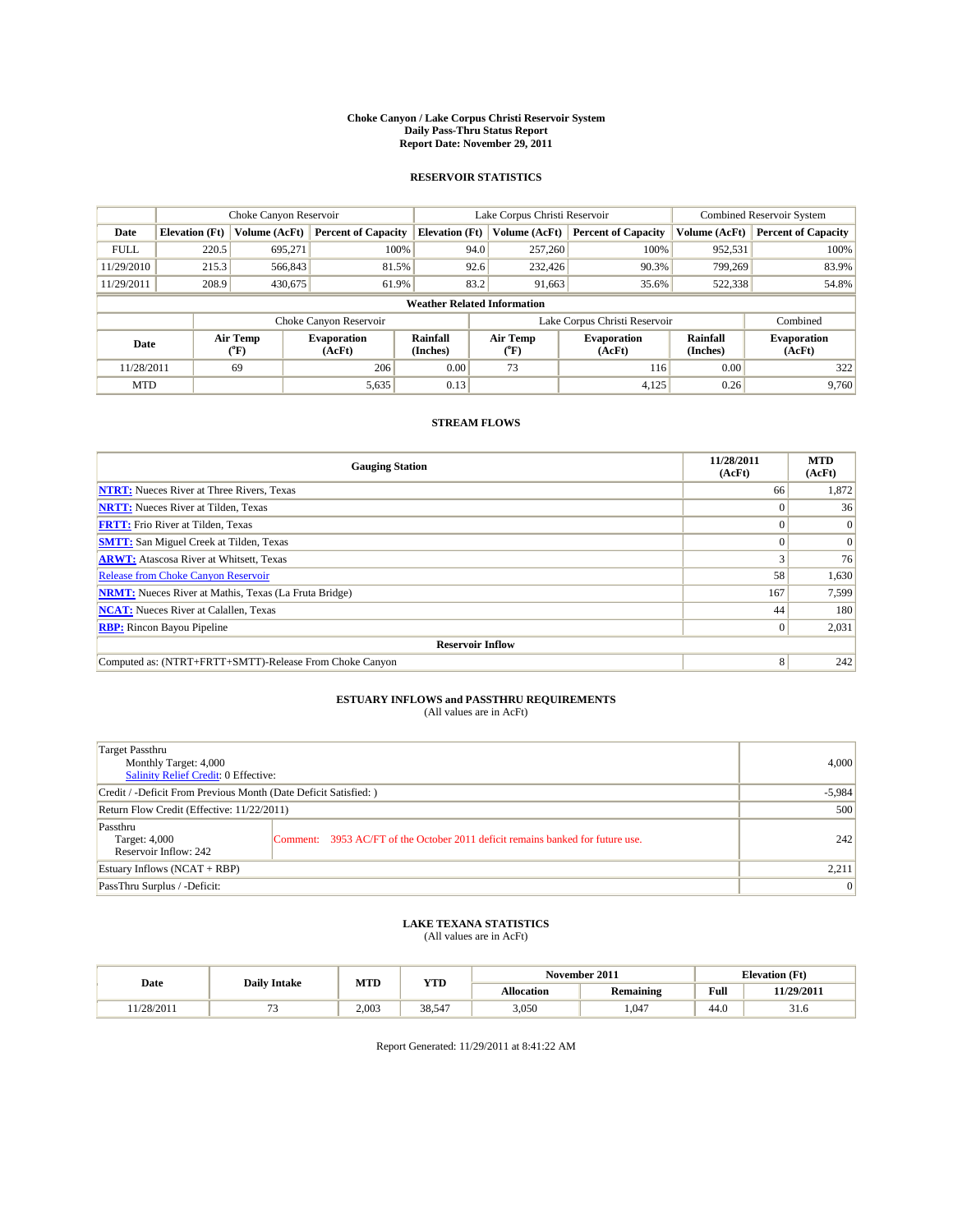#### **Choke Canyon / Lake Corpus Christi Reservoir System Daily Pass-Thru Status Report Report Date: November 29, 2011**

### **RESERVOIR STATISTICS**

|             | Choke Canyon Reservoir             |                             |                              |                             | Lake Corpus Christi Reservoir |                               |                      | <b>Combined Reservoir System</b> |  |
|-------------|------------------------------------|-----------------------------|------------------------------|-----------------------------|-------------------------------|-------------------------------|----------------------|----------------------------------|--|
| Date        | <b>Elevation</b> (Ft)              | Volume (AcFt)               | <b>Percent of Capacity</b>   | <b>Elevation</b> (Ft)       | Volume (AcFt)                 | <b>Percent of Capacity</b>    | Volume (AcFt)        | <b>Percent of Capacity</b>       |  |
| <b>FULL</b> | 220.5                              | 695,271                     | 100%                         | 94.0                        | 257,260                       | 100%                          | 952,531              | 100%                             |  |
| 11/29/2010  | 215.3                              | 566,843                     | 81.5%                        |                             | 92.6<br>232,426               | 90.3%                         | 799.269              | 83.9%                            |  |
| 11/29/2011  | 208.9                              | 430,675                     | 61.9%                        | 83.2                        | 91,663                        | 35.6%                         | 522,338              | 54.8%                            |  |
|             | <b>Weather Related Information</b> |                             |                              |                             |                               |                               |                      |                                  |  |
|             |                                    |                             | Choke Canyon Reservoir       |                             |                               | Lake Corpus Christi Reservoir |                      | Combined                         |  |
| Date        |                                    | Air Temp<br>${}^{\circ}$ F) | <b>Evaporation</b><br>(AcFt) | <b>Rainfall</b><br>(Inches) | Air Temp<br>(°F)              | <b>Evaporation</b><br>(AcFt)  | Rainfall<br>(Inches) | <b>Evaporation</b><br>(AcFt)     |  |
| 11/28/2011  |                                    | 69                          | 206                          | 0.00                        | 73                            | 116                           | 0.00                 | 322                              |  |
| <b>MTD</b>  |                                    |                             | 5,635                        | 0.13                        |                               | 4,125                         | 0.26                 | 9.760                            |  |

### **STREAM FLOWS**

| <b>Gauging Station</b>                                       | 11/28/2011<br>(AcFt) | <b>MTD</b><br>(AcFt) |  |  |  |  |  |
|--------------------------------------------------------------|----------------------|----------------------|--|--|--|--|--|
| <b>NTRT:</b> Nueces River at Three Rivers, Texas             | 66                   | 1,872                |  |  |  |  |  |
| <b>NRTT:</b> Nueces River at Tilden, Texas                   | $\Omega$             | 36                   |  |  |  |  |  |
| <b>FRTT:</b> Frio River at Tilden, Texas                     |                      | $\Omega$             |  |  |  |  |  |
| <b>SMTT:</b> San Miguel Creek at Tilden, Texas               |                      | $\Omega$             |  |  |  |  |  |
| <b>ARWT:</b> Atascosa River at Whitsett, Texas               |                      | 76                   |  |  |  |  |  |
| <b>Release from Choke Canyon Reservoir</b>                   | 58                   | 1,630                |  |  |  |  |  |
| <b>NRMT:</b> Nueces River at Mathis, Texas (La Fruta Bridge) | 167                  | 7,599                |  |  |  |  |  |
| <b>NCAT:</b> Nueces River at Calallen, Texas                 | 44                   | 180                  |  |  |  |  |  |
| <b>RBP:</b> Rincon Bayou Pipeline                            | $\vert 0 \vert$      | 2,031                |  |  |  |  |  |
| <b>Reservoir Inflow</b>                                      |                      |                      |  |  |  |  |  |
| Computed as: (NTRT+FRTT+SMTT)-Release From Choke Canyon      | 8                    | 242                  |  |  |  |  |  |

# **ESTUARY INFLOWS and PASSTHRU REQUIREMENTS**<br>(All values are in AcFt)

| Target Passthru<br>Monthly Target: 4,000<br>Salinity Relief Credit: 0 Effective: |                                                                                | 4,000 |
|----------------------------------------------------------------------------------|--------------------------------------------------------------------------------|-------|
| Credit / -Deficit From Previous Month (Date Deficit Satisfied: )                 | $-5,984$                                                                       |       |
| Return Flow Credit (Effective: 11/22/2011)                                       | 500                                                                            |       |
| Passthru<br>Target: 4,000<br>Reservoir Inflow: 242                               | Comment: 3953 AC/FT of the October 2011 deficit remains banked for future use. | 242   |
| Estuary Inflows (NCAT + RBP)                                                     |                                                                                | 2,211 |
| PassThru Surplus / -Deficit:                                                     | $\overline{0}$                                                                 |       |

## **LAKE TEXANA STATISTICS** (All values are in AcFt)

|           |                     | MTD   | YTD                        |                   | November 2011 |      | <b>Elevation</b> (Ft) |
|-----------|---------------------|-------|----------------------------|-------------------|---------------|------|-----------------------|
| Date      | <b>Daily Intake</b> |       |                            | <b>Allocation</b> | Remaining     | Full | 11/29/2011            |
| 1/28/2011 |                     | 2.003 | 38.54<br>$C_A \rightarrow$ | 3,050             | .047          | 44.0 | 51.0                  |

Report Generated: 11/29/2011 at 8:41:22 AM